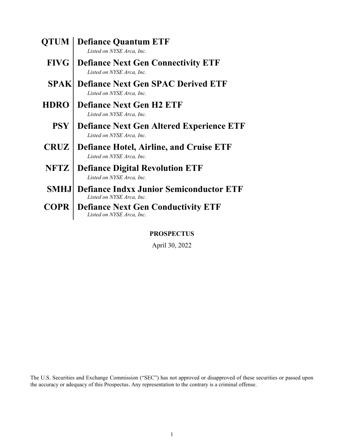| <b>OTUM</b> | <b>Defiance Quantum ETF</b><br>Listed on NYSE Arca. Inc.                     |
|-------------|------------------------------------------------------------------------------|
| <b>FIVG</b> | <b>Defiance Next Gen Connectivity ETF</b><br>Listed on NYSE Arca, Inc.       |
|             | <b>SPAK</b> Defiance Next Gen SPAC Derived ETF<br>Listed on NYSE Arca, Inc.  |
| <b>HDRO</b> | <b>Defiance Next Gen H2 ETF</b><br>Listed on NYSE Arca, Inc.                 |
| <b>PSY</b>  | <b>Defiance Next Gen Altered Experience ETF</b><br>Listed on NYSE Arca, Inc. |
| <b>CRUZ</b> | <b>Defiance Hotel, Airline, and Cruise ETF</b><br>Listed on NYSE Arca, Inc.  |
| NFTZ        | <b>Defiance Digital Revolution ETF</b><br>Listed on NYSE Arca, Inc.          |
| SMHJ        | <b>Defiance Indxx Junior Semiconductor ETF</b><br>Listed on NYSE Arca. Inc.  |
| <b>COPR</b> | <b>Defiance Next Gen Conductivity ETF</b><br>Listed on NYSE Arca, Inc.       |

**PROSPECTUS**

April 30, 2022

The U.S. Securities and Exchange Commission ("SEC") has not approved or disapproved of these securities or passed upon the accuracy or adequacy of this Prospectus. Any representation to the contrary is a criminal offense.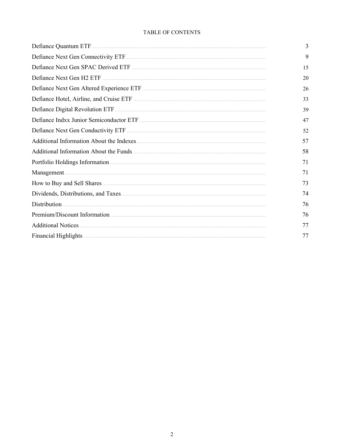# TABLE OF CONTENTS

| 3  |
|----|
| 9  |
| 15 |
| 20 |
| 26 |
| 33 |
| 39 |
| 47 |
| 52 |
| 57 |
| 58 |
| 71 |
| 71 |
| 73 |
| 74 |
| 76 |
| 76 |
| 77 |
| 77 |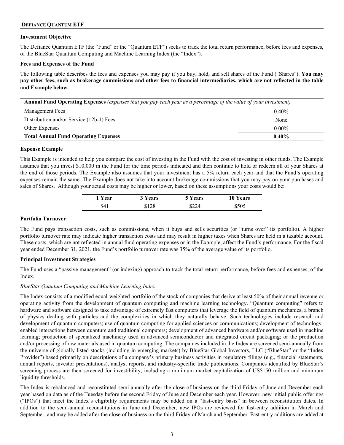## <span id="page-2-0"></span>**DEFIANCE QUANTUM ETF**

#### **Investment Objective**

The Defiance Quantum ETF (the "Fund" or the "Quantum ETF") seeks to track the total return performance, before fees and expenses, of the BlueStar Quantum Computing and Machine Learning Index (the "Index").

#### **Fees and Expenses of the Fund**

The following table describes the fees and expenses you may pay if you buy, hold, and sell shares of the Fund ("Shares"). **You may pay other fees, such as brokerage commissions and other fees to financial intermediaries, which are not reflected in the table and Example below.**

| Annual Fund Operating Expenses (expenses that you pay each year as a percentage of the value of your investment) |          |  |
|------------------------------------------------------------------------------------------------------------------|----------|--|
| Management Fees                                                                                                  | $0.40\%$ |  |
| Distribution and/or Service (12b-1) Fees                                                                         | None     |  |
| Other Expenses                                                                                                   | $0.00\%$ |  |
| <b>Total Annual Fund Operating Expenses</b><br>$0.40\%$                                                          |          |  |

#### **Expense Example**

This Example is intended to help you compare the cost of investing in the Fund with the cost of investing in other funds. The Example assumes that you invest \$10,000 in the Fund for the time periods indicated and then continue to hold or redeem all of your Shares at the end of those periods. The Example also assumes that your investment has a 5% return each year and that the Fund's operating expenses remain the same. The Example does not take into account brokerage commissions that you may pay on your purchases and sales of Shares. Although your actual costs may be higher or lower, based on these assumptions your costs would be:

| 1 Year | 3 Years | <b>5 Years</b> | <b>10 Years</b> |
|--------|---------|----------------|-----------------|
| \$41   | \$128   | \$224          | \$505           |

#### **Portfolio Turnover**

The Fund pays transaction costs, such as commissions, when it buys and sells securities (or "turns over" its portfolio). A higher portfolio turnover rate may indicate higher transaction costs and may result in higher taxes when Shares are held in a taxable account. These costs, which are not reflected in annual fund operating expenses or in the Example, affect the Fund's performance. For the fiscal year ended December 31, 2021, the Fund's portfolio turnover rate was 35% of the average value of its portfolio.

#### **Principal Investment Strategies**

The Fund uses a "passive management" (or indexing) approach to track the total return performance, before fees and expenses, of the **Index** 

#### *BlueStar Quantum Computing and Machine Learning Index*

The Index consists of a modified equal-weighted portfolio of the stock of companies that derive at least 50% of their annual revenue or operating activity from the development of quantum computing and machine learning technology. "Quantum computing" refers to hardware and software designed to take advantage of extremely fast computers that leverage the field of quantum mechanics, a branch of physics dealing with particles and the complexities in which they naturally behave. Such technologies include research and development of quantum computers; use of quantum computing for applied sciences or communications; development of technologyenabled interactions between quantum and traditional computers; development of advanced hardware and/or software used in machine learning; production of specialized machinery used in advanced semiconductor and integrated circuit packaging; or the production and/or processing of raw materials used in quantum computing. The companies included in the Index are screened semi-annually from the universe of globally-listed stocks (including in emerging markets) by BlueStar Global Investors, LLC ("BlueStar" or the "Index Provider") based primarily on descriptions of a company's primary business activities in regulatory filings (e.g., financial statements, annual reports, investor presentations), analyst reports, and industry-specific trade publications. Companies identified by BlueStar's screening process are then screened for investibility, including a minimum market capitalization of US\$150 million and minimum liquidity thresholds.

The Index is rebalanced and reconstituted semi-annually after the close of business on the third Friday of June and December each year based on data as of the Tuesday before the second Friday of June and December each year. However, new initial public offerings ("IPOs") that meet the Index's eligibility requirements may be added on a "fast-entry basis" in between reconstitution dates. In addition to the semi-annual reconstitutions in June and December, new IPOs are reviewed for fast-entry addition in March and September, and may be added after the close of business on the third Friday of March and September. Fast-entry additions are added at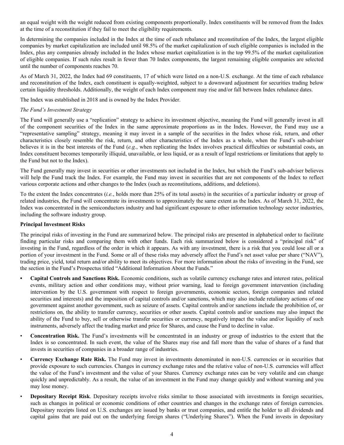an equal weight with the weight reduced from existing components proportionally. Index constituents will be removed from the Index at the time of a reconstitution if they fail to meet the eligibility requirements.

In determining the companies included in the Index at the time of each rebalance and reconstitution of the Index, the largest eligible companies by market capitalization are included until 98.5% of the market capitalization of such eligible companies is included in the Index, plus any companies already included in the Index whose market capitalization is in the top 99.5% of the market capitalization of eligible companies. If such rules result in fewer than 70 Index components, the largest remaining eligible companies are selected until the number of components reaches 70.

As of March 31, 2022, the Index had 69 constituents, 17 of which were listed on a non-U.S. exchange. At the time of each rebalance and reconstitution of the Index, each constituent is equally-weighted, subject to a downward adjustment for securities trading below certain liquidity thresholds. Additionally, the weight of each Index component may rise and/or fall between Index rebalance dates.

The Index was established in 2018 and is owned by the Index Provider.

## *The Fund's Investment Strategy*

The Fund will generally use a "replication" strategy to achieve its investment objective, meaning the Fund will generally invest in all of the component securities of the Index in the same approximate proportions as in the Index. However, the Fund may use a "representative sampling" strategy, meaning it may invest in a sample of the securities in the Index whose risk, return, and other characteristics closely resemble the risk, return, and other characteristics of the Index as a whole, when the Fund's sub-adviser believes it is in the best interests of the Fund (*e.g.*, when replicating the Index involves practical difficulties or substantial costs, an Index constituent becomes temporarily illiquid, unavailable, or less liquid, or as a result of legal restrictions or limitations that apply to the Fund but not to the Index).

The Fund generally may invest in securities or other investments not included in the Index, but which the Fund's sub-adviser believes will help the Fund track the Index. For example, the Fund may invest in securities that are not components of the Index to reflect various corporate actions and other changes to the Index (such as reconstitutions, additions, and deletions).

To the extent the Index concentrates (*i.e.*, holds more than 25% of its total assets) in the securities of a particular industry or group of related industries, the Fund will concentrate its investments to approximately the same extent as the Index. As of March 31, 2022, the Index was concentrated in the semiconductors industry and had significant exposure to other information technology sector industries, including the software industry group.

## **Principal Investment Risks**

The principal risks of investing in the Fund are summarized below. The principal risks are presented in alphabetical order to facilitate finding particular risks and comparing them with other funds. Each risk summarized below is considered a "principal risk" of investing in the Fund, regardless of the order in which it appears. As with any investment, there is a risk that you could lose all or a portion of your investment in the Fund. Some or all of these risks may adversely affect the Fund's net asset value per share ("NAV"), trading price, yield, total return and/or ability to meet its objectives. For more information about the risks of investing in the Fund, see the section in the Fund's Prospectus titled "Additional Information About the Funds."

- **• Capital Controls and Sanctions Risk.** Economic conditions, such as volatile currency exchange rates and interest rates, political events, military action and other conditions may, without prior warning, lead to foreign government intervention (including intervention by the U.S. government with respect to foreign governments, economic sectors, foreign companies and related securities and interests) and the imposition of capital controls and/or sanctions, which may also include retaliatory actions of one government against another government, such as seizure of assets. Capital controls and/or sanctions include the prohibition of, or restrictions on, the ability to transfer currency, securities or other assets. Capital controls and/or sanctions may also impact the ability of the Fund to buy, sell or otherwise transfer securities or currency, negatively impact the value and/or liquidity of such instruments, adversely affect the trading market and price for Shares, and cause the Fund to decline in value.
- **Concentration Risk.** The Fund's investments will be concentrated in an industry or group of industries to the extent that the Index is so concentrated. In such event, the value of the Shares may rise and fall more than the value of shares of a fund that invests in securities of companies in a broader range of industries.
- **Currency Exchange Rate Risk.** The Fund may invest in investments denominated in non-U.S. currencies or in securities that provide exposure to such currencies. Changes in currency exchange rates and the relative value of non-U.S. currencies will affect the value of the Fund's investment and the value of your Shares. Currency exchange rates can be very volatile and can change quickly and unpredictably. As a result, the value of an investment in the Fund may change quickly and without warning and you may lose money.
- **Depositary Receipt Risk**. Depositary receipts involve risks similar to those associated with investments in foreign securities, such as changes in political or economic conditions of other countries and changes in the exchange rates of foreign currencies. Depositary receipts listed on U.S. exchanges are issued by banks or trust companies, and entitle the holder to all dividends and capital gains that are paid out on the underlying foreign shares ("Underlying Shares"). When the Fund invests in depositary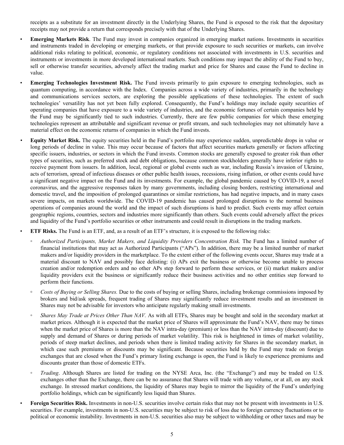receipts as a substitute for an investment directly in the Underlying Shares, the Fund is exposed to the risk that the depositary receipts may not provide a return that corresponds precisely with that of the Underlying Shares.

- **Emerging Markets Risk**. The Fund may invest in companies organized in emerging market nations. Investments in securities and instruments traded in developing or emerging markets, or that provide exposure to such securities or markets, can involve additional risks relating to political, economic, or regulatory conditions not associated with investments in U.S. securities and instruments or investments in more developed international markets. Such conditions may impact the ability of the Fund to buy, sell or otherwise transfer securities, adversely affect the trading market and price for Shares and cause the Fund to decline in value.
	- **Emerging Technologies Investment Risk.** The Fund invests primarily to gain exposure to emerging technologies, such as quantum computing, in accordance with the Index. Companies across a wide variety of industries, primarily in the technology and communications services sectors, are exploring the possible applications of these technologies. The extent of such technologies' versatility has not yet been fully explored. Consequently, the Fund's holdings may include equity securities of operating companies that have exposure to a wide variety of industries, and the economic fortunes of certain companies held by the Fund may be significantly tied to such industries. Currently, there are few public companies for which these emerging technologies represent an attributable and significant revenue or profit stream, and such technologies may not ultimately have a material effect on the economic returns of companies in which the Fund invests.
	- *•* **Equity Market Risk.** The equity securities held in the Fund's portfolio may experience sudden, unpredictable drops in value or long periods of decline in value. This may occur because of factors that affect securities markets generally or factors affecting specific issuers, industries, or sectors in which the Fund invests. Common stocks are generally exposed to greater risk than other types of securities, such as preferred stock and debt obligations, because common stockholders generally have inferior rights to receive payment from issuers. In addition, local, regional or global events such as war, including Russia's invasion of Ukraine, acts of terrorism, spread of infectious diseases or other public health issues, recessions, rising inflation, or other events could have a significant negative impact on the Fund and its investments. For example, the global pandemic caused by COVID-19, a novel coronavirus, and the aggressive responses taken by many governments, including closing borders, restricting international and domestic travel, and the imposition of prolonged quarantines or similar restrictions, has had negative impacts, and in many cases severe impacts, on markets worldwide. The COVID-19 pandemic has caused prolonged disruptions to the normal business operations of companies around the world and the impact of such disruptions is hard to predict. Such events may affect certain geographic regions, countries, sectors and industries more significantly than others. Such events could adversely affect the prices and liquidity of the Fund's portfolio securities or other instruments and could result in disruptions in the trading markets.

• **ETF Risks.** The Fund is an ETF, and, as a result of an ETF's structure, it is exposed to the following risks:

- *Authorized Participants, Market Makers, and Liquidity Providers Concentration Risk.* The Fund has a limited number of financial institutions that may act as Authorized Participants ("APs"). In addition, there may be a limited number of market makers and/or liquidity providers in the marketplace. To the extent either of the following events occur, Shares may trade at a material discount to NAV and possibly face delisting: (i) APs exit the business or otherwise become unable to process creation and/or redemption orders and no other APs step forward to perform these services, or (ii) market makers and/or liquidity providers exit the business or significantly reduce their business activities and no other entities step forward to perform their functions.
- **◦** *Costs of Buying or Selling Shares.* Due to the costs of buying or selling Shares, including brokerage commissions imposed by brokers and bid/ask spreads, frequent trading of Shares may significantly reduce investment results and an investment in Shares may not be advisable for investors who anticipate regularly making small investments.
- *Shares May Trade at Prices Other Than NAV.* As with all ETFs, Shares may be bought and sold in the secondary market at market prices. Although it is expected that the market price of Shares will approximate the Fund's NAV, there may be times when the market price of Shares is more than the NAV intra-day (premium) or less than the NAV intra-day (discount) due to supply and demand of Shares or during periods of market volatility. This risk is heightened in times of market volatility, periods of steep market declines, and periods when there is limited trading activity for Shares in the secondary market, in which case such premiums or discounts may be significant. Because securities held by the Fund may trade on foreign exchanges that are closed when the Fund's primary listing exchange is open, the Fund is likely to experience premiums and discounts greater than those of domestic ETFs.
- *Trading*. Although Shares are listed for trading on the NYSE Arca, Inc. (the "Exchange") and may be traded on U.S. exchanges other than the Exchange, there can be no assurance that Shares will trade with any volume, or at all, on any stock exchange. In stressed market conditions, the liquidity of Shares may begin to mirror the liquidity of the Fund's underlying portfolio holdings, which can be significantly less liquid than Shares.
- **Foreign Securities Risk.** Investments in non-U.S. securities involve certain risks that may not be present with investments in U.S. securities. For example, investments in non-U.S. securities may be subject to risk of loss due to foreign currency fluctuations or to political or economic instability. Investments in non-U.S. securities also may be subject to withholding or other taxes and may be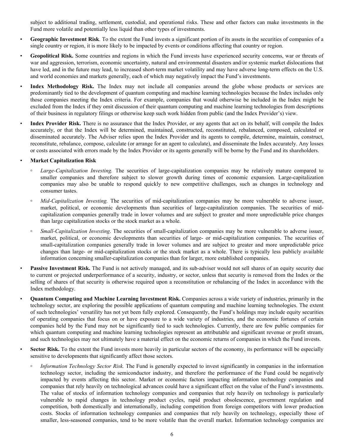subject to additional trading, settlement, custodial, and operational risks. These and other factors can make investments in the Fund more volatile and potentially less liquid than other types of investments.

- **Geographic Investment Risk**. To the extent the Fund invests a significant portion of its assets in the securities of companies of a single country or region, it is more likely to be impacted by events or conditions affecting that country or region.
- **Geopolitical Risk.** Some countries and regions in which the Fund invests have experienced security concerns, war or threats of war and aggression, terrorism, economic uncertainty, natural and environmental disasters and/or systemic market dislocations that have led, and in the future may lead, to increased short-term market volatility and may have adverse long-term effects on the U.S. and world economies and markets generally, each of which may negatively impact the Fund's investments.
- **Index Methodology Risk.** The Index may not include all companies around the globe whose products or services are predominantly tied to the development of quantum computing and machine learning technologies because the Index includes only those companies meeting the Index criteria. For example, companies that would otherwise be included in the Index might be excluded from the Index if they omit discussion of their quantum computing and machine learning technologies from descriptions of their business in regulatory filings or otherwise keep such work hidden from public (and the Index Provider's) view.
- **Index Provider Risk.** There is no assurance that the Index Provider, or any agents that act on its behalf, will compile the Index accurately, or that the Index will be determined, maintained, constructed, reconstituted, rebalanced, composed, calculated or disseminated accurately. The Adviser relies upon the Index Provider and its agents to compile, determine, maintain, construct, reconstitute, rebalance, compose, calculate (or arrange for an agent to calculate), and disseminate the Index accurately. Any losses or costs associated with errors made by the Index Provider or its agents generally will be borne by the Fund and its shareholders.

## • **Market Capitalization Risk**

- Large-Capitalization Investing. The securities of large-capitalization companies may be relatively mature compared to smaller companies and therefore subject to slower growth during times of economic expansion. Large-capitalization companies may also be unable to respond quickly to new competitive challenges, such as changes in technology and consumer tastes.
- **◦** *Mid-Capitalization Investing.* The securities of mid-capitalization companies may be more vulnerable to adverse issuer, market, political, or economic developments than securities of large-capitalization companies. The securities of midcapitalization companies generally trade in lower volumes and are subject to greater and more unpredictable price changes than large capitalization stocks or the stock market as a whole.
- **◦** *Small-Capitalization Investing*. The securities of small-capitalization companies may be more vulnerable to adverse issuer, market, political, or economic developments than securities of large- or mid-capitalization companies. The securities of small-capitalization companies generally trade in lower volumes and are subject to greater and more unpredictable price changes than large- or mid-capitalization stocks or the stock market as a whole. There is typically less publicly available information concerning smaller-capitalization companies than for larger, more established companies.
- **Passive Investment Risk.** The Fund is not actively managed, and its sub-adviser would not sell shares of an equity security due to current or projected underperformance of a security, industry, or sector, unless that security is removed from the Index or the selling of shares of that security is otherwise required upon a reconstitution or rebalancing of the Index in accordance with the Index methodology.
- **Quantum Computing and Machine Learning Investment Risk.** Companies across a wide variety of industries, primarily in the technology sector, are exploring the possible applications of quantum computing and machine learning technologies. The extent of such technologies' versatility has not yet been fully explored. Consequently, the Fund's holdings may include equity securities of operating companies that focus on or have exposure to a wide variety of industries, and the economic fortunes of certain companies held by the Fund may not be significantly tied to such technologies. Currently, there are few public companies for which quantum computing and machine learning technologies represent an attributable and significant revenue or profit stream, and such technologies may not ultimately have a material effect on the economic returns of companies in which the Fund invests.
- **Sector Risk.** To the extent the Fund invests more heavily in particular sectors of the economy, its performance will be especially sensitive to developments that significantly affect those sectors.
	- **◦** *Information Technology Sector Risk.* The Fund is generally expected to invest significantly in companies in the information technology sector, including the semiconductor industry, and therefore the performance of the Fund could be negatively impacted by events affecting this sector. Market or economic factors impacting information technology companies and companies that rely heavily on technological advances could have a significant effect on the value of the Fund's investments. The value of stocks of information technology companies and companies that rely heavily on technology is particularly vulnerable to rapid changes in technology product cycles, rapid product obsolescence, government regulation and competition, both domestically and internationally, including competition from foreign competitors with lower production costs. Stocks of information technology companies and companies that rely heavily on technology, especially those of smaller, less-seasoned companies, tend to be more volatile than the overall market. Information technology companies are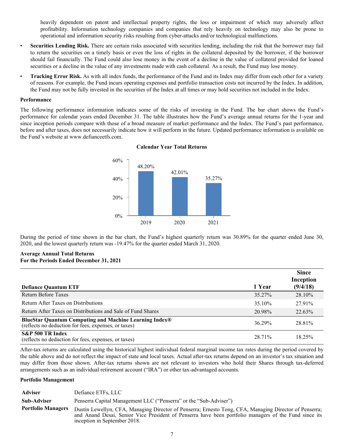heavily dependent on patent and intellectual property rights, the loss or impairment of which may adversely affect profitability. Information technology companies and companies that rely heavily on technology may also be prone to operational and information security risks resulting from cyber-attacks and/or technological malfunctions.

- **Securities Lending Risk.** There are certain risks associated with securities lending, including the risk that the borrower may fail to return the securities on a timely basis or even the loss of rights in the collateral deposited by the borrower, if the borrower should fail financially. The Fund could also lose money in the event of a decline in the value of collateral provided for loaned securities or a decline in the value of any investments made with cash collateral. As a result, the Fund may lose money.
- **Tracking Error Risk.** As with all index funds, the performance of the Fund and its Index may differ from each other for a variety of reasons. For example, the Fund incurs operating expenses and portfolio transaction costs not incurred by the Index. In addition, the Fund may not be fully invested in the securities of the Index at all times or may hold securities not included in the Index.

#### **Performance**

The following performance information indicates some of the risks of investing in the Fund. The bar chart shows the Fund's performance for calendar years ended December 31. The table illustrates how the Fund's average annual returns for the 1-year and since inception periods compare with those of a broad measure of market performance and the Index. The Fund's past performance, before and after taxes, does not necessarily indicate how it will perform in the future. Updated performance information is available on the Fund's website at www.defianceetfs.com.



**Calendar Year Total Returns**

During the period of time shown in the bar chart, the Fund's highest quarterly return was 30.89% for the quarter ended June 30, 2020, and the lowest quarterly return was -19.47% for the quarter ended March 31, 2020.

## **Average Annual Total Returns For the Periods Ended December 31, 2021**

| <b>Defiance Quantum ETF</b>                                                                                           | 1 Year | <b>Since</b><br>Inception<br>(9/4/18) |
|-----------------------------------------------------------------------------------------------------------------------|--------|---------------------------------------|
| <b>Return Before Taxes</b>                                                                                            | 35.27% | 28.10%                                |
| Return After Taxes on Distributions                                                                                   | 35.10% | 27.91%                                |
| Return After Taxes on Distributions and Sale of Fund Shares                                                           | 20.98% | 22.63%                                |
| <b>BlueStar Quantum Computing and Machine Learning Index®</b><br>(reflects no deduction for fees, expenses, or taxes) | 36.29% | 28.81%                                |
| S&P 500 TR Index<br>(reflects no deduction for fees, expenses, or taxes)                                              | 28.71% | 18.25%                                |

After-tax returns are calculated using the historical highest individual federal marginal income tax rates during the period covered by the table above and do not reflect the impact of state and local taxes. Actual after-tax returns depend on an investor's tax situation and may differ from those shown. After-tax returns shown are not relevant to investors who hold their Shares through tax-deferred arrangements such as an individual retirement account ("IRA") or other tax-advantaged accounts.

#### **Portfolio Management**

| <b>Adviser</b>            | Defiance ETFs, LLC                                                                                                                                                                                                                              |
|---------------------------|-------------------------------------------------------------------------------------------------------------------------------------------------------------------------------------------------------------------------------------------------|
| <b>Sub-Adviser</b>        | Penserra Capital Management LLC ("Penserra" or the "Sub-Adviser")                                                                                                                                                                               |
| <b>Portfolio Managers</b> | Dustin Lewellyn, CFA, Managing Director of Penserra; Ernesto Tong, CFA, Managing Director of Penserra;<br>and Anand Desai, Senior Vice President of Penserra have been portfolio managers of the Fund since its<br>inception in September 2018. |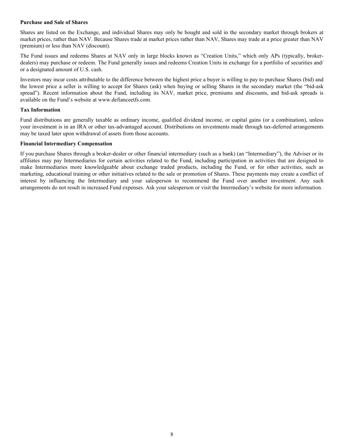### **Purchase and Sale of Shares**

Shares are listed on the Exchange, and individual Shares may only be bought and sold in the secondary market through brokers at market prices, rather than NAV. Because Shares trade at market prices rather than NAV, Shares may trade at a price greater than NAV (premium) or less than NAV (discount).

The Fund issues and redeems Shares at NAV only in large blocks known as "Creation Units," which only APs (typically, brokerdealers) may purchase or redeem. The Fund generally issues and redeems Creation Units in exchange for a portfolio of securities and/ or a designated amount of U.S. cash.

Investors may incur costs attributable to the difference between the highest price a buyer is willing to pay to purchase Shares (bid) and the lowest price a seller is willing to accept for Shares (ask) when buying or selling Shares in the secondary market (the "bid-ask spread"). Recent information about the Fund, including its NAV, market price, premiums and discounts, and bid-ask spreads is available on the Fund's website at www.defianceetfs.com.

## **Tax Information**

Fund distributions are generally taxable as ordinary income, qualified dividend income, or capital gains (or a combination), unless your investment is in an IRA or other tax-advantaged account. Distributions on investments made through tax-deferred arrangements may be taxed later upon withdrawal of assets from those accounts.

#### **Financial Intermediary Compensation**

If you purchase Shares through a broker-dealer or other financial intermediary (such as a bank) (an "Intermediary"), the Adviser or its affiliates may pay Intermediaries for certain activities related to the Fund, including participation in activities that are designed to make Intermediaries more knowledgeable about exchange traded products, including the Fund, or for other activities, such as marketing, educational training or other initiatives related to the sale or promotion of Shares. These payments may create a conflict of interest by influencing the Intermediary and your salesperson to recommend the Fund over another investment. Any such arrangements do not result in increased Fund expenses. Ask your salesperson or visit the Intermediary's website for more information.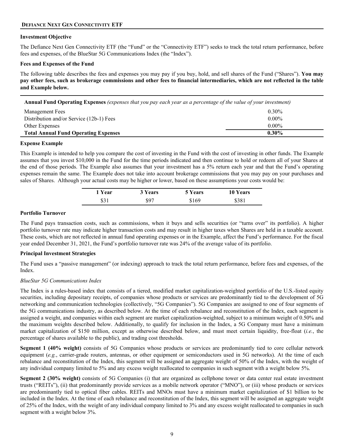## <span id="page-8-0"></span>**DEFIANCE NEXT GEN CONNECTIVITY ETF**

## **Investment Objective**

The Defiance Next Gen Connectivity ETF (the "Fund" or the "Connectivity ETF") seeks to track the total return performance, before fees and expenses, of the BlueStar 5G Communications Index (the "Index").

## **Fees and Expenses of the Fund**

The following table describes the fees and expenses you may pay if you buy, hold, and sell shares of the Fund ("Shares"). **You may pay other fees, such as brokerage commissions and other fees to financial intermediaries, which are not reflected in the table and Example below.**

**Annual Fund Operating Expenses** *(expenses that you pay each year as a percentage of the value of your investment)* Management Fees 0.30% Distribution and/or Service (12b-1) Fees 0.00% Other Expenses 0.00% **Total Annual Fund Operating Expenses 0.30%**

#### **Expense Example**

This Example is intended to help you compare the cost of investing in the Fund with the cost of investing in other funds. The Example assumes that you invest \$10,000 in the Fund for the time periods indicated and then continue to hold or redeem all of your Shares at the end of those periods. The Example also assumes that your investment has a 5% return each year and that the Fund's operating expenses remain the same. The Example does not take into account brokerage commissions that you may pay on your purchases and sales of Shares. Although your actual costs may be higher or lower, based on these assumptions your costs would be:

| 1 Year | 3 Years | <b>5 Years</b> | <b>10 Years</b> |
|--------|---------|----------------|-----------------|
| \$31   | \$97    | \$169          | \$381           |

## **Portfolio Turnover**

The Fund pays transaction costs, such as commissions, when it buys and sells securities (or "turns over" its portfolio). A higher portfolio turnover rate may indicate higher transaction costs and may result in higher taxes when Shares are held in a taxable account. These costs, which are not reflected in annual fund operating expenses or in the Example, affect the Fund's performance. For the fiscal year ended December 31, 2021, the Fund's portfolio turnover rate was 24% of the average value of its portfolio.

## **Principal Investment Strategies**

The Fund uses a "passive management" (or indexing) approach to track the total return performance, before fees and expenses, of the Index.

## *BlueStar 5G Communications Index*

The Index is a rules-based index that consists of a tiered, modified market capitalization-weighted portfolio of the U.S.-listed equity securities, including depositary receipts, of companies whose products or services are predominantly tied to the development of 5G networking and communication technologies (collectively, "5G Companies"). 5G Companies are assigned to one of four segments of the 5G communications industry, as described below. At the time of each rebalance and reconstitution of the Index, each segment is assigned a weight, and companies within each segment are market capitalization-weighted, subject to a minimum weight of 0.50% and the maximum weights described below. Additionally, to qualify for inclusion in the Index, a 5G Company must have a minimum market capitalization of \$150 million, except as otherwise described below, and must meet certain liquidity, free-float (*i.e.*, the percentage of shares available to the public), and trading cost thresholds.

**Segment 1 (40% weight)** consists of 5G Companies whose products or services are predominantly tied to core cellular network equipment (*e.g.*, carrier-grade routers, antennas, or other equipment or semiconductors used in 5G networks). At the time of each rebalance and reconstitution of the Index, this segment will be assigned an aggregate weight of 50% of the Index, with the weight of any individual company limited to 5% and any excess weight reallocated to companies in such segment with a weight below 5%.

**Segment 2 (30% weight)** consists of 5G Companies (i) that are organized as cellphone tower or data center real estate investment trusts ("REITs"), (ii) that predominantly provide services as a mobile network operator ("MNO"), or (iii) whose products or services are predominantly tied to optical fiber cables. REITs and MNOs must have a minimum market capitalization of \$1 billion to be included in the Index. At the time of each rebalance and reconstitution of the Index, this segment will be assigned an aggregate weight of 25% of the Index, with the weight of any individual company limited to 3% and any excess weight reallocated to companies in such segment with a weight below 3%.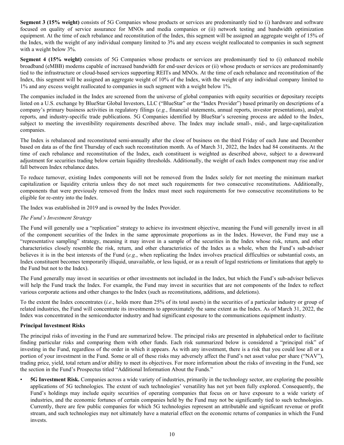**Segment 3 (15% weight)** consists of 5G Companies whose products or services are predominantly tied to (i) hardware and software focused on quality of service assurance for MNOs and media companies or (ii) network testing and bandwidth optimization equipment. At the time of each rebalance and reconstitution of the Index, this segment will be assigned an aggregate weight of 15% of the Index, with the weight of any individual company limited to 3% and any excess weight reallocated to companies in such segment with a weight below 3%.

**Segment 4 (15% weight)** consists of 5G Companies whose products or services are predominantly tied to (i) enhanced mobile broadband (eMBB) modems capable of increased bandwidth for end-user devices or (ii) whose products or services are predominantly tied to the infrastructure or cloud-based services supporting REITs and MNOs. At the time of each rebalance and reconstitution of the Index, this segment will be assigned an aggregate weight of 10% of the Index, with the weight of any individual company limited to 1% and any excess weight reallocated to companies in such segment with a weight below 1%.

The companies included in the Index are screened from the universe of global companies with equity securities or depositary receipts listed on a U.S. exchange by BlueStar Global Investors, LLC ("BlueStar" or the "Index Provider") based primarily on descriptions of a company's primary business activities in regulatory filings (*e.g.*, financial statements, annual reports, investor presentations), analyst reports, and industry-specific trade publications. 5G Companies identified by BlueStar's screening process are added to the Index, subject to meeting the investibility requirements described above. The Index may include small-, mid-, and large-capitalization companies.

The Index is rebalanced and reconstituted semi-annually after the close of business on the third Friday of each June and December based on data as of the first Thursday of each such reconstitution month. As of March 31, 2022, the Index had 84 constituents. At the time of each rebalance and reconstitution of the Index, each constituent is weighted as described above, subject to a downward adjustment for securities trading below certain liquidity thresholds. Additionally, the weight of each Index component may rise and/or fall between Index rebalance dates.

To reduce turnover, existing Index components will not be removed from the Index solely for not meeting the minimum market capitalization or liquidity criteria unless they do not meet such requirements for two consecutive reconstitutions. Additionally, components that were previously removed from the Index must meet such requirements for two consecutive reconstitutions to be eligible for re-entry into the Index.

The Index was established in 2019 and is owned by the Index Provider.

# *The Fund's Investment Strategy*

The Fund will generally use a "replication" strategy to achieve its investment objective, meaning the Fund will generally invest in all of the component securities of the Index in the same approximate proportions as in the Index. However, the Fund may use a "representative sampling" strategy, meaning it may invest in a sample of the securities in the Index whose risk, return, and other characteristics closely resemble the risk, return, and other characteristics of the Index as a whole, when the Fund's sub-adviser believes it is in the best interests of the Fund (*e.g.*, when replicating the Index involves practical difficulties or substantial costs, an Index constituent becomes temporarily illiquid, unavailable, or less liquid, or as a result of legal restrictions or limitations that apply to the Fund but not to the Index).

The Fund generally may invest in securities or other investments not included in the Index, but which the Fund's sub-adviser believes will help the Fund track the Index. For example, the Fund may invest in securities that are not components of the Index to reflect various corporate actions and other changes to the Index (such as reconstitutions, additions, and deletions).

To the extent the Index concentrates (*i.e*., holds more than 25% of its total assets) in the securities of a particular industry or group of related industries, the Fund will concentrate its investments to approximately the same extent as the Index. As of March 31, 2022, the Index was concentrated in the semiconductor industry and had significant exposure to the communications equipment industry.

## **Principal Investment Risks**

The principal risks of investing in the Fund are summarized below. The principal risks are presented in alphabetical order to facilitate finding particular risks and comparing them with other funds. Each risk summarized below is considered a "principal risk" of investing in the Fund, regardless of the order in which it appears. As with any investment, there is a risk that you could lose all or a portion of your investment in the Fund. Some or all of these risks may adversely affect the Fund's net asset value per share ("NAV"), trading price, yield, total return and/or ability to meet its objectives. For more information about the risks of investing in the Fund, see the section in the Fund's Prospectus titled "Additional Information About the Funds."

• **5G Investment Risk.** Companies across a wide variety of industries, primarily in the technology sector, are exploring the possible applications of 5G technologies. The extent of such technologies' versatility has not yet been fully explored. Consequently, the Fund's holdings may include equity securities of operating companies that focus on or have exposure to a wide variety of industries, and the economic fortunes of certain companies held by the Fund may not be significantly tied to such technologies. Currently, there are few public companies for which 5G technologies represent an attributable and significant revenue or profit stream, and such technologies may not ultimately have a material effect on the economic returns of companies in which the Fund invests.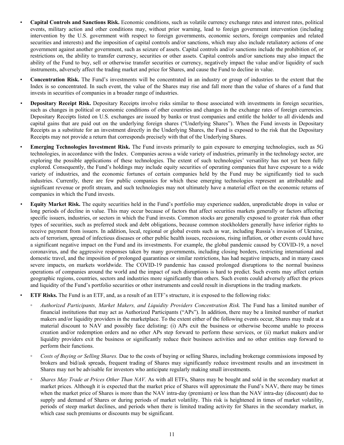- **Capital Controls and Sanctions Risk.** Economic conditions, such as volatile currency exchange rates and interest rates, political events, military action and other conditions may, without prior warning, lead to foreign government intervention (including intervention by the U.S. government with respect to foreign governments, economic sectors, foreign companies and related securities and interests) and the imposition of capital controls and/or sanctions, which may also include retaliatory actions of one government against another government, such as seizure of assets. Capital controls and/or sanctions include the prohibition of, or restrictions on, the ability to transfer currency, securities or other assets. Capital controls and/or sanctions may also impact the ability of the Fund to buy, sell or otherwise transfer securities or currency, negatively impact the value and/or liquidity of such instruments, adversely affect the trading market and price for Shares, and cause the Fund to decline in value.
- **Concentration Risk.** The Fund's investments will be concentrated in an industry or group of industries to the extent that the Index is so concentrated. In such event, the value of the Shares may rise and fall more than the value of shares of a fund that invests in securities of companies in a broader range of industries.
- **Depositary Receipt Risk.** Depositary Receipts involve risks similar to those associated with investments in foreign securities, such as changes in political or economic conditions of other countries and changes in the exchange rates of foreign currencies. Depositary Receipts listed on U.S. exchanges are issued by banks or trust companies and entitle the holder to all dividends and capital gains that are paid out on the underlying foreign shares ("Underlying Shares"). When the Fund invests in Depositary Receipts as a substitute for an investment directly in the Underlying Shares, the Fund is exposed to the risk that the Depositary Receipts may not provide a return that corresponds precisely with that of the Underlying Shares.
- **Emerging Technologies Investment Risk.** The Fund invests primarily to gain exposure to emerging technologies, such as 5G technologies, in accordance with the Index. Companies across a wide variety of industries, primarily in the technology sector, are exploring the possible applications of these technologies. The extent of such technologies' versatility has not yet been fully explored. Consequently, the Fund's holdings may include equity securities of operating companies that have exposure to a wide variety of industries, and the economic fortunes of certain companies held by the Fund may be significantly tied to such industries. Currently, there are few public companies for which these emerging technologies represent an attributable and significant revenue or profit stream, and such technologies may not ultimately have a material effect on the economic returns of companies in which the Fund invests.
- *•* **Equity Market Risk.** The equity securities held in the Fund's portfolio may experience sudden, unpredictable drops in value or long periods of decline in value. This may occur because of factors that affect securities markets generally or factors affecting specific issuers, industries, or sectors in which the Fund invests. Common stocks are generally exposed to greater risk than other types of securities, such as preferred stock and debt obligations, because common stockholders generally have inferior rights to receive payment from issuers. In addition, local, regional or global events such as war, including Russia's invasion of Ukraine, acts of terrorism, spread of infectious diseases or other public health issues, recessions, rising inflation, or other events could have a significant negative impact on the Fund and its investments. For example, the global pandemic caused by COVID-19, a novel coronavirus, and the aggressive responses taken by many governments, including closing borders, restricting international and domestic travel, and the imposition of prolonged quarantines or similar restrictions, has had negative impacts, and in many cases severe impacts, on markets worldwide. The COVID-19 pandemic has caused prolonged disruptions to the normal business operations of companies around the world and the impact of such disruptions is hard to predict. Such events may affect certain geographic regions, countries, sectors and industries more significantly than others. Such events could adversely affect the prices and liquidity of the Fund's portfolio securities or other instruments and could result in disruptions in the trading markets.
- **ETF Risks.** The Fund is an ETF, and, as a result of an ETF's structure, it is exposed to the following risks:
- *Authorized Participants, Market Makers, and Liquidity Providers Concentration Risk.* The Fund has a limited number of financial institutions that may act as Authorized Participants ("APs"). In addition, there may be a limited number of market makers and/or liquidity providers in the marketplace. To the extent either of the following events occur, Shares may trade at a material discount to NAV and possibly face delisting: (i) APs exit the business or otherwise become unable to process creation and/or redemption orders and no other APs step forward to perform these services, or (ii) market makers and/or liquidity providers exit the business or significantly reduce their business activities and no other entities step forward to perform their functions.
- *Costs of Buying or Selling Shares.* Due to the costs of buying or selling Shares, including brokerage commissions imposed by brokers and bid/ask spreads, frequent trading of Shares may significantly reduce investment results and an investment in Shares may not be advisable for investors who anticipate regularly making small investments.
- *Shares May Trade at Prices Other Than NAV.* As with all ETFs, Shares may be bought and sold in the secondary market at market prices. Although it is expected that the market price of Shares will approximate the Fund's NAV, there may be times when the market price of Shares is more than the NAV intra-day (premium) or less than the NAV intra-day (discount) due to supply and demand of Shares or during periods of market volatility. This risk is heightened in times of market volatility, periods of steep market declines, and periods when there is limited trading activity for Shares in the secondary market, in which case such premiums or discounts may be significant.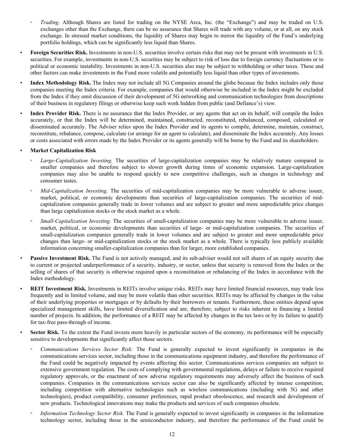- *Trading*. Although Shares are listed for trading on the NYSE Arca, Inc. (the "Exchange") and may be traded on U.S. exchanges other than the Exchange, there can be no assurance that Shares will trade with any volume, or at all, on any stock exchange. In stressed market conditions, the liquidity of Shares may begin to mirror the liquidity of the Fund's underlying portfolio holdings, which can be significantly less liquid than Shares.
- **Foreign Securities Risk.** Investments in non-U.S. securities involve certain risks that may not be present with investments in U.S. securities. For example, investments in non-U.S. securities may be subject to risk of loss due to foreign currency fluctuations or to political or economic instability. Investments in non-U.S. securities also may be subject to withholding or other taxes. These and other factors can make investments in the Fund more volatile and potentially less liquid than other types of investments.
- **Index Methodology Risk.** The Index may not include all 5G Companies around the globe because the Index includes only those companies meeting the Index criteria. For example, companies that would otherwise be included in the Index might be excluded from the Index if they omit discussion of their development of 5G networking and communication technologies from descriptions of their business in regulatory filings or otherwise keep such work hidden from public (and Defiance's) view.
- **Index Provider Risk.** There is no assurance that the Index Provider, or any agents that act on its behalf, will compile the Index accurately, or that the Index will be determined, maintained, constructed, reconstituted, rebalanced, composed, calculated or disseminated accurately. The Adviser relies upon the Index Provider and its agents to compile, determine, maintain, construct, reconstitute, rebalance, compose, calculate (or arrange for an agent to calculate), and disseminate the Index accurately. Any losses or costs associated with errors made by the Index Provider or its agents generally will be borne by the Fund and its shareholders.
- **Market Capitalization Risk**
	- *Large-Capitalization Investing.* The securities of large-capitalization companies may be relatively mature compared to smaller companies and therefore subject to slower growth during times of economic expansion. Large-capitalization companies may also be unable to respond quickly to new competitive challenges, such as changes in technology and consumer tastes.
	- *Mid-Capitalization Investing.* The securities of mid-capitalization companies may be more vulnerable to adverse issuer, market, political, or economic developments than securities of large-capitalization companies. The securities of midcapitalization companies generally trade in lower volumes and are subject to greater and more unpredictable price changes than large capitalization stocks or the stock market as a whole.
	- *Small-Capitalization Investing*. The securities of small-capitalization companies may be more vulnerable to adverse issuer, market, political, or economic developments than securities of large- or mid-capitalization companies. The securities of small-capitalization companies generally trade in lower volumes and are subject to greater and more unpredictable price changes than large- or mid-capitalization stocks or the stock market as a whole. There is typically less publicly available information concerning smaller-capitalization companies than for larger, more established companies.
- **Passive Investment Risk.** The Fund is not actively managed, and its sub-adviser would not sell shares of an equity security due to current or projected underperformance of a security, industry, or sector, unless that security is removed from the Index or the selling of shares of that security is otherwise required upon a reconstitution or rebalancing of the Index in accordance with the Index methodology.
- **REIT Investment Risk.** Investments in REITs involve unique risks. REITs may have limited financial resources, may trade less frequently and in limited volume, and may be more volatile than other securities. REITs may be affected by changes in the value of their underlying properties or mortgages or by defaults by their borrowers or tenants. Furthermore, these entities depend upon specialized management skills, have limited diversification and are, therefore, subject to risks inherent in financing a limited number of projects. In addition, the performance of a REIT may be affected by changes in the tax laws or by its failure to qualify for tax-free pass-through of income.
- **Sector Risk.** To the extent the Fund invests more heavily in particular sectors of the economy, its performance will be especially sensitive to developments that significantly affect those sectors.
	- *Communications Services Sector Risk:* The Fund is generally expected to invest significantly in companies in the communications services sector, including those in the communications equipment industry, and therefore the performance of the Fund could be negatively impacted by events affecting this sector. Communications services companies are subject to extensive government regulation. The costs of complying with governmental regulations, delays or failure to receive required regulatory approvals, or the enactment of new adverse regulatory requirements may adversely affect the business of such companies. Companies in the communications services sector can also be significantly affected by intense competition, including competition with alternative technologies such as wireless communications (including with 5G and other technologies), product compatibility, consumer preferences, rapid product obsolescence, and research and development of new products. Technological innovations may make the products and services of such companies obsolete.
	- *Information Technology Sector Risk.* The Fund is generally expected to invest significantly in companies in the information technology sector, including those in the semiconductor industry, and therefore the performance of the Fund could be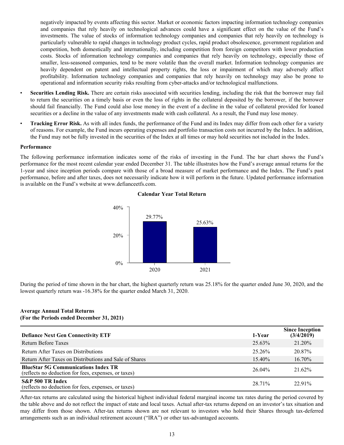negatively impacted by events affecting this sector. Market or economic factors impacting information technology companies and companies that rely heavily on technological advances could have a significant effect on the value of the Fund's investments. The value of stocks of information technology companies and companies that rely heavily on technology is particularly vulnerable to rapid changes in technology product cycles, rapid product obsolescence, government regulation and competition, both domestically and internationally, including competition from foreign competitors with lower production costs. Stocks of information technology companies and companies that rely heavily on technology, especially those of smaller, less-seasoned companies, tend to be more volatile than the overall market. Information technology companies are heavily dependent on patent and intellectual property rights, the loss or impairment of which may adversely affect profitability. Information technology companies and companies that rely heavily on technology may also be prone to operational and information security risks resulting from cyber-attacks and/or technological malfunctions.

- **Securities Lending Risk.** There are certain risks associated with securities lending, including the risk that the borrower may fail to return the securities on a timely basis or even the loss of rights in the collateral deposited by the borrower, if the borrower should fail financially. The Fund could also lose money in the event of a decline in the value of collateral provided for loaned securities or a decline in the value of any investments made with cash collateral. As a result, the Fund may lose money.
- **Tracking Error Risk.** As with all index funds, the performance of the Fund and its Index may differ from each other for a variety of reasons. For example, the Fund incurs operating expenses and portfolio transaction costs not incurred by the Index. In addition, the Fund may not be fully invested in the securities of the Index at all times or may hold securities not included in the Index.

#### **Performance**

The following performance information indicates some of the risks of investing in the Fund. The bar chart shows the Fund's performance for the most recent calendar year ended December 31. The table illustrates how the Fund's average annual returns for the 1-year and since inception periods compare with those of a broad measure of market performance and the Index. The Fund's past performance, before and after taxes, does not necessarily indicate how it will perform in the future. Updated performance information is available on the Fund's website at www.defianceetfs.com.



#### **Calendar Year Total Return**

During the period of time shown in the bar chart, the highest quarterly return was 25.18% for the quarter ended June 30, 2020, and the lowest quarterly return was -16.38% for the quarter ended March 31, 2020.

#### **Average Annual Total Returns (For the Periods ended December 31, 2021)**

| <b>Defiance Next Gen Connectivity ETF</b>                                                          | 1-Year    | <b>Since Inception</b><br>(3/4/2019) |
|----------------------------------------------------------------------------------------------------|-----------|--------------------------------------|
| <b>Return Before Taxes</b>                                                                         | $25.63\%$ | 21.20%                               |
| Return After Taxes on Distributions                                                                | 25 26%    | 20.87%                               |
| Return After Taxes on Distributions and Sale of Shares                                             | $15.40\%$ | $16.70\%$                            |
| <b>BlueStar 5G Communications Index TR</b><br>(reflects no deduction for fees, expenses, or taxes) | $26.04\%$ | $21.62\%$                            |
| S&P 500 TR Index<br>(reflects no deduction for fees, expenses, or taxes)                           | 28 71%    | 22.91%                               |

After-tax returns are calculated using the historical highest individual federal marginal income tax rates during the period covered by the table above and do not reflect the impact of state and local taxes. Actual after-tax returns depend on an investor's tax situation and may differ from those shown. After-tax returns shown are not relevant to investors who hold their Shares through tax-deferred arrangements such as an individual retirement account ("IRA") or other tax-advantaged accounts.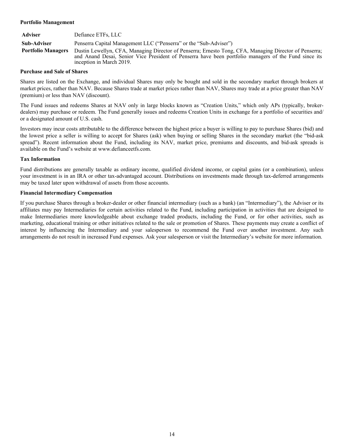### **Portfolio Management**

| Adviser                   | Defiance ETFs, LLC                                                                                                                                                                                                                          |
|---------------------------|---------------------------------------------------------------------------------------------------------------------------------------------------------------------------------------------------------------------------------------------|
| Sub-Adviser               | Penserra Capital Management LLC ("Penserra" or the "Sub-Adviser")                                                                                                                                                                           |
| <b>Portfolio Managers</b> | Dustin Lewellyn, CFA, Managing Director of Penserra; Ernesto Tong, CFA, Managing Director of Penserra;<br>and Anand Desai, Senior Vice President of Penserra have been portfolio managers of the Fund since its<br>inception in March 2019. |

### **Purchase and Sale of Shares**

Shares are listed on the Exchange, and individual Shares may only be bought and sold in the secondary market through brokers at market prices, rather than NAV. Because Shares trade at market prices rather than NAV, Shares may trade at a price greater than NAV (premium) or less than NAV (discount).

The Fund issues and redeems Shares at NAV only in large blocks known as "Creation Units," which only APs (typically, brokerdealers) may purchase or redeem. The Fund generally issues and redeems Creation Units in exchange for a portfolio of securities and/ or a designated amount of U.S. cash.

Investors may incur costs attributable to the difference between the highest price a buyer is willing to pay to purchase Shares (bid) and the lowest price a seller is willing to accept for Shares (ask) when buying or selling Shares in the secondary market (the "bid-ask spread"). Recent information about the Fund, including its NAV, market price, premiums and discounts, and bid-ask spreads is available on the Fund's website at www.defianceetfs.com.

## **Tax Information**

Fund distributions are generally taxable as ordinary income, qualified dividend income, or capital gains (or a combination), unless your investment is in an IRA or other tax-advantaged account. Distributions on investments made through tax-deferred arrangements may be taxed later upon withdrawal of assets from those accounts.

## **Financial Intermediary Compensation**

If you purchase Shares through a broker-dealer or other financial intermediary (such as a bank) (an "Intermediary"), the Adviser or its affiliates may pay Intermediaries for certain activities related to the Fund, including participation in activities that are designed to make Intermediaries more knowledgeable about exchange traded products, including the Fund, or for other activities, such as marketing, educational training or other initiatives related to the sale or promotion of Shares. These payments may create a conflict of interest by influencing the Intermediary and your salesperson to recommend the Fund over another investment. Any such arrangements do not result in increased Fund expenses. Ask your salesperson or visit the Intermediary's website for more information.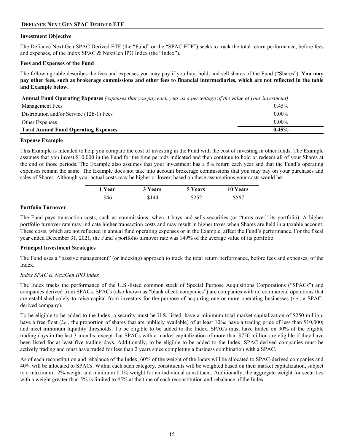## <span id="page-14-0"></span>**DEFIANCE NEXT GEN SPAC DERIVED ETF**

#### **Investment Objective**

The Defiance Next Gen SPAC Derived ETF (the "Fund" or the "SPAC ETF") seeks to track the total return performance, before fees and expenses, of the Indxx SPAC & NextGen IPO Index (the "Index").

#### **Fees and Expenses of the Fund**

The following table describes the fees and expenses you may pay if you buy, hold, and sell shares of the Fund ("Shares"). **You may pay other fees, such as brokerage commissions and other fees to financial intermediaries, which are not reflected in the table and Example below.**

| <b>Annual Fund Operating Expenses</b> (expenses that you pay each year as a percentage of the value of your investment) |          |  |
|-------------------------------------------------------------------------------------------------------------------------|----------|--|
| Management Fees                                                                                                         | 0.45%    |  |
| Distribution and/or Service (12b-1) Fees                                                                                | $0.00\%$ |  |
| $0.00\%$<br>Other Expenses                                                                                              |          |  |
| $0.45\%$<br><b>Total Annual Fund Operating Expenses</b>                                                                 |          |  |

#### **Expense Example**

This Example is intended to help you compare the cost of investing in the Fund with the cost of investing in other funds. The Example assumes that you invest \$10,000 in the Fund for the time periods indicated and then continue to hold or redeem all of your Shares at the end of those periods. The Example also assumes that your investment has a 5% return each year and that the Fund's operating expenses remain the same. The Example does not take into account brokerage commissions that you may pay on your purchases and sales of Shares. Although your actual costs may be higher or lower, based on these assumptions your costs would be:

| 1 Year | 3 Years | <b>5 Years</b> | 10 Years |  |
|--------|---------|----------------|----------|--|
| \$46   | \$144   | \$252          | \$567    |  |

#### **Portfolio Turnover**

The Fund pays transaction costs, such as commissions, when it buys and sells securities (or "turns over" its portfolio). A higher portfolio turnover rate may indicate higher transaction costs and may result in higher taxes when Shares are held in a taxable account. These costs, which are not reflected in annual fund operating expenses or in the Example, affect the Fund's performance. For the fiscal year ended December 31, 2021, the Fund's portfolio turnover rate was 149% of the average value of its portfolio.

#### **Principal Investment Strategies**

The Fund uses a "passive management" (or indexing) approach to track the total return performance, before fees and expenses, of the Index.

## *Indxx SPAC & NextGen IPO Index*

The Index tracks the performance of the U.S.-listed common stock of Special Purpose Acquisitions Corporations ("SPACs") and companies derived from SPACs. SPACs (also known as "blank check companies") are companies with no commercial operations that are established solely to raise capital from investors for the purpose of acquiring one or more operating businesses (*i.e.*, a SPACderived company).

To be eligible to be added to the Index, a security must be U.S.-listed, have a minimum total market capitalization of \$250 million, have a free float *(i.e.*, the proportion of shares that are publicly available) of at least 10%; have a trading price of less than \$10,000; and meet minimum liquidity thresholds. To be eligible to be added to the Index, SPACs must have traded on 90% of the eligible trading days in the last 3 months, except that SPACs with a market capitalization of more than \$750 million are eligible if they have been listed for at least five trading days. Additionally, to be eligible to be added to the Index, SPAC-derived companies must be actively trading and must have traded for less than 2 years since completing a business combination with a SPAC.

As of each reconstitution and rebalance of the Index, 60% of the weight of the Index will be allocated to SPAC-derived companies and 40% will be allocated to SPACs. Within each such category, constituents will be weighted based on their market capitalization, subject to a maximum 12% weight and minimum 0.1% weight for an individual constituent. Additionally, the aggregate weight for securities with a weight greater than 5% is limited to 45% at the time of each reconstitution and rebalance of the Index.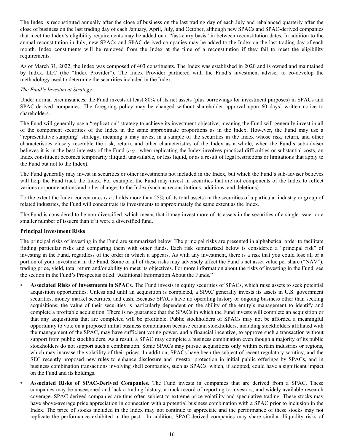The Index is reconstituted annually after the close of business on the last trading day of each July and rebalanced quarterly after the close of business on the last trading day of each January, April, July, and October, although new SPACs and SPAC-derived companies that meet the Index's eligibility requirements may be added on a "fast-entry basis" in between reconstitution dates. In addition to the annual reconstitution in July, new SPACs and SPAC-derived companies may be added to the Index on the last trading day of each month. Index constituents will be removed from the Index at the time of a reconstitution if they fail to meet the eligibility requirements.

As of March 31, 2022, the Index was composed of 403 constituents. The Index was established in 2020 and is owned and maintained by Indxx, LLC (the "Index Provider"). The Index Provider partnered with the Fund's investment adviser to co-develop the methodology used to determine the securities included in the Index.

## *The Fund's Investment Strategy*

Under normal circumstances, the Fund invests at least 80% of its net assets (plus borrowings for investment purposes) in SPACs and SPAC-derived companies. The foregoing policy may be changed without shareholder approval upon 60 days' written notice to shareholders.

The Fund will generally use a "replication" strategy to achieve its investment objective, meaning the Fund will generally invest in all of the component securities of the Index in the same approximate proportions as in the Index. However, the Fund may use a "representative sampling" strategy, meaning it may invest in a sample of the securities in the Index whose risk, return, and other characteristics closely resemble the risk, return, and other characteristics of the Index as a whole, when the Fund's sub-adviser believes it is in the best interests of the Fund (*e.g.*, when replicating the Index involves practical difficulties or substantial costs, an Index constituent becomes temporarily illiquid, unavailable, or less liquid, or as a result of legal restrictions or limitations that apply to the Fund but not to the Index).

The Fund generally may invest in securities or other investments not included in the Index, but which the Fund's sub-adviser believes will help the Fund track the Index. For example, the Fund may invest in securities that are not components of the Index to reflect various corporate actions and other changes to the Index (such as reconstitutions, additions, and deletions).

To the extent the Index concentrates (*i.e.*, holds more than 25% of its total assets) in the securities of a particular industry or group of related industries, the Fund will concentrate its investments to approximately the same extent as the Index.

The Fund is considered to be non-diversified, which means that it may invest more of its assets in the securities of a single issuer or a smaller number of issuers than if it were a diversified fund.

## **Principal Investment Risks**

The principal risks of investing in the Fund are summarized below. The principal risks are presented in alphabetical order to facilitate finding particular risks and comparing them with other funds. Each risk summarized below is considered a "principal risk" of investing in the Fund, regardless of the order in which it appears. As with any investment, there is a risk that you could lose all or a portion of your investment in the Fund. Some or all of these risks may adversely affect the Fund's net asset value per share ("NAV"), trading price, yield, total return and/or ability to meet its objectives. For more information about the risks of investing in the Fund, see the section in the Fund's Prospectus titled "Additional Information About the Funds."

- **Associated Risks of Investments in SPACs**. The Fund invests in equity securities of SPACs, which raise assets to seek potential acquisition opportunities. Unless and until an acquisition is completed, a SPAC generally invests its assets in U.S. government securities, money market securities, and cash. Because SPACs have no operating history or ongoing business other than seeking acquisitions, the value of their securities is particularly dependent on the ability of the entity's management to identify and complete a profitable acquisition. There is no guarantee that the SPACs in which the Fund invests will complete an acquisition or that any acquisitions that are completed will be profitable. Public stockholders of SPACs may not be afforded a meaningful opportunity to vote on a proposed initial business combination because certain stockholders, including stockholders affiliated with the management of the SPAC, may have sufficient voting power, and a financial incentive, to approve such a transaction without support from public stockholders. As a result, a SPAC may complete a business combination even though a majority of its public stockholders do not support such a combination. Some SPACs may pursue acquisitions only within certain industries or regions, which may increase the volatility of their prices. In addition, SPACs have been the subject of recent regulatory scrutiny, and the SEC recently proposed new rules to enhance disclosure and investor protection in initial public offerings by SPACs, and in business combination transactions involving shell companies, such as SPACs, which, if adopted, could have a significant impact on the Fund and its holdings.
- **Associated Risks of SPAC-Derived Companies.** The Fund invests in companies that are derived from a SPAC. These companies may be unseasoned and lack a trading history, a track record of reporting to investors, and widely available research coverage. SPAC-derived companies are thus often subject to extreme price volatility and speculative trading. These stocks may have above-average price appreciation in connection with a potential business combination with a SPAC prior to inclusion in the Index. The price of stocks included in the Index may not continue to appreciate and the performance of these stocks may not replicate the performance exhibited in the past. In addition, SPAC-derived companies may share similar illiquidity risks of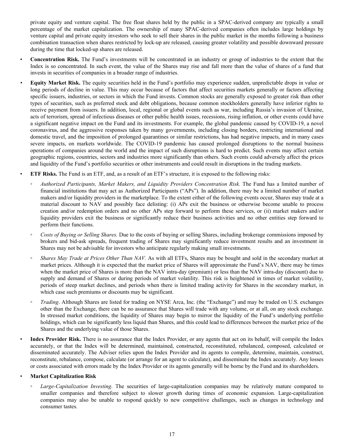private equity and venture capital. The free float shares held by the public in a SPAC-derived company are typically a small percentage of the market capitalization. The ownership of many SPAC-derived companies often includes large holdings by venture capital and private equity investors who seek to sell their shares in the public market in the months following a business combination transaction when shares restricted by lock-up are released, causing greater volatility and possible downward pressure during the time that locked-up shares are released.

- **Concentration Risk.** The Fund's investments will be concentrated in an industry or group of industries to the extent that the Index is so concentrated. In such event, the value of the Shares may rise and fall more than the value of shares of a fund that invests in securities of companies in a broader range of industries.
- *•* **Equity Market Risk.** The equity securities held in the Fund's portfolio may experience sudden, unpredictable drops in value or long periods of decline in value. This may occur because of factors that affect securities markets generally or factors affecting specific issuers, industries, or sectors in which the Fund invests. Common stocks are generally exposed to greater risk than other types of securities, such as preferred stock and debt obligations, because common stockholders generally have inferior rights to receive payment from issuers. In addition, local, regional or global events such as war, including Russia's invasion of Ukraine, acts of terrorism, spread of infectious diseases or other public health issues, recessions, rising inflation, or other events could have a significant negative impact on the Fund and its investments. For example, the global pandemic caused by COVID-19, a novel coronavirus, and the aggressive responses taken by many governments, including closing borders, restricting international and domestic travel, and the imposition of prolonged quarantines or similar restrictions, has had negative impacts, and in many cases severe impacts, on markets worldwide. The COVID-19 pandemic has caused prolonged disruptions to the normal business operations of companies around the world and the impact of such disruptions is hard to predict. Such events may affect certain geographic regions, countries, sectors and industries more significantly than others. Such events could adversely affect the prices and liquidity of the Fund's portfolio securities or other instruments and could result in disruptions in the trading markets.
- **ETF Risks.** The Fund is an ETF, and, as a result of an ETF's structure, it is exposed to the following risks:
- *Authorized Participants, Market Makers, and Liquidity Providers Concentration Risk.* The Fund has a limited number of financial institutions that may act as Authorized Participants ("APs"). In addition, there may be a limited number of market makers and/or liquidity providers in the marketplace. To the extent either of the following events occur, Shares may trade at a material discount to NAV and possibly face delisting: (i) APs exit the business or otherwise become unable to process creation and/or redemption orders and no other APs step forward to perform these services, or (ii) market makers and/or liquidity providers exit the business or significantly reduce their business activities and no other entities step forward to perform their functions.
- *Costs of Buying or Selling Shares.* Due to the costs of buying or selling Shares, including brokerage commissions imposed by brokers and bid-ask spreads, frequent trading of Shares may significantly reduce investment results and an investment in Shares may not be advisable for investors who anticipate regularly making small investments.
- *Shares May Trade at Prices Other Than NAV.* As with all ETFs, Shares may be bought and sold in the secondary market at market prices. Although it is expected that the market price of Shares will approximate the Fund's NAV, there may be times when the market price of Shares is more than the NAV intra-day (premium) or less than the NAV intra-day (discount) due to supply and demand of Shares or during periods of market volatility. This risk is heightened in times of market volatility, periods of steep market declines, and periods when there is limited trading activity for Shares in the secondary market, in which case such premiums or discounts may be significant.
- *Trading*. Although Shares are listed for trading on NYSE Arca, Inc. (the "Exchange") and may be traded on U.S. exchanges other than the Exchange, there can be no assurance that Shares will trade with any volume, or at all, on any stock exchange. In stressed market conditions, the liquidity of Shares may begin to mirror the liquidity of the Fund's underlying portfolio holdings, which can be significantly less liquid than Shares, and this could lead to differences between the market price of the Shares and the underlying value of those Shares.

• **Index Provider Risk.** There is no assurance that the Index Provider, or any agents that act on its behalf, will compile the Index accurately, or that the Index will be determined, maintained, constructed, reconstituted, rebalanced, composed, calculated or disseminated accurately. The Adviser relies upon the Index Provider and its agents to compile, determine, maintain, construct, reconstitute, rebalance, compose, calculate (or arrange for an agent to calculate), and disseminate the Index accurately. Any losses or costs associated with errors made by the Index Provider or its agents generally will be borne by the Fund and its shareholders.

## • **Market Capitalization Risk**

◦ *Large-Capitalization Investing*. The securities of large-capitalization companies may be relatively mature compared to smaller companies and therefore subject to slower growth during times of economic expansion. Large-capitalization companies may also be unable to respond quickly to new competitive challenges, such as changes in technology and consumer tastes.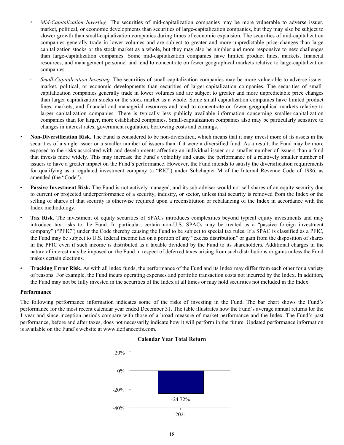- *Mid-Capitalization Investing.* The securities of mid-capitalization companies may be more vulnerable to adverse issuer, market, political, or economic developments than securities of large-capitalization companies, but they may also be subject to slower growth than small-capitalization companies during times of economic expansion. The securities of mid-capitalization companies generally trade in lower volumes and are subject to greater and more unpredictable price changes than large capitalization stocks or the stock market as a whole, but they may also be nimbler and more responsive to new challenges than large-capitalization companies. Some mid-capitalization companies have limited product lines, markets, financial resources, and management personnel and tend to concentrate on fewer geographical markets relative to large-capitalization companies.
- *Small-Capitalization Investing.* The securities of small-capitalization companies may be more vulnerable to adverse issuer, market, political, or economic developments than securities of larger-capitalization companies. The securities of smallcapitalization companies generally trade in lower volumes and are subject to greater and more unpredictable price changes than larger capitalization stocks or the stock market as a whole. Some small capitalization companies have limited product lines, markets, and financial and managerial resources and tend to concentrate on fewer geographical markets relative to larger capitalization companies. There is typically less publicly available information concerning smaller-capitalization companies than for larger, more established companies. Small-capitalization companies also may be particularly sensitive to changes in interest rates, government regulation, borrowing costs and earnings.
- *•* **Non-Diversification Risk.** The Fund is considered to be non-diversified, which means that it may invest more of its assets in the securities of a single issuer or a smaller number of issuers than if it were a diversified fund. As a result, the Fund may be more exposed to the risks associated with and developments affecting an individual issuer or a smaller number of issuers than a fund that invests more widely. This may increase the Fund's volatility and cause the performance of a relatively smaller number of issuers to have a greater impact on the Fund's performance. However, the Fund intends to satisfy the diversification requirements for qualifying as a regulated investment company (a "RIC") under Subchapter M of the Internal Revenue Code of 1986, as amended (the "Code").
- **Passive Investment Risk.** The Fund is not actively managed, and its sub-adviser would not sell shares of an equity security due to current or projected underperformance of a security, industry, or sector, unless that security is removed from the Index or the selling of shares of that security is otherwise required upon a reconstitution or rebalancing of the Index in accordance with the Index methodology.
- **Tax Risk.** The investment of equity securities of SPACs introduces complexities beyond typical equity investments and may introduce tax risks to the Fund. In particular, certain non-U.S. SPACs may be treated as a "passive foreign investment company" ("PFIC") under the Code thereby causing the Fund to be subject to special tax rules. If a SPAC is classified as a PFIC, the Fund may be subject to U.S. federal income tax on a portion of any "excess distribution" or gain from the disposition of shares in the PFIC even if such income is distributed as a taxable dividend by the Fund to its shareholders. Additional charges in the nature of interest may be imposed on the Fund in respect of deferred taxes arising from such distributions or gains unless the Fund makes certain elections.
- **Tracking Error Risk.** As with all index funds, the performance of the Fund and its Index may differ from each other for a variety of reasons. For example, the Fund incurs operating expenses and portfolio transaction costs not incurred by the Index. In addition, the Fund may not be fully invested in the securities of the Index at all times or may hold securities not included in the Index.

#### **Performance**

The following performance information indicates some of the risks of investing in the Fund. The bar chart shows the Fund's performance for the most recent calendar year ended December 31. The table illustrates how the Fund's average annual returns for the 1-year and since inception periods compare with those of a broad measure of market performance and the Index. The Fund's past performance, before and after taxes, does not necessarily indicate how it will perform in the future. Updated performance information is available on the Fund's website at www.defianceetfs.com.



#### **Calendar Year Total Return**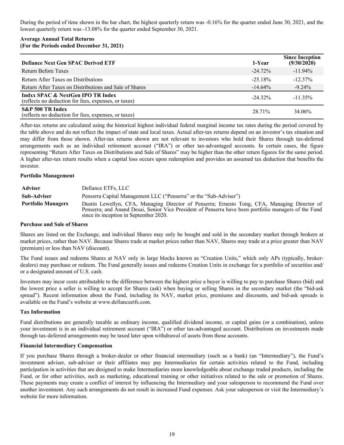During the period of time shown in the bar chart, the highest quarterly return was -0.16% for the quarter ended June 30, 2021, and the lowest quarterly return was -13.08% for the quarter ended September 30, 2021.

## **Average Annual Total Returns (For the Periods ended December 31, 2021)**

| <b>Defiance Next Gen SPAC Derived ETF</b>                                                            | 1-Year      | <b>Since Inception</b><br>(9/30/2020) |
|------------------------------------------------------------------------------------------------------|-------------|---------------------------------------|
| Return Before Taxes                                                                                  | $-24\,72\%$ | $-11.94\%$                            |
| Return After Taxes on Distributions                                                                  | $-25.18\%$  | $-12.37\%$                            |
| Return After Taxes on Distributions and Sale of Shares                                               | $-14.64\%$  | $-9.24\%$                             |
| <b>Indxx SPAC &amp; NextGen IPO TR Index</b><br>(reflects no deduction for fees, expenses, or taxes) | $-24.32\%$  | $-11.35\%$                            |
| S&P 500 TR Index<br>(reflects no deduction for fees, expenses, or taxes)                             | 28 71%      | 34.06%                                |

After-tax returns are calculated using the historical highest individual federal marginal income tax rates during the period covered by the table above and do not reflect the impact of state and local taxes. Actual after-tax returns depend on an investor's tax situation and may differ from those shown. After-tax returns shown are not relevant to investors who hold their Shares through tax-deferred arrangements such as an individual retirement account ("IRA") or other tax-advantaged accounts. In certain cases, the figure representing "Return After Taxes on Distributions and Sale of Shares" may be higher than the other return figures for the same period. A higher after-tax return results when a capital loss occurs upon redemption and provides an assumed tax deduction that benefits the investor.

## **Portfolio Management**

| <b>Adviser</b>            | Defiance ETFs, LLC                                                                                                                                                                                                                              |
|---------------------------|-------------------------------------------------------------------------------------------------------------------------------------------------------------------------------------------------------------------------------------------------|
| Sub-Adviser               | Penserra Capital Management LLC ("Penserra" or the "Sub-Adviser")                                                                                                                                                                               |
| <b>Portfolio Managers</b> | Dustin Lewellyn, CFA, Managing Director of Penserra; Ernesto Tong, CFA, Managing Director of<br>Penserra; and Anand Desai, Senior Vice President of Penserra have been portfolio managers of the Fund<br>since its inception in September 2020. |

### **Purchase and Sale of Shares**

Shares are listed on the Exchange, and individual Shares may only be bought and sold in the secondary market through brokers at market prices, rather than NAV. Because Shares trade at market prices rather than NAV, Shares may trade at a price greater than NAV (premium) or less than NAV (discount).

The Fund issues and redeems Shares at NAV only in large blocks known as "Creation Units," which only APs (typically, brokerdealers) may purchase or redeem. The Fund generally issues and redeems Creation Units in exchange for a portfolio of securities and/ or a designated amount of U.S. cash.

Investors may incur costs attributable to the difference between the highest price a buyer is willing to pay to purchase Shares (bid) and the lowest price a seller is willing to accept for Shares (ask) when buying or selling Shares in the secondary market (the "bid-ask spread"). Recent information about the Fund, including its NAV, market price, premiums and discounts, and bid-ask spreads is available on the Fund's website at www.defianceetfs.com.

## **Tax Information**

Fund distributions are generally taxable as ordinary income, qualified dividend income, or capital gains (or a combination), unless your investment is in an individual retirement account ("IRA") or other tax-advantaged account. Distributions on investments made through tax-deferred arrangements may be taxed later upon withdrawal of assets from those accounts.

## **Financial Intermediary Compensation**

If you purchase Shares through a broker-dealer or other financial intermediary (such as a bank) (an "Intermediary"), the Fund's investment adviser, sub-adviser or their affiliates may pay Intermediaries for certain activities related to the Fund, including participation in activities that are designed to make Intermediaries more knowledgeable about exchange traded products, including the Fund, or for other activities, such as marketing, educational training or other initiatives related to the sale or promotion of Shares. These payments may create a conflict of interest by influencing the Intermediary and your salesperson to recommend the Fund over another investment. Any such arrangements do not result in increased Fund expenses. Ask your salesperson or visit the Intermediary's website for more information.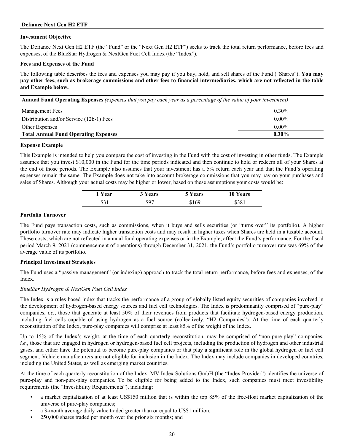## <span id="page-19-0"></span>**Investment Objective**

The Defiance Next Gen H2 ETF (the "Fund" or the "Next Gen H2 ETF") seeks to track the total return performance, before fees and expenses, of the BlueStar Hydrogen & NextGen Fuel Cell Index (the "Index").

### **Fees and Expenses of the Fund**

The following table describes the fees and expenses you may pay if you buy, hold, and sell shares of the Fund ("Shares"). **You may pay other fees, such as brokerage commissions and other fees to financial intermediaries, which are not reflected in the table and Example below.**

| Annual Fund Operating Expenses (expenses that you pay each year as a percentage of the value of your investment) |  |  |  |  |
|------------------------------------------------------------------------------------------------------------------|--|--|--|--|
|------------------------------------------------------------------------------------------------------------------|--|--|--|--|

| <b>Management Fees</b>                      | $0.30\%$ |
|---------------------------------------------|----------|
| Distribution and/or Service (12b-1) Fees    | $0.00\%$ |
| Other Expenses                              | $0.00\%$ |
| <b>Total Annual Fund Operating Expenses</b> | $0.30\%$ |

## **Expense Example**

This Example is intended to help you compare the cost of investing in the Fund with the cost of investing in other funds. The Example assumes that you invest \$10,000 in the Fund for the time periods indicated and then continue to hold or redeem all of your Shares at the end of those periods. The Example also assumes that your investment has a 5% return each year and that the Fund's operating expenses remain the same. The Example does not take into account brokerage commissions that you may pay on your purchases and sales of Shares. Although your actual costs may be higher or lower, based on these assumptions your costs would be:

| 1 Year | 3 Years | 5 Years | <b>10 Years</b> |
|--------|---------|---------|-----------------|
| \$31   | \$97    | \$169   | \$381           |

## **Portfolio Turnover**

The Fund pays transaction costs, such as commissions, when it buys and sells securities (or "turns over" its portfolio). A higher portfolio turnover rate may indicate higher transaction costs and may result in higher taxes when Shares are held in a taxable account. These costs, which are not reflected in annual fund operating expenses or in the Example, affect the Fund's performance. For the fiscal period March 9, 2021 (commencement of operations) through December 31, 2021, the Fund's portfolio turnover rate was 69% of the average value of its portfolio.

## **Principal Investment Strategies**

The Fund uses a "passive management" (or indexing) approach to track the total return performance, before fees and expenses, of the Index.

## *BlueStar Hydrogen & NextGen Fuel Cell Index*

The Index is a rules-based index that tracks the performance of a group of globally listed equity securities of companies involved in the development of hydrogen-based energy sources and fuel cell technologies. The Index is predominantly comprised of "pure-play" companies, *i.e.*, those that generate at least 50% of their revenues from products that facilitate hydrogen-based energy production, including fuel cells capable of using hydrogen as a fuel source (collectively, "H2 Companies"). At the time of each quarterly reconstitution of the Index, pure-play companies will comprise at least 85% of the weight of the Index.

Up to 15% of the Index's weight, at the time of each quarterly reconstitution, may be comprised of "non-pure-play" companies, *i.e.*, those that are engaged in hydrogen or hydrogen-based fuel cell projects, including the production of hydrogen and other industrial gases, and either have the potential to become pure-play companies or that play a significant role in the global hydrogen or fuel cell segment. Vehicle manufacturers are not eligible for inclusion in the Index. The Index may include companies in developed countries, including the United States, as well as emerging market countries.

At the time of each quarterly reconstitution of the Index, MV Index Solutions GmbH (the "Index Provider") identifies the universe of pure-play and non-pure-play companies. To be eligible for being added to the Index, such companies must meet investibility requirements (the "Investibility Requirements"), including:

- a market capitalization of at least US\$150 million that is within the top 85% of the free-float market capitalization of the universe of pure-play companies;
- a 3-month average daily value traded greater than or equal to US\$1 million;
- 250,000 shares traded per month over the prior six months; and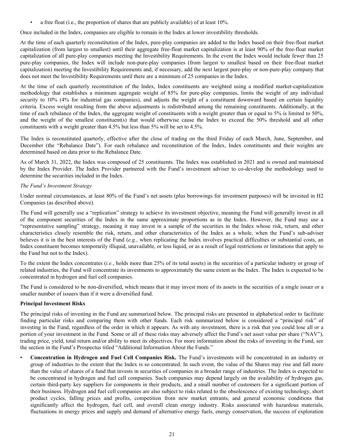• a free float (i.e., the proportion of shares that are publicly available) of at least 10%.

Once included in the Index, companies are eligible to remain in the Index at lower investibility thresholds.

At the time of each quarterly reconstitution of the Index, pure-play companies are added to the Index based on their free-float market capitalization (from largest to smallest) until their aggregate free-float market capitalization is at least 90% of the free-float market capitalization of all pure-play companies meeting the Investibility Requirements. In the event the Index would include fewer than 25 pure-play companies, the Index will include non-pure-play companies (from largest to smallest based on their free-float market capitalization) meeting the Investibility Requirements and, if necessary, add the next largest pure-play or non-pure-play company that does not meet the Investibility Requirements until there are a minimum of 25 companies in the Index.

At the time of each quarterly reconstitution of the Index, Index constituents are weighted using a modified market-capitalization methodology that establishes a minimum aggregate weight of 85% for pure-play companies, limits the weight of any individual security to 10% (4% for industrial gas companies), and adjusts the weight of a constituent downward based on certain liquidity criteria. Excess weight resulting from the above adjustments is redistributed among the remaining constituents. Additionally, at the time of each rebalance of the Index, the aggregate weight of constituents with a weight greater than or equal to 5% is limited to 50%, and the weight of the smallest constituent(s) that would otherwise cause the Index to exceed the 50% threshold and all other constituents with a weight greater than 4.5% but less than 5% will be set to 4.5%.

The Index is reconstituted quarterly, effective after the close of trading on the third Friday of each March, June, September, and December (the "Rebalance Date"). For each rebalance and reconstitution of the Index, Index constituents and their weights are determined based on data prior to the Rebalance Date.

As of March 31, 2022, the Index was composed of 25 constituents. The Index was established in 2021 and is owned and maintained by the Index Provider. The Index Provider partnered with the Fund's investment adviser to co-develop the methodology used to determine the securities included in the Index.

# *The Fund's Investment Strategy*

Under normal circumstances, at least 80% of the Fund's net assets (plus borrowings for investment purposes) will be invested in H2 Companies (as described above).

The Fund will generally use a "replication" strategy to achieve its investment objective, meaning the Fund will generally invest in all of the component securities of the Index in the same approximate proportions as in the Index. However, the Fund may use a "representative sampling" strategy, meaning it may invest in a sample of the securities in the Index whose risk, return, and other characteristics closely resemble the risk, return, and other characteristics of the Index as a whole, when the Fund's sub-adviser believes it is in the best interests of the Fund (*e.g.*, when replicating the Index involves practical difficulties or substantial costs, an Index constituent becomes temporarily illiquid, unavailable, or less liquid, or as a result of legal restrictions or limitations that apply to the Fund but not to the Index).

To the extent the Index concentrates (*i.e.*, holds more than 25% of its total assets) in the securities of a particular industry or group of related industries, the Fund will concentrate its investments to approximately the same extent as the Index. The Index is expected to be concentrated in hydrogen and fuel cell companies.

The Fund is considered to be non-diversified, which means that it may invest more of its assets in the securities of a single issuer or a smaller number of issuers than if it were a diversified fund.

## **Principal Investment Risks**

The principal risks of investing in the Fund are summarized below. The principal risks are presented in alphabetical order to facilitate finding particular risks and comparing them with other funds. Each risk summarized below is considered a "principal risk" of investing in the Fund, regardless of the order in which it appears. As with any investment, there is a risk that you could lose all or a portion of your investment in the Fund. Some or all of these risks may adversely affect the Fund's net asset value per share ("NAV"), trading price, yield, total return and/or ability to meet its objectives. For more information about the risks of investing in the Fund, see the section in the Fund's Prospectus titled "Additional Information About the Funds."

• **Concentration in Hydrogen and Fuel Cell Companies Risk.** The Fund's investments will be concentrated in an industry or group of industries to the extent that the Index is so concentrated. In such event, the value of the Shares may rise and fall more than the value of shares of a fund that invests in securities of companies in a broader range of industries. The Index is expected to be concentrated in hydrogen and fuel cell companies. Such companies may depend largely on the availability of hydrogen gas, certain third-party key suppliers for components in their products, and a small number of customers for a significant portion of their business. Hydrogen and fuel cell companies are also subject to risks related to the obsolescence of existing technology, short product cycles, falling prices and profits, competition from new market entrants, and general economic conditions that significantly affect the hydrogen, fuel cell, and overall clean energy industry. Risks associated with hazardous materials, fluctuations in energy prices and supply and demand of alternative energy fuels, energy conservation, the success of exploration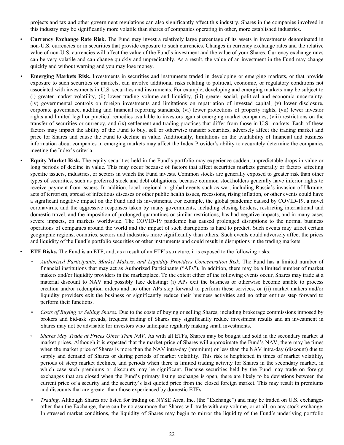projects and tax and other government regulations can also significantly affect this industry. Shares in the companies involved in this industry may be significantly more volatile than shares of companies operating in other, more established industries.

- **Currency Exchange Rate Risk.** The Fund may invest a relatively large percentage of its assets in investments denominated in non-U.S. currencies or in securities that provide exposure to such currencies. Changes in currency exchange rates and the relative value of non-U.S. currencies will affect the value of the Fund's investment and the value of your Shares. Currency exchange rates can be very volatile and can change quickly and unpredictably. As a result, the value of an investment in the Fund may change quickly and without warning and you may lose money.
- *•* **Emerging Markets Risk.** Investments in securities and instruments traded in developing or emerging markets, or that provide exposure to such securities or markets, can involve additional risks relating to political, economic, or regulatory conditions not associated with investments in U.S. securities and instruments. For example, developing and emerging markets may be subject to (i) greater market volatility, (ii) lower trading volume and liquidity, (iii) greater social, political and economic uncertainty, (iv) governmental controls on foreign investments and limitations on repatriation of invested capital, (v) lower disclosure, corporate governance, auditing and financial reporting standards, (vi) fewer protections of property rights, (vii) fewer investor rights and limited legal or practical remedies available to investors against emerging market companies, (viii) restrictions on the transfer of securities or currency, and (ix) settlement and trading practices that differ from those in U.S. markets. Each of these factors may impact the ability of the Fund to buy, sell or otherwise transfer securities, adversely affect the trading market and price for Shares and cause the Fund to decline in value. Additionally, limitations on the availability of financial and business information about companies in emerging markets may affect the Index Provider's ability to accurately determine the companies meeting the Index's criteria.
- *•* **Equity Market Risk.** The equity securities held in the Fund's portfolio may experience sudden, unpredictable drops in value or long periods of decline in value. This may occur because of factors that affect securities markets generally or factors affecting specific issuers, industries, or sectors in which the Fund invests. Common stocks are generally exposed to greater risk than other types of securities, such as preferred stock and debt obligations, because common stockholders generally have inferior rights to receive payment from issuers. In addition, local, regional or global events such as war, including Russia's invasion of Ukraine, acts of terrorism, spread of infectious diseases or other public health issues, recessions, rising inflation, or other events could have a significant negative impact on the Fund and its investments. For example, the global pandemic caused by COVID-19, a novel coronavirus, and the aggressive responses taken by many governments, including closing borders, restricting international and domestic travel, and the imposition of prolonged quarantines or similar restrictions, has had negative impacts, and in many cases severe impacts, on markets worldwide. The COVID-19 pandemic has caused prolonged disruptions to the normal business operations of companies around the world and the impact of such disruptions is hard to predict. Such events may affect certain geographic regions, countries, sectors and industries more significantly than others. Such events could adversely affect the prices and liquidity of the Fund's portfolio securities or other instruments and could result in disruptions in the trading markets.

• **ETF Risks.** The Fund is an ETF, and, as a result of an ETF's structure, it is exposed to the following risks:

- *Authorized Participants, Market Makers, and Liquidity Providers Concentration Risk.* The Fund has a limited number of financial institutions that may act as Authorized Participants ("APs"). In addition, there may be a limited number of market makers and/or liquidity providers in the marketplace. To the extent either of the following events occur, Shares may trade at a material discount to NAV and possibly face delisting: (i) APs exit the business or otherwise become unable to process creation and/or redemption orders and no other APs step forward to perform these services, or (ii) market makers and/or liquidity providers exit the business or significantly reduce their business activities and no other entities step forward to perform their functions.
- *Costs of Buying or Selling Shares.* Due to the costs of buying or selling Shares, including brokerage commissions imposed by brokers and bid-ask spreads, frequent trading of Shares may significantly reduce investment results and an investment in Shares may not be advisable for investors who anticipate regularly making small investments.
- *Shares May Trade at Prices Other Than NAV.* As with all ETFs, Shares may be bought and sold in the secondary market at market prices. Although it is expected that the market price of Shares will approximate the Fund's NAV, there may be times when the market price of Shares is more than the NAV intra-day (premium) or less than the NAV intra-day (discount) due to supply and demand of Shares or during periods of market volatility. This risk is heightened in times of market volatility, periods of steep market declines, and periods when there is limited trading activity for Shares in the secondary market, in which case such premiums or discounts may be significant. Because securities held by the Fund may trade on foreign exchanges that are closed when the Fund's primary listing exchange is open, there are likely to be deviations between the current price of a security and the security's last quoted price from the closed foreign market. This may result in premiums and discounts that are greater than those experienced by domestic ETFs.
- *Trading*. Although Shares are listed for trading on NYSE Arca, Inc. (the "Exchange") and may be traded on U.S. exchanges other than the Exchange, there can be no assurance that Shares will trade with any volume, or at all, on any stock exchange. In stressed market conditions, the liquidity of Shares may begin to mirror the liquidity of the Fund's underlying portfolio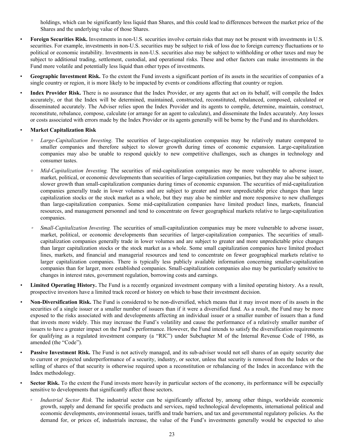holdings, which can be significantly less liquid than Shares, and this could lead to differences between the market price of the Shares and the underlying value of those Shares.

- **Foreign Securities Risk.** Investments in non-U.S. securities involve certain risks that may not be present with investments in U.S. securities. For example, investments in non-U.S. securities may be subject to risk of loss due to foreign currency fluctuations or to political or economic instability. Investments in non-U.S. securities also may be subject to withholding or other taxes and may be subject to additional trading, settlement, custodial, and operational risks. These and other factors can make investments in the Fund more volatile and potentially less liquid than other types of investments.
- **Geographic Investment Risk.** To the extent the Fund invests a significant portion of its assets in the securities of companies of a single country or region, it is more likely to be impacted by events or conditions affecting that country or region.
- **Index Provider Risk.** There is no assurance that the Index Provider, or any agents that act on its behalf, will compile the Index accurately, or that the Index will be determined, maintained, constructed, reconstituted, rebalanced, composed, calculated or disseminated accurately. The Adviser relies upon the Index Provider and its agents to compile, determine, maintain, construct, reconstitute, rebalance, compose, calculate (or arrange for an agent to calculate), and disseminate the Index accurately. Any losses or costs associated with errors made by the Index Provider or its agents generally will be borne by the Fund and its shareholders.

## • **Market Capitalization Risk**

- **◦** *Large-Capitalization Investing*. The securities of large-capitalization companies may be relatively mature compared to smaller companies and therefore subject to slower growth during times of economic expansion. Large-capitalization companies may also be unable to respond quickly to new competitive challenges, such as changes in technology and consumer tastes.
- *Mid-Capitalization Investing.* The securities of mid-capitalization companies may be more vulnerable to adverse issuer, market, political, or economic developments than securities of large-capitalization companies, but they may also be subject to slower growth than small-capitalization companies during times of economic expansion. The securities of mid-capitalization companies generally trade in lower volumes and are subject to greater and more unpredictable price changes than large capitalization stocks or the stock market as a whole, but they may also be nimbler and more responsive to new challenges than large-capitalization companies. Some mid-capitalization companies have limited product lines, markets, financial resources, and management personnel and tend to concentrate on fewer geographical markets relative to large-capitalization companies.
- *Small-Capitalization Investing.* The securities of small-capitalization companies may be more vulnerable to adverse issuer, market, political, or economic developments than securities of larger-capitalization companies. The securities of smallcapitalization companies generally trade in lower volumes and are subject to greater and more unpredictable price changes than larger capitalization stocks or the stock market as a whole. Some small capitalization companies have limited product lines, markets, and financial and managerial resources and tend to concentrate on fewer geographical markets relative to larger capitalization companies. There is typically less publicly available information concerning smaller-capitalization companies than for larger, more established companies. Small-capitalization companies also may be particularly sensitive to changes in interest rates, government regulation, borrowing costs and earnings.
- *•* **Limited Operating History.** The Fund is a recently organized investment company with a limited operating history. As a result, prospective investors have a limited track record or history on which to base their investment decision.
- *•* **Non-Diversification Risk.** The Fund is considered to be non-diversified, which means that it may invest more of its assets in the securities of a single issuer or a smaller number of issuers than if it were a diversified fund. As a result, the Fund may be more exposed to the risks associated with and developments affecting an individual issuer or a smaller number of issuers than a fund that invests more widely. This may increase the Fund's volatility and cause the performance of a relatively smaller number of issuers to have a greater impact on the Fund's performance. However, the Fund intends to satisfy the diversification requirements for qualifying as a regulated investment company (a "RIC") under Subchapter M of the Internal Revenue Code of 1986, as amended (the "Code").
- Passive Investment Risk. The Fund is not actively managed, and its sub-adviser would not sell shares of an equity security due to current or projected underperformance of a security, industry, or sector, unless that security is removed from the Index or the selling of shares of that security is otherwise required upon a reconstitution or rebalancing of the Index in accordance with the Index methodology.
- **Sector Risk.** To the extent the Fund invests more heavily in particular sectors of the economy, its performance will be especially sensitive to developments that significantly affect those sectors.
	- *Industrial Sector Risk.* The industrial sector can be significantly affected by, among other things, worldwide economic growth, supply and demand for specific products and services, rapid technological developments, international political and economic developments, environmental issues, tariffs and trade barriers, and tax and governmental regulatory policies. As the demand for, or prices of, industrials increase, the value of the Fund's investments generally would be expected to also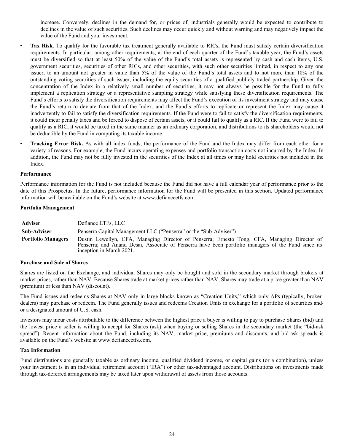increase. Conversely, declines in the demand for, or prices of, industrials generally would be expected to contribute to declines in the value of such securities. Such declines may occur quickly and without warning and may negatively impact the value of the Fund and your investment.

- **Tax Risk**. To qualify for the favorable tax treatment generally available to RICs, the Fund must satisfy certain diversification requirements. In particular, among other requirements, at the end of each quarter of the Fund's taxable year, the Fund's assets must be diversified so that at least 50% of the value of the Fund's total assets is represented by cash and cash items, U.S. government securities, securities of other RICs, and other securities, with such other securities limited, in respect to any one issuer, to an amount not greater in value than 5% of the value of the Fund's total assets and to not more than 10% of the outstanding voting securities of such issuer, including the equity securities of a qualified publicly traded partnership. Given the concentration of the Index in a relatively small number of securities, it may not always be possible for the Fund to fully implement a replication strategy or a representative sampling strategy while satisfying these diversification requirements. The Fund's efforts to satisfy the diversification requirements may affect the Fund's execution of its investment strategy and may cause the Fund's return to deviate from that of the Index, and the Fund's efforts to replicate or represent the Index may cause it inadvertently to fail to satisfy the diversification requirements. If the Fund were to fail to satisfy the diversification requirements, it could incur penalty taxes and be forced to dispose of certain assets, or it could fail to qualify as a RIC. If the Fund were to fail to qualify as a RIC, it would be taxed in the same manner as an ordinary corporation, and distributions to its shareholders would not be deductible by the Fund in computing its taxable income.
- **Tracking Error Risk.** As with all index funds, the performance of the Fund and the Index may differ from each other for a variety of reasons. For example, the Fund incurs operating expenses and portfolio transaction costs not incurred by the Index. In addition, the Fund may not be fully invested in the securities of the Index at all times or may hold securities not included in the Index.

#### **Performance**

Performance information for the Fund is not included because the Fund did not have a full calendar year of performance prior to the date of this Prospectus. In the future, performance information for the Fund will be presented in this section. Updated performance information will be available on the Fund's website at www.defianceetfs.com.

#### **Portfolio Management**

| Adviser                   | Defiance ETFs, LLC                                                                                                                                                                                                              |
|---------------------------|---------------------------------------------------------------------------------------------------------------------------------------------------------------------------------------------------------------------------------|
| <b>Sub-Adviser</b>        | Penserra Capital Management LLC ("Penserra" or the "Sub-Adviser")                                                                                                                                                               |
| <b>Portfolio Managers</b> | Dustin Lewellyn, CFA, Managing Director of Penserra; Ernesto Tong, CFA, Managing Director of<br>Penserra; and Anand Desai, Associate of Penserra have been portfolio managers of the Fund since its<br>inception in March 2021. |

#### **Purchase and Sale of Shares**

Shares are listed on the Exchange, and individual Shares may only be bought and sold in the secondary market through brokers at market prices, rather than NAV. Because Shares trade at market prices rather than NAV, Shares may trade at a price greater than NAV (premium) or less than NAV (discount).

The Fund issues and redeems Shares at NAV only in large blocks known as "Creation Units," which only APs (typically, brokerdealers) may purchase or redeem. The Fund generally issues and redeems Creation Units in exchange for a portfolio of securities and/ or a designated amount of U.S. cash.

Investors may incur costs attributable to the difference between the highest price a buyer is willing to pay to purchase Shares (bid) and the lowest price a seller is willing to accept for Shares (ask) when buying or selling Shares in the secondary market (the "bid-ask spread"). Recent information about the Fund, including its NAV, market price, premiums and discounts, and bid-ask spreads is available on the Fund's website at www.defianceetfs.com.

#### **Tax Information**

Fund distributions are generally taxable as ordinary income, qualified dividend income, or capital gains (or a combination), unless your investment is in an individual retirement account ("IRA") or other tax-advantaged account. Distributions on investments made through tax-deferred arrangements may be taxed later upon withdrawal of assets from those accounts.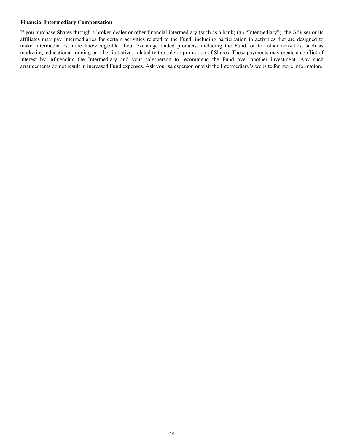## **Financial Intermediary Compensation**

If you purchase Shares through a broker-dealer or other financial intermediary (such as a bank) (an "Intermediary"), the Adviser or its affiliates may pay Intermediaries for certain activities related to the Fund, including participation in activities that are designed to make Intermediaries more knowledgeable about exchange traded products, including the Fund, or for other activities, such as marketing, educational training or other initiatives related to the sale or promotion of Shares. These payments may create a conflict of interest by influencing the Intermediary and your salesperson to recommend the Fund over another investment. Any such arrangements do not result in increased Fund expenses. Ask your salesperson or visit the Intermediary's website for more information.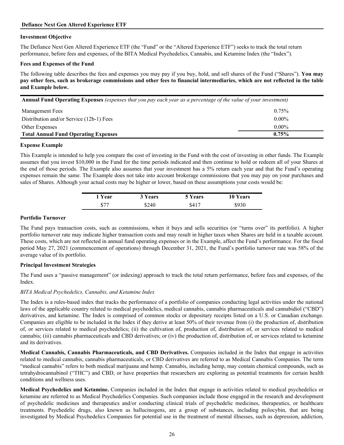## <span id="page-25-0"></span>**Defiance Next Gen Altered Experience ETF**

## **Investment Objective**

The Defiance Next Gen Altered Experience ETF (the "Fund" or the "Altered Experience ETF") seeks to track the total return performance, before fees and expenses, of the BITA Medical Psychedelics, Cannabis, and Ketamine Index (the "Index").

## **Fees and Expenses of the Fund**

The following table describes the fees and expenses you may pay if you buy, hold, and sell shares of the Fund ("Shares"). **You may pay other fees, such as brokerage commissions and other fees to financial intermediaries, which are not reflected in the table and Example below.**

| Annual Fund Operating Expenses (expenses that you pay each year as a percentage of the value of your investment) |  |  |  |
|------------------------------------------------------------------------------------------------------------------|--|--|--|
|------------------------------------------------------------------------------------------------------------------|--|--|--|

| Management Fees                             | 0.75%    |
|---------------------------------------------|----------|
| Distribution and/or Service (12b-1) Fees    | $0.00\%$ |
| Other Expenses                              | $0.00\%$ |
| <b>Total Annual Fund Operating Expenses</b> | $0.75\%$ |

## **Expense Example**

This Example is intended to help you compare the cost of investing in the Fund with the cost of investing in other funds. The Example assumes that you invest \$10,000 in the Fund for the time periods indicated and then continue to hold or redeem all of your Shares at the end of those periods. The Example also assumes that your investment has a 5% return each year and that the Fund's operating expenses remain the same. The Example does not take into account brokerage commissions that you may pay on your purchases and sales of Shares. Although your actual costs may be higher or lower, based on these assumptions your costs would be:

| 1 Year | 3 Years | 5 Years | <b>10 Years</b> |
|--------|---------|---------|-----------------|
| \$77   | \$240   | \$417   | \$930           |

## **Portfolio Turnover**

The Fund pays transaction costs, such as commissions, when it buys and sells securities (or "turns over" its portfolio). A higher portfolio turnover rate may indicate higher transaction costs and may result in higher taxes when Shares are held in a taxable account. These costs, which are not reflected in annual fund operating expenses or in the Example, affect the Fund's performance. For the fiscal period May 27, 2021 (commencement of operations) through December 31, 2021, the Fund's portfolio turnover rate was 58% of the average value of its portfolio.

## **Principal Investment Strategies**

The Fund uses a "passive management" (or indexing) approach to track the total return performance, before fees and expenses, of the Index.

## *BITA Medical Psychedelics, Cannabis, and Ketamine Index*

The Index is a rules-based index that tracks the performance of a portfolio of companies conducting legal activities under the national laws of the applicable country related to medical psychedelics, medical cannabis, cannabis pharmaceuticals and cannabidiol ("CBD") derivatives, and ketamine. The Index is comprised of common stocks or depositary receipts listed on a U.S. or Canadian exchange. Companies are eligible to be included in the Index if they derive at least 50% of their revenue from (i) the production of, distribution of, or services related to medical psychedelics; (ii) the cultivation of, production of, distribution of, or services related to medical cannabis; (iii) cannabis pharmaceuticals and CBD derivatives; or (iv) the production of, distribution of, or services related to ketamine and its derivatives.

**Medical Cannabis, Cannabis Pharmaceuticals, and CBD Derivatives.** Companies included in the Index that engage in activities related to medical cannabis, cannabis pharmaceuticals, or CBD derivatives are referred to as Medical Cannabis Companies. The term "medical cannabis" refers to both medical marijuana and hemp. Cannabis, including hemp, may contain chemical compounds, such as tetrahydrocannabinol ("THC") and CBD, or have properties that researchers are exploring as potential treatments for certain health conditions and wellness uses.

**Medical Psychedelics and Ketamine.** Companies included in the Index that engage in activities related to medical psychedelics or ketamine are referred to as Medical Psychedelics Companies. Such companies include those engaged in the research and development of psychedelic medicines and therapeutics and/or conducting clinical trials of psychedelic medicines, therapeutics, or healthcare treatments. Psychedelic drugs, also known as hallucinogens, are a group of substances, including psilocybin, that are being investigated by Medical Psychedelics Companies for potential use in the treatment of mental illnesses, such as depression, addiction,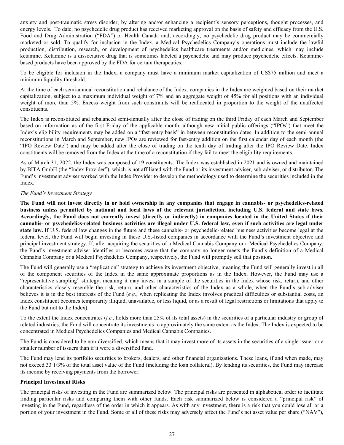anxiety and post-traumatic stress disorder, by altering and/or enhancing a recipient's sensory perceptions, thought processes, and energy levels. To date, no psychedelic drug product has received marketing approval on the basis of safety and efficacy from the U.S. Food and Drug Administration ("FDA") or Health Canada and, accordingly, no psychedelic drug product may be commercially marketed or sold. To qualify for inclusion in the Index, a Medical Psychedelics Company's operations must include the lawful production, distribution, research, or development of psychedelics healthcare treatments and/or medicines, which may include ketamine. Ketamine is a dissociative drug that is sometimes labeled a psychedelic and may produce psychedelic effects. Ketaminebased products have been approved by the FDA for certain therapeutics.

To be eligible for inclusion in the Index, a company must have a minimum market capitalization of US\$75 million and meet a minimum liquidity threshold.

At the time of each semi-annual reconstitution and rebalance of the Index, companies in the Index are weighted based on their market capitalization, subject to a maximum individual weight of 7% and an aggregate weight of 45% for all positions with an individual weight of more than 5%. Excess weight from such constraints will be reallocated in proportion to the weight of the unaffected constituents.

The Index is reconstituted and rebalanced semi-annually after the close of trading on the third Friday of each March and September based on information as of the first Friday of the applicable month, although new initial public offerings ("IPOs") that meet the Index's eligibility requirements may be added on a "fast-entry basis" in between reconstitution dates. In addition to the semi-annual reconstitutions in March and September, new IPOs are reviewed for fast-entry addition on the first calendar day of each month (the "IPO Review Date") and may be added after the close of trading on the tenth day of trading after the IPO Review Date. Index constituents will be removed from the Index at the time of a reconstitution if they fail to meet the eligibility requirements.

As of March 31, 2022, the Index was composed of 19 constituents. The Index was established in 2021 and is owned and maintained by BITA GmbH (the "Index Provider"), which is not affiliated with the Fund or its investment adviser, sub-adviser, or distributor. The Fund's investment adviser worked with the Index Provider to develop the methodology used to determine the securities included in the Index.

## *The Fund's Investment Strategy*

**The Fund will not invest directly in or hold ownership in any companies that engage in cannabis- or psychedelics-related business unless permitted by national and local laws of the relevant jurisdiction, including U.S. federal and state laws. Accordingly, the Fund does not currently invest (directly or indirectly) in companies located in the United States if their cannabis- or psychedelics-related business activities are illegal under U.S. federal law, even if such activities are legal under state law.** If U.S. federal law changes in the future and these cannabis- or psychedelic-related business activities become legal at the federal level, the Fund will begin investing in these U.S.-listed companies in accordance with the Fund's investment objective and principal investment strategy. If, after acquiring the securities of a Medical Cannabis Company or a Medical Psychedelics Company, the Fund's investment adviser identifies or becomes aware that the company no longer meets the Fund's definition of a Medical Cannabis Company or a Medical Psychedelics Company, respectively, the Fund will promptly sell that position.

The Fund will generally use a "replication" strategy to achieve its investment objective, meaning the Fund will generally invest in all of the component securities of the Index in the same approximate proportions as in the Index. However, the Fund may use a "representative sampling" strategy, meaning it may invest in a sample of the securities in the Index whose risk, return, and other characteristics closely resemble the risk, return, and other characteristics of the Index as a whole, when the Fund's sub-adviser believes it is in the best interests of the Fund (*e.g.*, when replicating the Index involves practical difficulties or substantial costs, an Index constituent becomes temporarily illiquid, unavailable, or less liquid, or as a result of legal restrictions or limitations that apply to the Fund but not to the Index).

To the extent the Index concentrates (*i.e.*, holds more than 25% of its total assets) in the securities of a particular industry or group of related industries, the Fund will concentrate its investments to approximately the same extent as the Index. The Index is expected to be concentrated in Medical Psychedelics Companies and Medical Cannabis Companies.

The Fund is considered to be non-diversified, which means that it may invest more of its assets in the securities of a single issuer or a smaller number of issuers than if it were a diversified fund.

The Fund may lend its portfolio securities to brokers, dealers, and other financial organizations. These loans, if and when made, may not exceed 33 1/3% of the total asset value of the Fund (including the loan collateral). By lending its securities, the Fund may increase its income by receiving payments from the borrower.

## **Principal Investment Risks**

The principal risks of investing in the Fund are summarized below. The principal risks are presented in alphabetical order to facilitate finding particular risks and comparing them with other funds. Each risk summarized below is considered a "principal risk" of investing in the Fund, regardless of the order in which it appears. As with any investment, there is a risk that you could lose all or a portion of your investment in the Fund. Some or all of these risks may adversely affect the Fund's net asset value per share ("NAV"),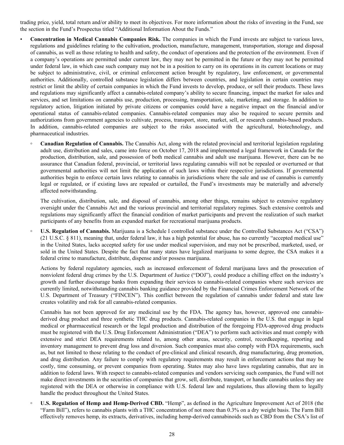trading price, yield, total return and/or ability to meet its objectives. For more information about the risks of investing in the Fund, see the section in the Fund's Prospectus titled "Additional Information About the Funds."

- **Concentration in Medical Cannabis Companies Risk.** The companies in which the Fund invests are subject to various laws, regulations and guidelines relating to the cultivation, production, manufacture, management, transportation, storage and disposal of cannabis, as well as those relating to health and safety, the conduct of operations and the protection of the environment. Even if a company's operations are permitted under current law, they may not be permitted in the future or they may not be permitted under federal law, in which case such company may not be in a position to carry on its operations in its current locations or may be subject to administrative, civil, or criminal enforcement action brought by regulatory, law enforcement, or governmental authorities. Additionally, controlled substance legislation differs between countries, and legislation in certain countries may restrict or limit the ability of certain companies in which the Fund invests to develop, produce, or sell their products. These laws and regulations may significantly affect a cannabis-related company's ability to secure financing, impact the market for sales and services, and set limitations on cannabis use, production, processing, transportation, sale, marketing, and storage. In addition to regulatory action, litigation initiated by private citizens or companies could have a negative impact on the financial and/or operational status of cannabis-related companies. Cannabis-related companies may also be required to secure permits and authorizations from government agencies to cultivate, process, transport, store, market, sell, or research cannabis-based products. In addition, cannabis-related companies are subject to the risks associated with the agricultural, biotechnology, and pharmaceutical industries.
	- **◦ Canadian Regulation of Cannabis.** The Cannabis Act, along with the related provincial and territorial legislation regulating adult use, distribution and sales, came into force on October 17, 2018 and implemented a legal framework in Canada for the production, distribution, sale, and possession of both medical cannabis and adult use marijuana. However, there can be no assurance that Canadian federal, provincial, or territorial laws regulating cannabis will not be repealed or overturned or that governmental authorities will not limit the application of such laws within their respective jurisdictions. If governmental authorities begin to enforce certain laws relating to cannabis in jurisdictions where the sale and use of cannabis is currently legal or regulated, or if existing laws are repealed or curtailed, the Fund's investments may be materially and adversely affected notwithstanding.

The cultivation, distribution, sale, and disposal of cannabis, among other things, remains subject to extensive regulatory oversight under the Cannabis Act and the various provincial and territorial regulatory regimes. Such extensive controls and regulations may significantly affect the financial condition of market participants and prevent the realization of such market participants of any benefits from an expanded market for recreational marijuana products.

**◦ U.S. Regulation of Cannabis.** Marijuana is a Schedule I controlled substance under the Controlled Substances Act ("CSA") (21 U.S.C. § 811), meaning that, under federal law, it has a high potential for abuse, has no currently "accepted medical use" in the United States, lacks accepted safety for use under medical supervision, and may not be prescribed, marketed, used, or sold in the United States. Despite the fact that many states have legalized marijuana to some degree, the CSA makes it a federal crime to manufacture, distribute, dispense and/or possess marijuana.

Actions by federal regulatory agencies, such as increased enforcement of federal marijuana laws and the prosecution of nonviolent federal drug crimes by the U.S. Department of Justice ("DOJ"), could produce a chilling effect on the industry's growth and further discourage banks from expanding their services to cannabis-related companies where such services are currently limited, notwithstanding cannabis banking guidance provided by the Financial Crimes Enforcement Network of the U.S. Department of Treasury ("FINCEN"). This conflict between the regulation of cannabis under federal and state law creates volatility and risk for all cannabis-related companies.

Cannabis has not been approved for any medicinal use by the FDA. The agency has, however, approved one cannabisderived drug product and three synthetic THC drug products. Cannabis-related companies in the U.S. that engage in legal medical or pharmaceutical research or the legal production and distribution of the foregoing FDA-approved drug products must be registered with the U.S. Drug Enforcement Administration ("DEA") to perform such activities and must comply with extensive and strict DEA requirements related to, among other areas, security, control, recordkeeping, reporting and inventory management to prevent drug loss and diversion. Such companies must also comply with FDA requirements, such as, but not limited to those relating to the conduct of pre-clinical and clinical research, drug manufacturing, drug promotion, and drug distribution. Any failure to comply with regulatory requirements may result in enforcement actions that may be costly, time consuming, or prevent companies from operating. States may also have laws regulating cannabis, that are in addition to federal laws. With respect to cannabis-related companies and vendors servicing such companies, the Fund will not make direct investments in the securities of companies that grow, sell, distribute, transport, or handle cannabis unless they are registered with the DEA or otherwise in compliance with U.S. federal law and regulations, thus allowing them to legally handle the product throughout the United States.

**◦ U.S. Regulation of Hemp and Hemp-Derived CBD.** "Hemp", as defined in the Agriculture Improvement Act of 2018 (the "Farm Bill"), refers to cannabis plants with a THC concentration of not more than 0.3% on a dry weight basis. The Farm Bill effectively removes hemp, its extracts, derivatives, including hemp-derived cannabinoids such as CBD from the CSA's list of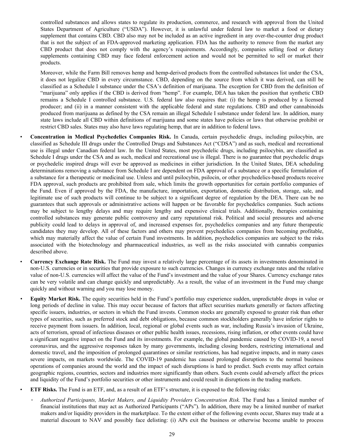controlled substances and allows states to regulate its production, commerce, and research with approval from the United States Department of Agriculture ("USDA"). However, it is unlawful under federal law to market a food or dietary supplement that contains CBD. CBD also may not be included as an active ingredient in any over-the-counter drug product that is not the subject of an FDA-approved marketing application. FDA has the authority to remove from the market any CBD product that does not comply with the agency's requirements. Accordingly, companies selling food or dietary supplements containing CBD may face federal enforcement action and would not be permitted to sell or market their products.

Moreover, while the Farm Bill removes hemp and hemp-derived products from the controlled substances list under the CSA, it does not legalize CBD in every circumstance. CBD, depending on the source from which it was derived, can still be classified as a Schedule I substance under the CSA's definition of marijuana. The exception for CBD from the definition of "marijuana" only applies if the CBD is derived from "hemp". For example, DEA has taken the position that synthetic CBD remains a Schedule I controlled substance. U.S. federal law also requires that: (i) the hemp is produced by a licensed producer; and (ii) in a manner consistent with the applicable federal and state regulations. CBD and other cannabinoids produced from marijuana as defined by the CSA remain an illegal Schedule I substance under federal law. In addition, many state laws include all CBD within definitions of marijuana and some states have policies or laws that otherwise prohibit or restrict CBD sales. States may also have laws regulating hemp, that are in addition to federal laws.

- **Concentration in Medical Psychedelics Companies Risk.** In Canada, certain psychedelic drugs, including psilocybin, are classified as Schedule III drugs under the Controlled Drugs and Substances Act ("CDSA") and as such, medical and recreational use is illegal under Canadian federal law. In the United States, most psychedelic drugs, including psilocybin, are classified as Schedule I drugs under the CSA and as such, medical and recreational use is illegal. There is no guarantee that psychedelic drugs or psychedelic inspired drugs will ever be approved as medicines in either jurisdiction. In the United States, DEA scheduling determinations removing a substance from Schedule I are dependent on FDA approval of a substance or a specific formulation of a substance for a therapeutic or medicinal use. Unless and until psilocybin, psilocin, or other psychedelics-based products receive FDA approval, such products are prohibited from sale, which limits the growth opportunities for certain portfolio companies of the Fund. Even if approved by the FDA, the manufacture, importation, exportation, domestic distribution, storage, sale, and legitimate use of such products will continue to be subject to a significant degree of regulation by the DEA. There can be no guarantees that such approvals or administrative actions will happen or be favorable for psychedelics companies. Such actions may be subject to lengthy delays and may require lengthy and expensive clinical trials. Additionally, therapies containing controlled substances may generate public controversy and carry reputational risk. Political and social pressures and adverse publicity could lead to delays in approval of, and increased expenses for, psychedelics companies and any future therapeutic candidates they may develop. All of these factors and others may prevent psychedelics companies from becoming profitable, which may materially affect the value of certain Fund investments. In addition, psychedelics companies are subject to the risks associated with the biotechnology and pharmaceutical industries, as well as the risks associated with cannabis companies described above.
- **Currency Exchange Rate Risk.** The Fund may invest a relatively large percentage of its assets in investments denominated in non-U.S. currencies or in securities that provide exposure to such currencies. Changes in currency exchange rates and the relative value of non-U.S. currencies will affect the value of the Fund's investment and the value of your Shares. Currency exchange rates can be very volatile and can change quickly and unpredictably. As a result, the value of an investment in the Fund may change quickly and without warning and you may lose money.
- *•* **Equity Market Risk.** The equity securities held in the Fund's portfolio may experience sudden, unpredictable drops in value or long periods of decline in value. This may occur because of factors that affect securities markets generally or factors affecting specific issuers, industries, or sectors in which the Fund invests. Common stocks are generally exposed to greater risk than other types of securities, such as preferred stock and debt obligations, because common stockholders generally have inferior rights to receive payment from issuers. In addition, local, regional or global events such as war, including Russia's invasion of Ukraine, acts of terrorism, spread of infectious diseases or other public health issues, recessions, rising inflation, or other events could have a significant negative impact on the Fund and its investments. For example, the global pandemic caused by COVID-19, a novel coronavirus, and the aggressive responses taken by many governments, including closing borders, restricting international and domestic travel, and the imposition of prolonged quarantines or similar restrictions, has had negative impacts, and in many cases severe impacts, on markets worldwide. The COVID-19 pandemic has caused prolonged disruptions to the normal business operations of companies around the world and the impact of such disruptions is hard to predict. Such events may affect certain geographic regions, countries, sectors and industries more significantly than others. Such events could adversely affect the prices and liquidity of the Fund's portfolio securities or other instruments and could result in disruptions in the trading markets.
	- **ETF Risks.** The Fund is an ETF, and, as a result of an ETF's structure, it is exposed to the following risks:
		- *Authorized Participants, Market Makers, and Liquidity Providers Concentration Risk.* The Fund has a limited number of financial institutions that may act as Authorized Participants ("APs"). In addition, there may be a limited number of market makers and/or liquidity providers in the marketplace. To the extent either of the following events occur, Shares may trade at a material discount to NAV and possibly face delisting: (i) APs exit the business or otherwise become unable to process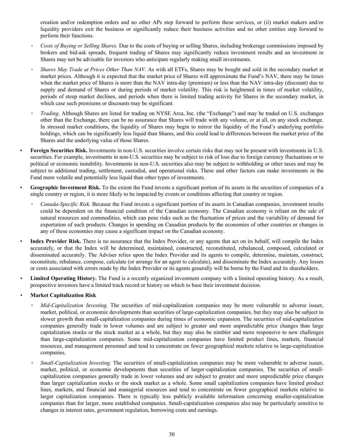creation and/or redemption orders and no other APs step forward to perform these services, or (ii) market makers and/or liquidity providers exit the business or significantly reduce their business activities and no other entities step forward to perform their functions.

- *Costs of Buying or Selling Shares.* Due to the costs of buying or selling Shares, including brokerage commissions imposed by brokers and bid-ask spreads, frequent trading of Shares may significantly reduce investment results and an investment in Shares may not be advisable for investors who anticipate regularly making small investments.
- *Shares May Trade at Prices Other Than NAV.* As with all ETFs, Shares may be bought and sold in the secondary market at market prices. Although it is expected that the market price of Shares will approximate the Fund's NAV, there may be times when the market price of Shares is more than the NAV intra-day (premium) or less than the NAV intra-day (discount) due to supply and demand of Shares or during periods of market volatility. This risk is heightened in times of market volatility, periods of steep market declines, and periods when there is limited trading activity for Shares in the secondary market, in which case such premiums or discounts may be significant.
- *Trading*. Although Shares are listed for trading on NYSE Arca, Inc. (the "Exchange") and may be traded on U.S. exchanges other than the Exchange, there can be no assurance that Shares will trade with any volume, or at all, on any stock exchange. In stressed market conditions, the liquidity of Shares may begin to mirror the liquidity of the Fund's underlying portfolio holdings, which can be significantly less liquid than Shares, and this could lead to differences between the market price of the Shares and the underlying value of those Shares.
- **Foreign Securities Risk.** Investments in non-U.S. securities involve certain risks that may not be present with investments in U.S. securities. For example, investments in non-U.S. securities may be subject to risk of loss due to foreign currency fluctuations or to political or economic instability. Investments in non-U.S. securities also may be subject to withholding or other taxes and may be subject to additional trading, settlement, custodial, and operational risks. These and other factors can make investments in the Fund more volatile and potentially less liquid than other types of investments.
- **Geographic Investment Risk.** To the extent the Fund invests a significant portion of its assets in the securities of companies of a single country or region, it is more likely to be impacted by events or conditions affecting that country or region.
	- *Canada-Specific Risk.* Because the Fund invests a significant portion of its assets in Canadian companies, investment results could be dependent on the financial condition of the Canadian economy. The Canadian economy is reliant on the sale of natural resources and commodities, which can pose risks such as the fluctuation of prices and the variability of demand for exportation of such products. Changes in spending on Canadian products by the economies of other countries or changes in any of these economies may cause a significant impact on the Canadian economy.
- **Index Provider Risk.** There is no assurance that the Index Provider, or any agents that act on its behalf, will compile the Index accurately, or that the Index will be determined, maintained, constructed, reconstituted, rebalanced, composed, calculated or disseminated accurately. The Adviser relies upon the Index Provider and its agents to compile, determine, maintain, construct, reconstitute, rebalance, compose, calculate (or arrange for an agent to calculate), and disseminate the Index accurately. Any losses or costs associated with errors made by the Index Provider or its agents generally will be borne by the Fund and its shareholders.
- *•* **Limited Operating History.** The Fund is a recently organized investment company with a limited operating history. As a result, prospective investors have a limited track record or history on which to base their investment decision.

## *•* **Market Capitalization Risk**

- *Mid-Capitalization Investing.* The securities of mid-capitalization companies may be more vulnerable to adverse issuer, market, political, or economic developments than securities of large-capitalization companies, but they may also be subject to slower growth than small-capitalization companies during times of economic expansion. The securities of mid-capitalization companies generally trade in lower volumes and are subject to greater and more unpredictable price changes than large capitalization stocks or the stock market as a whole, but they may also be nimbler and more responsive to new challenges than large-capitalization companies. Some mid-capitalization companies have limited product lines, markets, financial resources, and management personnel and tend to concentrate on fewer geographical markets relative to large-capitalization companies.
- *Small-Capitalization Investing.* The securities of small-capitalization companies may be more vulnerable to adverse issuer, market, political, or economic developments than securities of larger-capitalization companies. The securities of smallcapitalization companies generally trade in lower volumes and are subject to greater and more unpredictable price changes than larger capitalization stocks or the stock market as a whole. Some small capitalization companies have limited product lines, markets, and financial and managerial resources and tend to concentrate on fewer geographical markets relative to larger capitalization companies. There is typically less publicly available information concerning smaller-capitalization companies than for larger, more established companies. Small-capitalization companies also may be particularly sensitive to changes in interest rates, government regulation, borrowing costs and earnings.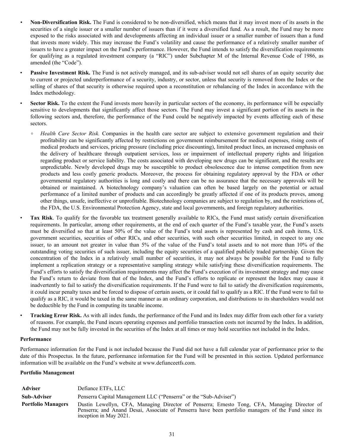- *•* **Non-Diversification Risk.** The Fund is considered to be non-diversified, which means that it may invest more of its assets in the securities of a single issuer or a smaller number of issuers than if it were a diversified fund. As a result, the Fund may be more exposed to the risks associated with and developments affecting an individual issuer or a smaller number of issuers than a fund that invests more widely. This may increase the Fund's volatility and cause the performance of a relatively smaller number of issuers to have a greater impact on the Fund's performance. However, the Fund intends to satisfy the diversification requirements for qualifying as a regulated investment company (a "RIC") under Subchapter M of the Internal Revenue Code of 1986, as amended (the "Code").
- **Passive Investment Risk.** The Fund is not actively managed, and its sub-adviser would not sell shares of an equity security due to current or projected underperformance of a security, industry, or sector, unless that security is removed from the Index or the selling of shares of that security is otherwise required upon a reconstitution or rebalancing of the Index in accordance with the Index methodology.
- **Sector Risk.** To the extent the Fund invests more heavily in particular sectors of the economy, its performance will be especially sensitive to developments that significantly affect those sectors. The Fund may invest a significant portion of its assets in the following sectors and, therefore, the performance of the Fund could be negatively impacted by events affecting each of these sectors.
- **◦** *Health Care Sector Risk.* Companies in the health care sector are subject to extensive government regulation and their profitability can be significantly affected by restrictions on government reimbursement for medical expenses, rising costs of medical products and services, pricing pressure (including price discounting), limited product lines, an increased emphasis on the delivery of healthcare through outpatient services, loss or impairment of intellectual property rights and litigation regarding product or service liability. The costs associated with developing new drugs can be significant, and the results are unpredictable. Newly developed drugs may be susceptible to product obsolescence due to intense competition from new products and less costly generic products. Moreover, the process for obtaining regulatory approval by the FDA or other governmental regulatory authorities is long and costly and there can be no assurance that the necessary approvals will be obtained or maintained. A biotechnology company's valuation can often be based largely on the potential or actual performance of a limited number of products and can accordingly be greatly affected if one of its products proves, among other things, unsafe, ineffective or unprofitable. Biotechnology companies are subject to regulation by, and the restrictions of, the FDA, the U.S. Environmental Protection Agency, state and local governments, and foreign regulatory authorities.
- **Tax Risk**. To qualify for the favorable tax treatment generally available to RICs, the Fund must satisfy certain diversification requirements. In particular, among other requirements, at the end of each quarter of the Fund's taxable year, the Fund's assets must be diversified so that at least 50% of the value of the Fund's total assets is represented by cash and cash items, U.S. government securities, securities of other RICs, and other securities, with such other securities limited, in respect to any one issuer, to an amount not greater in value than 5% of the value of the Fund's total assets and to not more than 10% of the outstanding voting securities of such issuer, including the equity securities of a qualified publicly traded partnership. Given the concentration of the Index in a relatively small number of securities, it may not always be possible for the Fund to fully implement a replication strategy or a representative sampling strategy while satisfying these diversification requirements. The Fund's efforts to satisfy the diversification requirements may affect the Fund's execution of its investment strategy and may cause the Fund's return to deviate from that of the Index, and the Fund's efforts to replicate or represent the Index may cause it inadvertently to fail to satisfy the diversification requirements. If the Fund were to fail to satisfy the diversification requirements, it could incur penalty taxes and be forced to dispose of certain assets, or it could fail to qualify as a RIC. If the Fund were to fail to qualify as a RIC, it would be taxed in the same manner as an ordinary corporation, and distributions to its shareholders would not be deductible by the Fund in computing its taxable income.
- **Tracking Error Risk.** As with all index funds, the performance of the Fund and its Index may differ from each other for a variety of reasons. For example, the Fund incurs operating expenses and portfolio transaction costs not incurred by the Index. In addition, the Fund may not be fully invested in the securities of the Index at all times or may hold securities not included in the Index.

#### **Performance**

Performance information for the Fund is not included because the Fund did not have a full calendar year of performance prior to the date of this Prospectus. In the future, performance information for the Fund will be presented in this section. Updated performance information will be available on the Fund's website at www.defianceetfs.com.

## **Portfolio Management**

| <b>Adviser</b>            | Defiance ETFs, LLC                                                                                                                                                                                                            |
|---------------------------|-------------------------------------------------------------------------------------------------------------------------------------------------------------------------------------------------------------------------------|
| Sub-Adviser               | Penserra Capital Management LLC ("Penserra" or the "Sub-Adviser")                                                                                                                                                             |
| <b>Portfolio Managers</b> | Dustin Lewellyn, CFA, Managing Director of Penserra; Ernesto Tong, CFA, Managing Director of<br>Penserra; and Anand Desai, Associate of Penserra have been portfolio managers of the Fund since its<br>inception in May 2021. |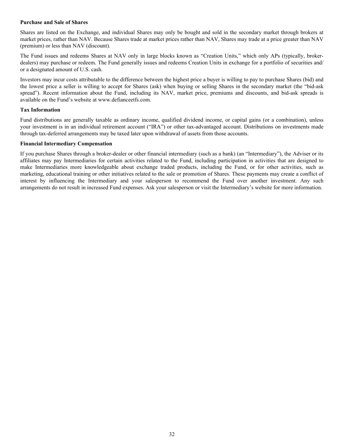### **Purchase and Sale of Shares**

Shares are listed on the Exchange, and individual Shares may only be bought and sold in the secondary market through brokers at market prices, rather than NAV. Because Shares trade at market prices rather than NAV, Shares may trade at a price greater than NAV (premium) or less than NAV (discount).

The Fund issues and redeems Shares at NAV only in large blocks known as "Creation Units," which only APs (typically, brokerdealers) may purchase or redeem. The Fund generally issues and redeems Creation Units in exchange for a portfolio of securities and/ or a designated amount of U.S. cash.

Investors may incur costs attributable to the difference between the highest price a buyer is willing to pay to purchase Shares (bid) and the lowest price a seller is willing to accept for Shares (ask) when buying or selling Shares in the secondary market (the "bid-ask spread"). Recent information about the Fund, including its NAV, market price, premiums and discounts, and bid-ask spreads is available on the Fund's website at www.defianceetfs.com.

## **Tax Information**

Fund distributions are generally taxable as ordinary income, qualified dividend income, or capital gains (or a combination), unless your investment is in an individual retirement account ("IRA") or other tax-advantaged account. Distributions on investments made through tax-deferred arrangements may be taxed later upon withdrawal of assets from those accounts.

## **Financial Intermediary Compensation**

If you purchase Shares through a broker-dealer or other financial intermediary (such as a bank) (an "Intermediary"), the Adviser or its affiliates may pay Intermediaries for certain activities related to the Fund, including participation in activities that are designed to make Intermediaries more knowledgeable about exchange traded products, including the Fund, or for other activities, such as marketing, educational training or other initiatives related to the sale or promotion of Shares. These payments may create a conflict of interest by influencing the Intermediary and your salesperson to recommend the Fund over another investment. Any such arrangements do not result in increased Fund expenses. Ask your salesperson or visit the Intermediary's website for more information.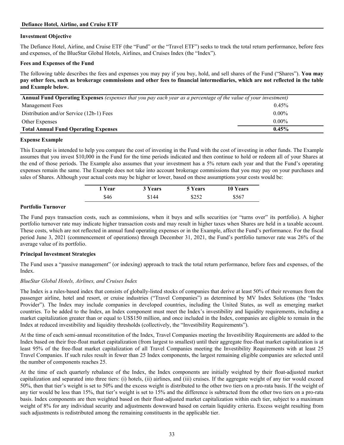## <span id="page-32-0"></span>**Defiance Hotel, Airline, and Cruise ETF**

## **Investment Objective**

The Defiance Hotel, Airline, and Cruise ETF (the "Fund" or the "Travel ETF") seeks to track the total return performance, before fees and expenses, of the BlueStar Global Hotels, Airlines, and Cruises Index (the "Index").

#### **Fees and Expenses of the Fund**

The following table describes the fees and expenses you may pay if you buy, hold, and sell shares of the Fund ("Shares"). **You may pay other fees, such as brokerage commissions and other fees to financial intermediaries, which are not reflected in the table and Example below.**

| Annual Fund Operating Expenses (expenses that you pay each year as a percentage of the value of your investment) |          |  |
|------------------------------------------------------------------------------------------------------------------|----------|--|
| <b>Management Fees</b>                                                                                           | 0.45%    |  |
| Distribution and/or Service (12b-1) Fees                                                                         | $0.00\%$ |  |
| Other Expenses                                                                                                   | $0.00\%$ |  |
| <b>Total Annual Fund Operating Expenses</b>                                                                      | $0.45\%$ |  |

#### **Expense Example**

This Example is intended to help you compare the cost of investing in the Fund with the cost of investing in other funds. The Example assumes that you invest \$10,000 in the Fund for the time periods indicated and then continue to hold or redeem all of your Shares at the end of those periods. The Example also assumes that your investment has a 5% return each year and that the Fund's operating expenses remain the same. The Example does not take into account brokerage commissions that you may pay on your purchases and sales of Shares. Although your actual costs may be higher or lower, based on these assumptions your costs would be:

| 1 Year | 3 Years | 5 Years | <b>10 Years</b> |  |
|--------|---------|---------|-----------------|--|
| \$46   | \$144   | \$252   | \$567           |  |

# **Portfolio Turnover**

The Fund pays transaction costs, such as commissions, when it buys and sells securities (or "turns over" its portfolio). A higher portfolio turnover rate may indicate higher transaction costs and may result in higher taxes when Shares are held in a taxable account. These costs, which are not reflected in annual fund operating expenses or in the Example, affect the Fund's performance. For the fiscal period June 3, 2021 (commencement of operations) through December 31, 2021, the Fund's portfolio turnover rate was 26% of the average value of its portfolio.

# **Principal Investment Strategies**

The Fund uses a "passive management" (or indexing) approach to track the total return performance, before fees and expenses, of the Index.

#### *BlueStar Global Hotels, Airlines, and Cruises Index*

The Index is a rules-based index that consists of globally-listed stocks of companies that derive at least 50% of their revenues from the passenger airline, hotel and resort, or cruise industries ("Travel Companies") as determined by MV Index Solutions (the "Index Provider"). The Index may include companies in developed countries, including the United States, as well as emerging market countries. To be added to the Index, an Index component must meet the Index's investibility and liquidity requirements, including a market capitalization greater than or equal to US\$150 million, and once included in the Index, companies are eligible to remain in the Index at reduced investibility and liquidity thresholds (collectively, the "Investibility Requirements").

At the time of each semi-annual reconstitution of the Index, Travel Companies meeting the Investibility Requirements are added to the Index based on their free-float market capitalization (from largest to smallest) until their aggregate free-float market capitalization is at least 95% of the free-float market capitalization of all Travel Companies meeting the Investibility Requirements with at least 25 Travel Companies. If such rules result in fewer than 25 Index components, the largest remaining eligible companies are selected until the number of components reaches 25.

At the time of each quarterly rebalance of the Index, the Index components are initially weighted by their float-adjusted market capitalization and separated into three tiers: (i) hotels, (ii) airlines, and (iii) cruises. If the aggregate weight of any tier would exceed 50%, then that tier's weight is set to 50% and the excess weight is distributed to the other two tiers on a pro-rata basis. If the weight of any tier would be less than 15%, that tier's weight is set to 15% and the difference is subtracted from the other two tiers on a pro-rata basis. Index components are then weighted based on their float-adjusted market capitalization within each tier, subject to a maximum weight of 8% for any individual security and adjustments downward based on certain liquidity criteria. Excess weight resulting from such adjustments is redistributed among the remaining constituents in the applicable tier.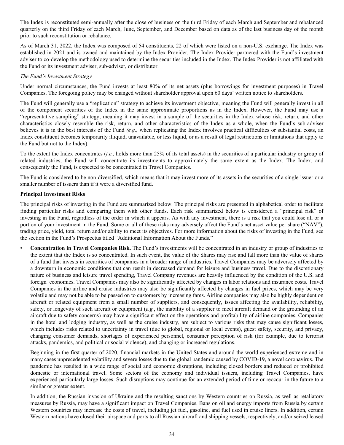The Index is reconstituted semi-annually after the close of business on the third Friday of each March and September and rebalanced quarterly on the third Friday of each March, June, September, and December based on data as of the last business day of the month prior to such reconstitution or rebalance.

As of March 31, 2022, the Index was composed of 54 constituents, 22 of which were listed on a non-U.S. exchange. The Index was established in 2021 and is owned and maintained by the Index Provider. The Index Provider partnered with the Fund's investment adviser to co-develop the methodology used to determine the securities included in the Index. The Index Provider is not affiliated with the Fund or its investment adviser, sub-adviser, or distributor.

## *The Fund's Investment Strategy*

Under normal circumstances, the Fund invests at least 80% of its net assets (plus borrowings for investment purposes) in Travel Companies. The foregoing policy may be changed without shareholder approval upon 60 days' written notice to shareholders.

The Fund will generally use a "replication" strategy to achieve its investment objective, meaning the Fund will generally invest in all of the component securities of the Index in the same approximate proportions as in the Index. However, the Fund may use a "representative sampling" strategy, meaning it may invest in a sample of the securities in the Index whose risk, return, and other characteristics closely resemble the risk, return, and other characteristics of the Index as a whole, when the Fund's sub-adviser believes it is in the best interests of the Fund *(e.g.,* when replicating the Index involves practical difficulties or substantial costs, an Index constituent becomes temporarily illiquid, unavailable, or less liquid, or as a result of legal restrictions or limitations that apply to the Fund but not to the Index).

To the extent the Index concentrates (*i.e.*, holds more than 25% of its total assets) in the securities of a particular industry or group of related industries, the Fund will concentrate its investments to approximately the same extent as the Index. The Index, and consequently the Fund, is expected to be concentrated in Travel Companies.

The Fund is considered to be non-diversified, which means that it may invest more of its assets in the securities of a single issuer or a smaller number of issuers than if it were a diversified fund.

## **Principal Investment Risks**

The principal risks of investing in the Fund are summarized below. The principal risks are presented in alphabetical order to facilitate finding particular risks and comparing them with other funds. Each risk summarized below is considered a "principal risk" of investing in the Fund, regardless of the order in which it appears. As with any investment, there is a risk that you could lose all or a portion of your investment in the Fund. Some or all of these risks may adversely affect the Fund's net asset value per share ("NAV"), trading price, yield, total return and/or ability to meet its objectives. For more information about the risks of investing in the Fund, see the section in the Fund's Prospectus titled "Additional Information About the Funds."

• **Concentration in Travel Companies Risk.** The Fund's investments will be concentrated in an industry or group of industries to the extent that the Index is so concentrated. In such event, the value of the Shares may rise and fall more than the value of shares of a fund that invests in securities of companies in a broader range of industries. Travel Companies may be adversely affected by a downturn in economic conditions that can result in decreased demand for leisure and business travel. Due to the discretionary nature of business and leisure travel spending, Travel Company revenues are heavily influenced by the condition of the U.S. and foreign economies. Travel Companies may also be significantly affected by changes in labor relations and insurance costs. Travel Companies in the airline and cruise industries may also be significantly affected by changes in fuel prices, which may be very volatile and may not be able to be passed on to customers by increasing fares. Airline companies may also be highly dependent on aircraft or related equipment from a small number of suppliers, and consequently, issues affecting the availability, reliability, safety, or longevity of such aircraft or equipment (*e.g.*, the inability of a supplier to meet aircraft demand or the grounding of an aircraft due to safety concerns) may have a significant effect on the operations and profitability of airline companies. Companies in the hotel and lodging industry, as well as the cruise industry, are subject to various risks that may cause significant losses, which includes risks related to uncertainty in travel (due to global, regional or local events), guest safety, security, and privacy, changing consumer demands, shortages of experienced personnel, consumer perception of risk (for example, due to terrorist attacks, pandemics, and political or social violence), and changing or increased regulations.

Beginning in the first quarter of 2020, financial markets in the United States and around the world experienced extreme and in many cases unprecedented volatility and severe losses due to the global pandemic caused by COVID-19, a novel coronavirus. The pandemic has resulted in a wide range of social and economic disruptions, including closed borders and reduced or prohibited domestic or international travel. Some sectors of the economy and individual issuers, including Travel Companies, have experienced particularly large losses. Such disruptions may continue for an extended period of time or reoccur in the future to a similar or greater extent.

In addition, the Russian invasion of Ukraine and the resulting sanctions by Western countries on Russia, as well as retaliatory measures by Russia, may have a significant impact on Travel Companies. Bans on oil and energy imports from Russia by certain Western countries may increase the costs of travel, including jet fuel, gasoline, and fuel used in cruise liners. In addition, certain Western nations have closed their airspace and ports to all Russian aircraft and shipping vessels, respectively, and/or seized leased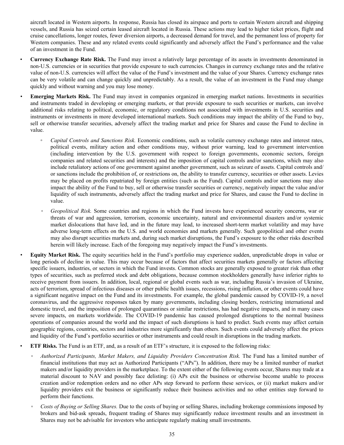aircraft located in Western airports. In response, Russia has closed its airspace and ports to certain Western aircraft and shipping vessels, and Russia has seized certain leased aircraft located in Russia. These actions may lead to higher ticket prices, flight and cruise cancellations, longer routes, fewer diversion airports, a decreased demand for travel, and the permanent loss of property for Western companies. These and any related events could significantly and adversely affect the Fund's performance and the value of an investment in the Fund.

- **Currency Exchange Rate Risk.** The Fund may invest a relatively large percentage of its assets in investments denominated in non-U.S. currencies or in securities that provide exposure to such currencies. Changes in currency exchange rates and the relative value of non-U.S. currencies will affect the value of the Fund's investment and the value of your Shares. Currency exchange rates can be very volatile and can change quickly and unpredictably. As a result, the value of an investment in the Fund may change quickly and without warning and you may lose money.
- **Emerging Markets Risk.** The Fund may invest in companies organized in emerging market nations. Investments in securities and instruments traded in developing or emerging markets, or that provide exposure to such securities or markets, can involve additional risks relating to political, economic, or regulatory conditions not associated with investments in U.S. securities and instruments or investments in more developed international markets. Such conditions may impact the ability of the Fund to buy, sell or otherwise transfer securities, adversely affect the trading market and price for Shares and cause the Fund to decline in value.
	- *Capital Controls and Sanctions Risk.* Economic conditions, such as volatile currency exchange rates and interest rates, political events, military action and other conditions may, without prior warning, lead to government intervention (including intervention by the U.S. government with respect to foreign governments, economic sectors, foreign companies and related securities and interests) and the imposition of capital controls and/or sanctions, which may also include retaliatory actions of one government against another government, such as seizure of assets. Capital controls and/ or sanctions include the prohibition of, or restrictions on, the ability to transfer currency, securities or other assets. Levies may be placed on profits repatriated by foreign entities (such as the Fund). Capital controls and/or sanctions may also impact the ability of the Fund to buy, sell or otherwise transfer securities or currency, negatively impact the value and/or liquidity of such instruments, adversely affect the trading market and price for Shares, and cause the Fund to decline in value.
	- *Geopolitical Risk.* Some countries and regions in which the Fund invests have experienced security concerns, war or threats of war and aggression, terrorism, economic uncertainty, natural and environmental disasters and/or systemic market dislocations that have led, and in the future may lead, to increased short-term market volatility and may have adverse long-term effects on the U.S. and world economies and markets generally. Such geopolitical and other events may also disrupt securities markets and, during such market disruptions, the Fund's exposure to the other risks described herein will likely increase. Each of the foregoing may negatively impact the Fund's investments.
- *•* **Equity Market Risk.** The equity securities held in the Fund's portfolio may experience sudden, unpredictable drops in value or long periods of decline in value. This may occur because of factors that affect securities markets generally or factors affecting specific issuers, industries, or sectors in which the Fund invests. Common stocks are generally exposed to greater risk than other types of securities, such as preferred stock and debt obligations, because common stockholders generally have inferior rights to receive payment from issuers. In addition, local, regional or global events such as war, including Russia's invasion of Ukraine, acts of terrorism, spread of infectious diseases or other public health issues, recessions, rising inflation, or other events could have a significant negative impact on the Fund and its investments. For example, the global pandemic caused by COVID-19, a novel coronavirus, and the aggressive responses taken by many governments, including closing borders, restricting international and domestic travel, and the imposition of prolonged quarantines or similar restrictions, has had negative impacts, and in many cases severe impacts, on markets worldwide. The COVID-19 pandemic has caused prolonged disruptions to the normal business operations of companies around the world and the impact of such disruptions is hard to predict. Such events may affect certain geographic regions, countries, sectors and industries more significantly than others. Such events could adversely affect the prices and liquidity of the Fund's portfolio securities or other instruments and could result in disruptions in the trading markets.
- **ETF Risks.** The Fund is an ETF, and, as a result of an ETF's structure, it is exposed to the following risks:
	- *Authorized Participants, Market Makers, and Liquidity Providers Concentration Risk.* The Fund has a limited number of financial institutions that may act as Authorized Participants ("APs"). In addition, there may be a limited number of market makers and/or liquidity providers in the marketplace. To the extent either of the following events occur, Shares may trade at a material discount to NAV and possibly face delisting: (i) APs exit the business or otherwise become unable to process creation and/or redemption orders and no other APs step forward to perform these services, or (ii) market makers and/or liquidity providers exit the business or significantly reduce their business activities and no other entities step forward to perform their functions.
	- *Costs of Buying or Selling Shares.* Due to the costs of buying or selling Shares, including brokerage commissions imposed by brokers and bid-ask spreads, frequent trading of Shares may significantly reduce investment results and an investment in Shares may not be advisable for investors who anticipate regularly making small investments.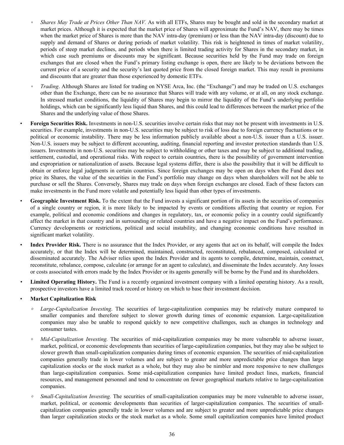- *Shares May Trade at Prices Other Than NAV.* As with all ETFs, Shares may be bought and sold in the secondary market at market prices. Although it is expected that the market price of Shares will approximate the Fund's NAV, there may be times when the market price of Shares is more than the NAV intra-day (premium) or less than the NAV intra-day (discount) due to supply and demand of Shares or during periods of market volatility. This risk is heightened in times of market volatility, periods of steep market declines, and periods when there is limited trading activity for Shares in the secondary market, in which case such premiums or discounts may be significant. Because securities held by the Fund may trade on foreign exchanges that are closed when the Fund's primary listing exchange is open, there are likely to be deviations between the current price of a security and the security's last quoted price from the closed foreign market. This may result in premiums and discounts that are greater than those experienced by domestic ETFs.
- *Trading*. Although Shares are listed for trading on NYSE Arca, Inc. (the "Exchange") and may be traded on U.S. exchanges other than the Exchange, there can be no assurance that Shares will trade with any volume, or at all, on any stock exchange. In stressed market conditions, the liquidity of Shares may begin to mirror the liquidity of the Fund's underlying portfolio holdings, which can be significantly less liquid than Shares, and this could lead to differences between the market price of the Shares and the underlying value of those Shares.
- **Foreign Securities Risk.** Investments in non-U.S. securities involve certain risks that may not be present with investments in U.S. securities. For example, investments in non-U.S. securities may be subject to risk of loss due to foreign currency fluctuations or to political or economic instability. There may be less information publicly available about a non-U.S. issuer than a U.S. issuer. Non-U.S. issuers may be subject to different accounting, auditing, financial reporting and investor protection standards than U.S. issuers. Investments in non-U.S. securities may be subject to withholding or other taxes and may be subject to additional trading, settlement, custodial, and operational risks. With respect to certain countries, there is the possibility of government intervention and expropriation or nationalization of assets. Because legal systems differ, there is also the possibility that it will be difficult to obtain or enforce legal judgments in certain countries. Since foreign exchanges may be open on days when the Fund does not price its Shares, the value of the securities in the Fund's portfolio may change on days when shareholders will not be able to purchase or sell the Shares. Conversely, Shares may trade on days when foreign exchanges are closed. Each of these factors can make investments in the Fund more volatile and potentially less liquid than other types of investments.
- **Geographic Investment Risk.** To the extent that the Fund invests a significant portion of its assets in the securities of companies of a single country or region, it is more likely to be impacted by events or conditions affecting that country or region. For example, political and economic conditions and changes in regulatory, tax, or economic policy in a country could significantly affect the market in that country and in surrounding or related countries and have a negative impact on the Fund's performance. Currency developments or restrictions, political and social instability, and changing economic conditions have resulted in significant market volatility.
- **Index Provider Risk.** There is no assurance that the Index Provider, or any agents that act on its behalf, will compile the Index accurately, or that the Index will be determined, maintained, constructed, reconstituted, rebalanced, composed, calculated or disseminated accurately. The Adviser relies upon the Index Provider and its agents to compile, determine, maintain, construct, reconstitute, rebalance, compose, calculate (or arrange for an agent to calculate), and disseminate the Index accurately. Any losses or costs associated with errors made by the Index Provider or its agents generally will be borne by the Fund and its shareholders.
- *•* **Limited Operating History.** The Fund is a recently organized investment company with a limited operating history. As a result, prospective investors have a limited track record or history on which to base their investment decision.
- **Market Capitalization Risk**
	- *Large-Capitalization Investing*. The securities of large-capitalization companies may be relatively mature compared to smaller companies and therefore subject to slower growth during times of economic expansion. Large-capitalization companies may also be unable to respond quickly to new competitive challenges, such as changes in technology and consumer tastes.
	- **◦** *Mid-Capitalization Investing.* The securities of mid-capitalization companies may be more vulnerable to adverse issuer, market, political, or economic developments than securities of large-capitalization companies, but they may also be subject to slower growth than small-capitalization companies during times of economic expansion. The securities of mid-capitalization companies generally trade in lower volumes and are subject to greater and more unpredictable price changes than large capitalization stocks or the stock market as a whole, but they may also be nimbler and more responsive to new challenges than large-capitalization companies. Some mid-capitalization companies have limited product lines, markets, financial resources, and management personnel and tend to concentrate on fewer geographical markets relative to large-capitalization companies.
	- *◦ Small-Capitalization Investing.* The securities of small-capitalization companies may be more vulnerable to adverse issuer, market, political, or economic developments than securities of larger-capitalization companies. The securities of smallcapitalization companies generally trade in lower volumes and are subject to greater and more unpredictable price changes than larger capitalization stocks or the stock market as a whole. Some small capitalization companies have limited product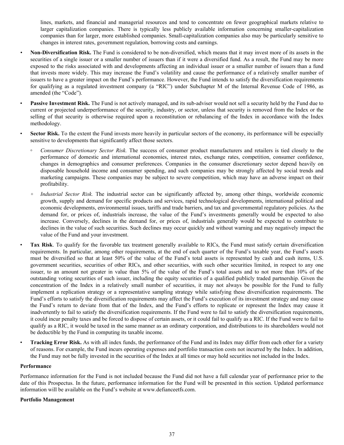lines, markets, and financial and managerial resources and tend to concentrate on fewer geographical markets relative to larger capitalization companies. There is typically less publicly available information concerning smaller-capitalization companies than for larger, more established companies. Small-capitalization companies also may be particularly sensitive to changes in interest rates, government regulation, borrowing costs and earnings.

- *•* **Non-Diversification Risk.** The Fund is considered to be non-diversified, which means that it may invest more of its assets in the securities of a single issuer or a smaller number of issuers than if it were a diversified fund. As a result, the Fund may be more exposed to the risks associated with and developments affecting an individual issuer or a smaller number of issuers than a fund that invests more widely. This may increase the Fund's volatility and cause the performance of a relatively smaller number of issuers to have a greater impact on the Fund's performance. However, the Fund intends to satisfy the diversification requirements for qualifying as a regulated investment company (a "RIC") under Subchapter M of the Internal Revenue Code of 1986, as amended (the "Code").
	- **Passive Investment Risk.** The Fund is not actively managed, and its sub-adviser would not sell a security held by the Fund due to current or projected underperformance of the security, industry, or sector, unless that security is removed from the Index or the selling of that security is otherwise required upon a reconstitution or rebalancing of the Index in accordance with the Index methodology.
	- **Sector Risk.** To the extent the Fund invests more heavily in particular sectors of the economy, its performance will be especially sensitive to developments that significantly affect those sectors.
		- **◦** *Consumer Discretionary Sector Risk.* The success of consumer product manufacturers and retailers is tied closely to the performance of domestic and international economies, interest rates, exchange rates, competition, consumer confidence, changes in demographics and consumer preferences. Companies in the consumer discretionary sector depend heavily on disposable household income and consumer spending, and such companies may be strongly affected by social trends and marketing campaigns. These companies may be subject to severe competition, which may have an adverse impact on their profitability.
		- **◦** *Industrial Sector Risk.* The industrial sector can be significantly affected by, among other things, worldwide economic growth, supply and demand for specific products and services, rapid technological developments, international political and economic developments, environmental issues, tariffs and trade barriers, and tax and governmental regulatory policies. As the demand for, or prices of, industrials increase, the value of the Fund's investments generally would be expected to also increase. Conversely, declines in the demand for, or prices of, industrials generally would be expected to contribute to declines in the value of such securities. Such declines may occur quickly and without warning and may negatively impact the value of the Fund and your investment.
	- **Tax Risk**. To qualify for the favorable tax treatment generally available to RICs, the Fund must satisfy certain diversification requirements. In particular, among other requirements, at the end of each quarter of the Fund's taxable year, the Fund's assets must be diversified so that at least 50% of the value of the Fund's total assets is represented by cash and cash items, U.S. government securities, securities of other RICs, and other securities, with such other securities limited, in respect to any one issuer, to an amount not greater in value than 5% of the value of the Fund's total assets and to not more than 10% of the outstanding voting securities of such issuer, including the equity securities of a qualified publicly traded partnership. Given the concentration of the Index in a relatively small number of securities, it may not always be possible for the Fund to fully implement a replication strategy or a representative sampling strategy while satisfying these diversification requirements. The Fund's efforts to satisfy the diversification requirements may affect the Fund's execution of its investment strategy and may cause the Fund's return to deviate from that of the Index, and the Fund's efforts to replicate or represent the Index may cause it inadvertently to fail to satisfy the diversification requirements. If the Fund were to fail to satisfy the diversification requirements, it could incur penalty taxes and be forced to dispose of certain assets, or it could fail to qualify as a RIC. If the Fund were to fail to qualify as a RIC, it would be taxed in the same manner as an ordinary corporation, and distributions to its shareholders would not be deductible by the Fund in computing its taxable income.
- **Tracking Error Risk.** As with all index funds, the performance of the Fund and its Index may differ from each other for a variety of reasons. For example, the Fund incurs operating expenses and portfolio transaction costs not incurred by the Index. In addition, the Fund may not be fully invested in the securities of the Index at all times or may hold securities not included in the Index.

#### **Performance**

Performance information for the Fund is not included because the Fund did not have a full calendar year of performance prior to the date of this Prospectus. In the future, performance information for the Fund will be presented in this section. Updated performance information will be available on the Fund's website at www.defianceetfs.com.

#### **Portfolio Management**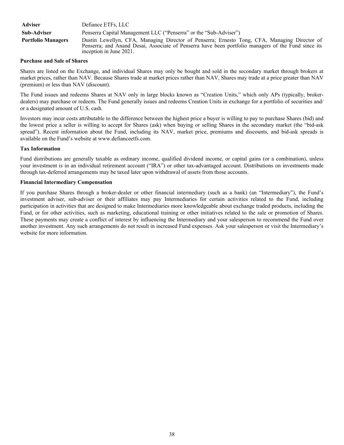| <b>Adviser</b>            | Defiance ETFs, LLC                                                                                                                                                                                                             |  |
|---------------------------|--------------------------------------------------------------------------------------------------------------------------------------------------------------------------------------------------------------------------------|--|
| Sub-Adviser               | Penserra Capital Management LLC ("Penserra" or the "Sub-Adviser")                                                                                                                                                              |  |
| <b>Portfolio Managers</b> | Dustin Lewellyn, CFA, Managing Director of Penserra; Ernesto Tong, CFA, Managing Director of<br>Penserra; and Anand Desai, Associate of Penserra have been portfolio managers of the Fund since its<br>inception in June 2021. |  |

#### **Purchase and Sale of Shares**

Shares are listed on the Exchange, and individual Shares may only be bought and sold in the secondary market through brokers at market prices, rather than NAV. Because Shares trade at market prices rather than NAV, Shares may trade at a price greater than NAV (premium) or less than NAV (discount).

The Fund issues and redeems Shares at NAV only in large blocks known as "Creation Units," which only APs (typically, brokerdealers) may purchase or redeem. The Fund generally issues and redeems Creation Units in exchange for a portfolio of securities and/ or a designated amount of U.S. cash.

Investors may incur costs attributable to the difference between the highest price a buyer is willing to pay to purchase Shares (bid) and the lowest price a seller is willing to accept for Shares (ask) when buying or selling Shares in the secondary market (the "bid-ask spread"). Recent information about the Fund, including its NAV, market price, premiums and discounts, and bid-ask spreads is available on the Fund's website at www.defianceetfs.com.

# **Tax Information**

Fund distributions are generally taxable as ordinary income, qualified dividend income, or capital gains (or a combination), unless your investment is in an individual retirement account ("IRA") or other tax-advantaged account. Distributions on investments made through tax-deferred arrangements may be taxed later upon withdrawal of assets from those accounts.

#### **Financial Intermediary Compensation**

If you purchase Shares through a broker-dealer or other financial intermediary (such as a bank) (an "Intermediary"), the Fund's investment adviser, sub-adviser or their affiliates may pay Intermediaries for certain activities related to the Fund, including participation in activities that are designed to make Intermediaries more knowledgeable about exchange traded products, including the Fund, or for other activities, such as marketing, educational training or other initiatives related to the sale or promotion of Shares. These payments may create a conflict of interest by influencing the Intermediary and your salesperson to recommend the Fund over another investment. Any such arrangements do not result in increased Fund expenses. Ask your salesperson or visit the Intermediary's website for more information.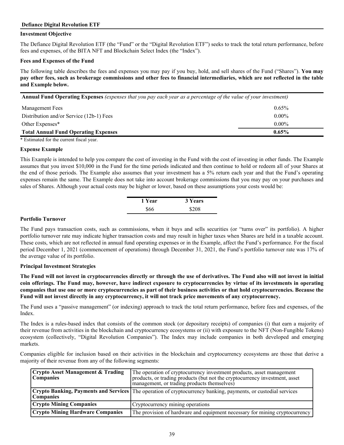# **Defiance Digital Revolution ETF**

## **Investment Objective**

The Defiance Digital Revolution ETF (the "Fund" or the "Digital Revolution ETF") seeks to track the total return performance, before fees and expenses, of the BITA NFT and Blockchain Select Index (the "Index").

### **Fees and Expenses of the Fund**

The following table describes the fees and expenses you may pay if you buy, hold, and sell shares of the Fund ("Shares"). **You may pay other fees, such as brokerage commissions and other fees to financial intermediaries, which are not reflected in the table and Example below.**

| <b>Annual Fund Operating Expenses</b> (expenses that you pay each year as a percentage of the value of your investment) |          |  |
|-------------------------------------------------------------------------------------------------------------------------|----------|--|
| Management Fees                                                                                                         | 0.65%    |  |
| Distribution and/or Service (12b-1) Fees                                                                                | $0.00\%$ |  |
| Other Expenses*                                                                                                         | $0.00\%$ |  |
| <b>Total Annual Fund Operating Expenses</b>                                                                             | $0.65\%$ |  |

\* Estimated for the current fiscal year.

#### **Expense Example**

This Example is intended to help you compare the cost of investing in the Fund with the cost of investing in other funds. The Example assumes that you invest \$10,000 in the Fund for the time periods indicated and then continue to hold or redeem all of your Shares at the end of those periods. The Example also assumes that your investment has a 5% return each year and that the Fund's operating expenses remain the same. The Example does not take into account brokerage commissions that you may pay on your purchases and sales of Shares. Although your actual costs may be higher or lower, based on these assumptions your costs would be:

| 1 Year | 3 Years |
|--------|---------|
| \$66   | \$208   |

#### **Portfolio Turnover**

The Fund pays transaction costs, such as commissions, when it buys and sells securities (or "turns over" its portfolio). A higher portfolio turnover rate may indicate higher transaction costs and may result in higher taxes when Shares are held in a taxable account. These costs, which are not reflected in annual fund operating expenses or in the Example, affect the Fund's performance. For the fiscal period December 1, 2021 (commencement of operations) through December 31, 2021, the Fund's portfolio turnover rate was 17% of the average value of its portfolio.

#### **Principal Investment Strategies**

**The Fund will not invest in cryptocurrencies directly or through the use of derivatives. The Fund also will not invest in initial coin offerings. The Fund may, however, have indirect exposure to cryptocurrencies by virtue of its investments in operating companies that use one or more cryptocurrencies as part of their business activities or that hold cryptocurrencies. Because the Fund will not invest directly in any cryptocurrency, it will not track price movements of any cryptocurrency.**

The Fund uses a "passive management" (or indexing) approach to track the total return performance, before fees and expenses, of the Index.

The Index is a rules-based index that consists of the common stock (or depositary receipts) of companies (i) that earn a majority of their revenue from activities in the blockchain and cryptocurrency ecosystems or (ii) with exposure to the NFT (Non-Fungible Tokens) ecosystem (collectively, "Digital Revolution Companies"). The Index may include companies in both developed and emerging markets.

Companies eligible for inclusion based on their activities in the blockchain and cryptocurrency ecosystems are those that derive a majority of their revenue from any of the following segments:

| <b>Crypto Asset Management &amp; Trading</b><br><b>Companies</b> | The operation of cryptocurrency investment products, asset management<br>products, or trading products (but not the cryptocurrency investment, asset<br>management, or trading products themselves) |
|------------------------------------------------------------------|-----------------------------------------------------------------------------------------------------------------------------------------------------------------------------------------------------|
| <b>Companies</b>                                                 | <b>Crypto Banking, Payments and Services</b> The operation of cryptocurrency banking, payments, or custodial services                                                                               |
| <b>Crypto Mining Companies</b>                                   | Cryptocurrency mining operations                                                                                                                                                                    |
| <b>Crypto Mining Hardware Companies</b>                          | The provision of hardware and equipment necessary for mining cryptocurrency                                                                                                                         |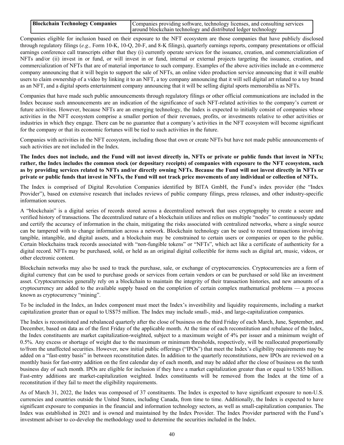| <b>Blockchain Technology Companies</b> | Companies providing software, technology licenses, and consulting services |
|----------------------------------------|----------------------------------------------------------------------------|
|                                        | around blockchain technology and distributed ledger technology             |

Companies eligible for inclusion based on their exposure to the NFT ecosystem are those companies that have publicly disclosed through regulatory filings (*e.g.,* Form 10-K, 10-Q, 20-F, and 8-K filings), quarterly earnings reports, company presentations or official earnings conference call transcripts either that they (i) currently operate services for the issuance, creation, and commercialization of NFTs and/or (ii) invest in or fund, or will invest in or fund, internal or external projects targeting the issuance, creation, and commercialization of NFTs that are of material importance to such company. Examples of the above activities include an e-commerce company announcing that it will begin to support the sale of NFTs, an online video production service announcing that it will enable users to claim ownership of a video by linking it to an NFT, a toy company announcing that it will sell digital art related to a toy brand as an NFT, and a digital sports entertainment company announcing that it will be selling digital sports memorabilia as NFTs.

Companies that have made such public announcements through regulatory filings or other official communications are included in the Index because such announcements are an indication of the significance of such NFT-related activities to the company's current or future activities. However, because NFTs are an emerging technology, the Index is expected to initially consist of companies whose activities in the NFT ecosystem comprise a smaller portion of their revenues, profits, or investments relative to other activities or industries in which they engage. There can be no guarantee that a company's activities in the NFT ecosystem will become significant for the company or that its economic fortunes will be tied to such activities in the future.

Companies with activities in the NFT ecosystem, including those that own or create NFTs but have not made public announcements of such activities are not included in the Index.

**The Index does not include, and the Fund will not invest directly in, NFTs or private or public funds that invest in NFTs; rather, the Index includes the common stock (or depositary receipts) of companies with exposure to the NFT ecosystem, such as by providing services related to NFTs and/or directly owning NFTs. Because the Fund will not invest directly in NFTs or private or public funds that invest in NFTs, the Fund will not track price movements of any individual or collection of NFTs.**

The Index is comprised of Digital Revolution Companies identified by BITA GmbH, the Fund's index provider (the "Index Provider"), based on extensive research that includes reviews of public company filings, press releases, and other industry-specific information sources.

A "blockchain" is a digital series of records stored across a decentralized network that uses cryptography to create a secure and verified history of transactions. The decentralized nature of a blockchain utilizes and relies on multiple "nodes" to continuously update and certify the accuracy of information in the chain, mitigating the risks associated with centralized networks, where a single source can be tampered with to change information across a network. Blockchain technology can be used to record transactions involving tangible, intangible, and digital assets, and a blockchain may be constrained to certain users or companies or open to the public. Certain blockchains track records associated with "non-fungible tokens" or "NFTs", which act like a certificate of authenticity for a digital record. NFTs may be purchased, sold, or held as an original digital collectible for items such as digital art, music, videos, or other electronic content.

Blockchain networks may also be used to track the purchase, sale, or exchange of cryptocurrencies. Cryptocurrencies are a form of digital currency that can be used to purchase goods or services from certain vendors or can be purchased or sold like an investment asset. Cryptocurrencies generally rely on a blockchain to maintain the integrity of their transaction histories, and new amounts of a cryptocurrency are added to the available supply based on the completion of certain complex mathematical problems — a process known as cryptocurrency "mining".

To be included in the Index, an Index component must meet the Index's investibility and liquidity requirements, including a market capitalization greater than or equal to US\$75 million. The Index may include small-, mid-, and large-capitalization companies.

The Index is reconstituted and rebalanced quarterly after the close of business on the third Friday of each March, June, September, and December, based on data as of the first Friday of the applicable month. At the time of each reconstitution and rebalance of the Index, the Index constituents are market capitalization-weighted, subject to a maximum weight of 4% per issuer and a minimum weight of 0.5%. Any excess or shortage of weight due to the maximum or minimum thresholds, respectively, will be reallocated proportionally to/from the unaffected securities. However, new initial public offerings ("IPOs") that meet the Index's eligibility requirements may be added on a "fast-entry basis" in between reconstitution dates. In addition to the quarterly reconstitutions, new IPOs are reviewed on a monthly basis for fast-entry addition on the first calendar day of each month, and may be added after the close of business on the tenth business day of such month. IPOs are eligible for inclusion if they have a market capitalization greater than or equal to US\$5 billion. Fast-entry additions are market-capitalization weighted. Index constituents will be removed from the Index at the time of a reconstitution if they fail to meet the eligibility requirements.

As of March 31, 2022, the Index was composed of 37 constituents. The Index is expected to have significant exposure to non-U.S. currencies and countries outside the United States, including Canada, from time to time. Additionally, the Index is expected to have significant exposure to companies in the financial and information technology sectors, as well as small-capitalization companies. The Index was established in 2021 and is owned and maintained by the Index Provider. The Index Provider partnered with the Fund's investment adviser to co-develop the methodology used to determine the securities included in the Index.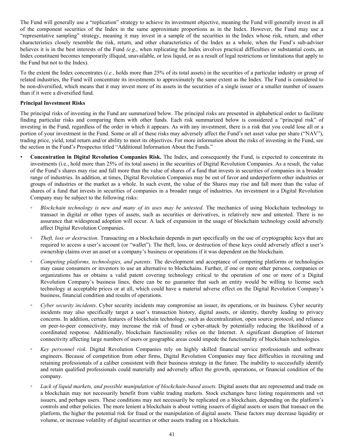The Fund will generally use a "replication" strategy to achieve its investment objective, meaning the Fund will generally invest in all of the component securities of the Index in the same approximate proportions as in the Index. However, the Fund may use a "representative sampling" strategy, meaning it may invest in a sample of the securities in the Index whose risk, return, and other characteristics closely resemble the risk, return, and other characteristics of the Index as a whole, when the Fund's sub-adviser believes it is in the best interests of the Fund *(e.g.*, when replicating the Index involves practical difficulties or substantial costs, an Index constituent becomes temporarily illiquid, unavailable, or less liquid, or as a result of legal restrictions or limitations that apply to the Fund but not to the Index).

To the extent the Index concentrates (*i.e.*, holds more than 25% of its total assets) in the securities of a particular industry or group of related industries, the Fund will concentrate its investments to approximately the same extent as the Index. The Fund is considered to be non-diversified, which means that it may invest more of its assets in the securities of a single issuer or a smaller number of issuers than if it were a diversified fund.

# **Principal Investment Risks**

The principal risks of investing in the Fund are summarized below. The principal risks are presented in alphabetical order to facilitate finding particular risks and comparing them with other funds. Each risk summarized below is considered a "principal risk" of investing in the Fund, regardless of the order in which it appears. As with any investment, there is a risk that you could lose all or a portion of your investment in the Fund. Some or all of these risks may adversely affect the Fund's net asset value per share ("NAV"), trading price, yield, total return and/or ability to meet its objectives. For more information about the risks of investing in the Fund, see the section in the Fund's Prospectus titled "Additional Information About the Funds."

- *•* **Concentration in Digital Revolution Companies Risk.** The Index, and consequently the Fund, is expected to concentrate its investments (i.e., hold more than 25% of its total assets) in the securities of Digital Revolution Companies. As a result, the value of the Fund's shares may rise and fall more than the value of shares of a fund that invests in securities of companies in a broader range of industries. In addition, at times, Digital Revolution Companies may be out of favor and underperform other industries or groups of industries or the market as a whole. In such event, the value of the Shares may rise and fall more than the value of shares of a fund that invests in securities of companies in a broader range of industries. An investment in a Digital Revolution Company may be subject to the following risks:
	- *◦ Blockchain technology is new and many of its uses may be untested*. The mechanics of using blockchain technology to transact in digital or other types of assets, such as securities or derivatives, is relatively new and untested. There is no assurance that widespread adoption will occur. A lack of expansion in the usage of blockchain technology could adversely affect Digital Revolution Companies.
	- *Theft, loss or destruction*. Transacting on a blockchain depends in part specifically on the use of cryptographic keys that are required to access a user's account (or "wallet"). The theft, loss, or destruction of these keys could adversely affect a user's ownership claims over an asset or a company's business or operations if it was dependent on the blockchain.
	- *Competing platforms, technologies, and patents*. The development and acceptance of competing platforms or technologies may cause consumers or investors to use an alternative to blockchains. Further, if one or more other persons, companies or organizations has or obtains a valid patent covering technology critical to the operation of one or more of a Digital Revolution Company's business lines, there can be no guarantee that such an entity would be willing to license such technology at acceptable prices or at all, which could have a material adverse effect on the Digital Revolution Company's business, financial condition and results of operations.
	- *Cyber security incidents*. Cyber security incidents may compromise an issuer, its operations, or its business. Cyber security incidents may also specifically target a user's transaction history, digital assets, or identity, thereby leading to privacy concerns. In addition, certain features of blockchain technology, such as decentralization, open source protocol, and reliance on peer-to-peer connectivity, may increase the risk of fraud or cyber-attack by potentially reducing the likelihood of a coordinated response. Additionally, blockchain functionality relies on the Internet. A significant disruption of Internet connectivity affecting large numbers of users or geographic areas could impede the functionality of blockchain technologies.
	- *◦ Key personnel risk*. Digital Revolution Companies rely on highly skilled financial service professionals and software engineers. Because of competition from other firms, Digital Revolution Companies may face difficulties in recruiting and retaining professionals of a caliber consistent with their business strategy in the future. The inability to successfully identify and retain qualified professionals could materially and adversely affect the growth, operations, or financial condition of the company.
	- Lack of liquid markets, and possible manipulation of blockchain-based assets. Digital assets that are represented and trade on a blockchain may not necessarily benefit from viable trading markets. Stock exchanges have listing requirements and vet issuers, and perhaps users. These conditions may not necessarily be replicated on a blockchain, depending on the platform's controls and other policies. The more lenient a blockchain is about vetting issuers of digital assets or users that transact on the platform, the higher the potential risk for fraud or the manipulation of digital assets. These factors may decrease liquidity or volume, or increase volatility of digital securities or other assets trading on a blockchain.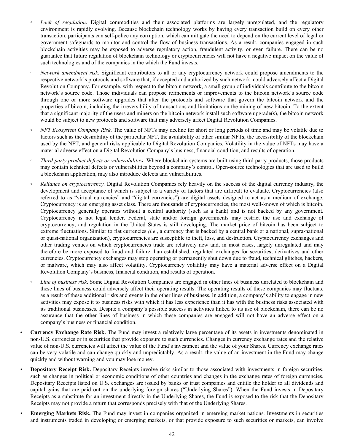- Lack of regulation. Digital commodities and their associated platforms are largely unregulated, and the regulatory environment is rapidly evolving. Because blockchain technology works by having every transaction build on every other transaction, participants can self-police any corruption, which can mitigate the need to depend on the current level of legal or government safeguards to monitor and control the flow of business transactions. As a result, companies engaged in such blockchain activities may be exposed to adverse regulatory action, fraudulent activity, or even failure. There can be no guarantee that future regulation of blockchain technology or cryptocurrencies will not have a negative impact on the value of such technologies and of the companies in the which the Fund invests.
- *Network amendment risk.* Significant contributors to all or any cryptocurrency network could propose amendments to the respective network's protocols and software that, if accepted and authorized by such network, could adversely affect a Digital Revolution Company. For example, with respect to the bitcoin network, a small group of individuals contribute to the bitcoin network's source code. Those individuals can propose refinements or improvements to the bitcoin network's source code through one or more software upgrades that alter the protocols and software that govern the bitcoin network and the properties of bitcoin, including the irreversibility of transactions and limitations on the mining of new bitcoin. To the extent that a significant majority of the users and miners on the bitcoin network install such software upgrade(s), the bitcoin network would be subject to new protocols and software that may adversely affect Digital Revolution Companies.
- *NFT Ecosystem Company Risk*. The value of NFTs may decline for short or long periods of time and may be volatile due to factors such as the desirability of the particular NFT, the availability of other similar NFTs, the accessibility of the blockchain used by the NFT, and general risks applicable to Digital Revolution Companies. Volatility in the value of NFTs may have a material adverse effect on a Digital Revolution Company's business, financial condition, and results of operation.
- *Third party product defects or vulnerabilities*. Where blockchain systems are built using third party products, those products may contain technical defects or vulnerabilities beyond a company's control. Open-source technologies that are used to build a blockchain application, may also introduce defects and vulnerabilities.
- *Reliance on cryptocurrency.* Digital Revolution Companies rely heavily on the success of the digital currency industry, the development and acceptance of which is subject to a variety of factors that are difficult to evaluate. Cryptocurrencies (also referred to as "virtual currencies" and "digital currencies") are digital assets designed to act as a medium of exchange. Cryptocurrency is an emerging asset class. There are thousands of cryptocurrencies, the most well-known of which is bitcoin. Cryptocurrency generally operates without a central authority (such as a bank) and is not backed by any government. Cryptocurrency is not legal tender. Federal, state and/or foreign governments may restrict the use and exchange of cryptocurrency, and regulation in the United States is still developing. The market price of bitcoin has been subject to extreme fluctuations. Similar to fiat currencies *(i.e.*, a currency that is backed by a central bank or a national, supra-national or quasi-national organization), cryptocurrencies are susceptible to theft, loss, and destruction. Cryptocurrency exchanges and other trading venues on which cryptocurrencies trade are relatively new and, in most cases, largely unregulated and may therefore be more exposed to fraud and failure than established, regulated exchanges for securities, derivatives and other currencies. Cryptocurrency exchanges may stop operating or permanently shut down due to fraud, technical glitches, hackers, or malware, which may also affect volatility. Cryptocurrency volatility may have a material adverse effect on a Digital Revolution Company's business, financial condition, and results of operation.
- *Line of business risk*. Some Digital Revolution Companies are engaged in other lines of business unrelated to blockchain and these lines of business could adversely affect their operating results. The operating results of these companies may fluctuate as a result of these additional risks and events in the other lines of business. In addition, a company's ability to engage in new activities may expose it to business risks with which it has less experience than it has with the business risks associated with its traditional businesses. Despite a company's possible success in activities linked to its use of blockchain, there can be no assurance that the other lines of business in which these companies are engaged will not have an adverse effect on a company's business or financial condition.
- **Currency Exchange Rate Risk.** The Fund may invest a relatively large percentage of its assets in investments denominated in non-U.S. currencies or in securities that provide exposure to such currencies. Changes in currency exchange rates and the relative value of non-U.S. currencies will affect the value of the Fund's investment and the value of your Shares. Currency exchange rates can be very volatile and can change quickly and unpredictably. As a result, the value of an investment in the Fund may change quickly and without warning and you may lose money.
- **Depositary Receipt Risk.** Depositary Receipts involve risks similar to those associated with investments in foreign securities, such as changes in political or economic conditions of other countries and changes in the exchange rates of foreign currencies. Depositary Receipts listed on U.S. exchanges are issued by banks or trust companies and entitle the holder to all dividends and capital gains that are paid out on the underlying foreign shares ("Underlying Shares"). When the Fund invests in Depositary Receipts as a substitute for an investment directly in the Underlying Shares, the Fund is exposed to the risk that the Depositary Receipts may not provide a return that corresponds precisely with that of the Underlying Shares.
- *•* **Emerging Markets Risk.** The Fund may invest in companies organized in emerging market nations. Investments in securities and instruments traded in developing or emerging markets, or that provide exposure to such securities or markets, can involve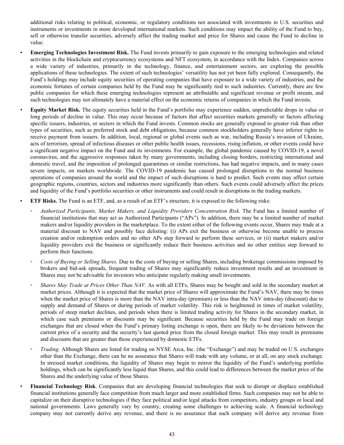additional risks relating to political, economic, or regulatory conditions not associated with investments in U.S. securities and instruments or investments in more developed international markets. Such conditions may impact the ability of the Fund to buy, sell or otherwise transfer securities, adversely affect the trading market and price for Shares and cause the Fund to decline in value.

- **Emerging Technologies Investment Risk.** The Fund invests primarily to gain exposure to the emerging technologies and related activities in the blockchain and cryptocurrency ecosystems and NFT ecosystem, in accordance with the Index. Companies across a wide variety of industries, primarily in the technology, finance, and entertainment sectors, are exploring the possible applications of these technologies. The extent of such technologies' versatility has not yet been fully explored. Consequently, the Fund's holdings may include equity securities of operating companies that have exposure to a wide variety of industries, and the economic fortunes of certain companies held by the Fund may be significantly tied to such industries. Currently, there are few public companies for which these emerging technologies represent an attributable and significant revenue or profit stream, and such technologies may not ultimately have a material effect on the economic returns of companies in which the Fund invests.
- *•* **Equity Market Risk.** The equity securities held in the Fund's portfolio may experience sudden, unpredictable drops in value or long periods of decline in value. This may occur because of factors that affect securities markets generally or factors affecting specific issuers, industries, or sectors in which the Fund invests. Common stocks are generally exposed to greater risk than other types of securities, such as preferred stock and debt obligations, because common stockholders generally have inferior rights to receive payment from issuers. In addition, local, regional or global events such as war, including Russia's invasion of Ukraine, acts of terrorism, spread of infectious diseases or other public health issues, recessions, rising inflation, or other events could have a significant negative impact on the Fund and its investments. For example, the global pandemic caused by COVID-19, a novel coronavirus, and the aggressive responses taken by many governments, including closing borders, restricting international and domestic travel, and the imposition of prolonged quarantines or similar restrictions, has had negative impacts, and in many cases severe impacts, on markets worldwide. The COVID-19 pandemic has caused prolonged disruptions to the normal business operations of companies around the world and the impact of such disruptions is hard to predict. Such events may affect certain geographic regions, countries, sectors and industries more significantly than others. Such events could adversely affect the prices and liquidity of the Fund's portfolio securities or other instruments and could result in disruptions in the trading markets.
- **ETF Risks.** The Fund is an ETF, and, as a result of an ETF's structure, it is exposed to the following risks:
- *Authorized Participants, Market Makers, and Liquidity Providers Concentration Risk.* The Fund has a limited number of financial institutions that may act as Authorized Participants ("APs"). In addition, there may be a limited number of market makers and/or liquidity providers in the marketplace. To the extent either of the following events occur, Shares may trade at a material discount to NAV and possibly face delisting: (i) APs exit the business or otherwise become unable to process creation and/or redemption orders and no other APs step forward to perform these services, or (ii) market makers and/or liquidity providers exit the business or significantly reduce their business activities and no other entities step forward to perform their functions.
- *Costs of Buying or Selling Shares.* Due to the costs of buying or selling Shares, including brokerage commissions imposed by brokers and bid-ask spreads, frequent trading of Shares may significantly reduce investment results and an investment in Shares may not be advisable for investors who anticipate regularly making small investments.
- *Shares May Trade at Prices Other Than NAV.* As with all ETFs, Shares may be bought and sold in the secondary market at market prices. Although it is expected that the market price of Shares will approximate the Fund's NAV, there may be times when the market price of Shares is more than the NAV intra-day (premium) or less than the NAV intra-day (discount) due to supply and demand of Shares or during periods of market volatility. This risk is heightened in times of market volatility, periods of steep market declines, and periods when there is limited trading activity for Shares in the secondary market, in which case such premiums or discounts may be significant. Because securities held by the Fund may trade on foreign exchanges that are closed when the Fund's primary listing exchange is open, there are likely to be deviations between the current price of a security and the security's last quoted price from the closed foreign market. This may result in premiums and discounts that are greater than those experienced by domestic ETFs.
- *Trading*. Although Shares are listed for trading on NYSE Arca, Inc. (the "Exchange") and may be traded on U.S. exchanges other than the Exchange, there can be no assurance that Shares will trade with any volume, or at all, on any stock exchange. In stressed market conditions, the liquidity of Shares may begin to mirror the liquidity of the Fund's underlying portfolio holdings, which can be significantly less liquid than Shares, and this could lead to differences between the market price of the Shares and the underlying value of those Shares.
- **Financial Technology Risk**. Companies that are developing financial technologies that seek to disrupt or displace established financial institutions generally face competition from much larger and more established firms. Such companies may not be able to capitalize on their disruptive technologies if they face political and/or legal attacks from competitors, industry groups or local and national governments. Laws generally vary by country, creating some challenges to achieving scale. A financial technology company may not currently derive any revenue, and there is no assurance that such company will derive any revenue from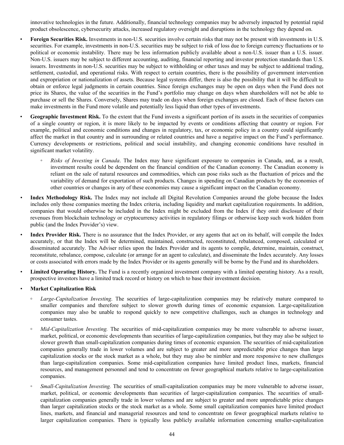innovative technologies in the future. Additionally, financial technology companies may be adversely impacted by potential rapid product obsolescence, cybersecurity attacks, increased regulatory oversight and disruptions in the technology they depend on.

• **Foreign Securities Risk.** Investments in non-U.S. securities involve certain risks that may not be present with investments in U.S. securities. For example, investments in non-U.S. securities may be subject to risk of loss due to foreign currency fluctuations or to political or economic instability. There may be less information publicly available about a non-U.S. issuer than a U.S. issuer. Non-U.S. issuers may be subject to different accounting, auditing, financial reporting and investor protection standards than U.S. issuers. Investments in non-U.S. securities may be subject to withholding or other taxes and may be subject to additional trading, settlement, custodial, and operational risks. With respect to certain countries, there is the possibility of government intervention and expropriation or nationalization of assets. Because legal systems differ, there is also the possibility that it will be difficult to obtain or enforce legal judgments in certain countries. Since foreign exchanges may be open on days when the Fund does not price its Shares, the value of the securities in the Fund's portfolio may change on days when shareholders will not be able to purchase or sell the Shares. Conversely, Shares may trade on days when foreign exchanges are closed. Each of these factors can make investments in the Fund more volatile and potentially less liquid than other types of investments.

**Geographic Investment Risk.** To the extent that the Fund invests a significant portion of its assets in the securities of companies of a single country or region, it is more likely to be impacted by events or conditions affecting that country or region. For example, political and economic conditions and changes in regulatory, tax, or economic policy in a country could significantly affect the market in that country and in surrounding or related countries and have a negative impact on the Fund's performance. Currency developments or restrictions, political and social instability, and changing economic conditions have resulted in significant market volatility.

- *Risks of Investing in Canada*. The Index may have significant exposure to companies in Canada, and, as a result, investment results could be dependent on the financial condition of the Canadian economy. The Canadian economy is reliant on the sale of natural resources and commodities, which can pose risks such as the fluctuation of prices and the variability of demand for exportation of such products. Changes in spending on Canadian products by the economies of other countries or changes in any of these economies may cause a significant impact on the Canadian economy.
- *•* **Index Methodology Risk.** The Index may not include all Digital Revolution Companies around the globe because the Index includes only those companies meeting the Index criteria, including liquidity and market capitalization requirements. In addition, companies that would otherwise be included in the Index might be excluded from the Index if they omit disclosure of their revenues from blockchain technology or cryptocurrency activities in regulatory filings or otherwise keep such work hidden from public (and the Index Provider's) view.
- *•* **Index Provider Risk.** There is no assurance that the Index Provider, or any agents that act on its behalf, will compile the Index accurately, or that the Index will be determined, maintained, constructed, reconstituted, rebalanced, composed, calculated or disseminated accurately. The Adviser relies upon the Index Provider and its agents to compile, determine, maintain, construct, reconstitute, rebalance, compose, calculate (or arrange for an agent to calculate), and disseminate the Index accurately. Any losses or costs associated with errors made by the Index Provider or its agents generally will be borne by the Fund and its shareholders.
- *•* **Limited Operating History.** The Fund is a recently organized investment company with a limited operating history. As a result, prospective investors have a limited track record or history on which to base their investment decision.
- *•* **Market Capitalization Risk**
	- *Large-Capitalization Investing*. The securities of large-capitalization companies may be relatively mature compared to smaller companies and therefore subject to slower growth during times of economic expansion. Large-capitalization companies may also be unable to respond quickly to new competitive challenges, such as changes in technology and consumer tastes.
	- *Mid-Capitalization Investing.* The securities of mid-capitalization companies may be more vulnerable to adverse issuer, market, political, or economic developments than securities of large-capitalization companies, but they may also be subject to slower growth than small-capitalization companies during times of economic expansion. The securities of mid-capitalization companies generally trade in lower volumes and are subject to greater and more unpredictable price changes than large capitalization stocks or the stock market as a whole, but they may also be nimbler and more responsive to new challenges than large-capitalization companies. Some mid-capitalization companies have limited product lines, markets, financial resources, and management personnel and tend to concentrate on fewer geographical markets relative to large-capitalization companies.
	- *Small-Capitalization Investing.* The securities of small-capitalization companies may be more vulnerable to adverse issuer, market, political, or economic developments than securities of larger-capitalization companies. The securities of smallcapitalization companies generally trade in lower volumes and are subject to greater and more unpredictable price changes than larger capitalization stocks or the stock market as a whole. Some small capitalization companies have limited product lines, markets, and financial and managerial resources and tend to concentrate on fewer geographical markets relative to larger capitalization companies. There is typically less publicly available information concerning smaller-capitalization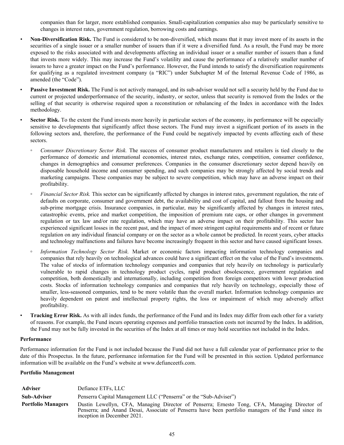companies than for larger, more established companies. Small-capitalization companies also may be particularly sensitive to changes in interest rates, government regulation, borrowing costs and earnings.

- *•* **Non-Diversification Risk.** The Fund is considered to be non-diversified, which means that it may invest more of its assets in the securities of a single issuer or a smaller number of issuers than if it were a diversified fund. As a result, the Fund may be more exposed to the risks associated with and developments affecting an individual issuer or a smaller number of issuers than a fund that invests more widely. This may increase the Fund's volatility and cause the performance of a relatively smaller number of issuers to have a greater impact on the Fund's performance. However, the Fund intends to satisfy the diversification requirements for qualifying as a regulated investment company (a "RIC") under Subchapter M of the Internal Revenue Code of 1986, as amended (the "Code").
- Passive Investment Risk. The Fund is not actively managed, and its sub-adviser would not sell a security held by the Fund due to current or projected underperformance of the security, industry, or sector, unless that security is removed from the Index or the selling of that security is otherwise required upon a reconstitution or rebalancing of the Index in accordance with the Index methodology.
- **Sector Risk.** To the extent the Fund invests more heavily in particular sectors of the economy, its performance will be especially sensitive to developments that significantly affect those sectors. The Fund may invest a significant portion of its assets in the following sectors and, therefore, the performance of the Fund could be negatively impacted by events affecting each of these sectors.
	- *Consumer Discretionary Sector Risk.* The success of consumer product manufacturers and retailers is tied closely to the performance of domestic and international economies, interest rates, exchange rates, competition, consumer confidence, changes in demographics and consumer preferences. Companies in the consumer discretionary sector depend heavily on disposable household income and consumer spending, and such companies may be strongly affected by social trends and marketing campaigns. These companies may be subject to severe competition, which may have an adverse impact on their profitability.
	- *Financial Sector Risk.* This sector can be significantly affected by changes in interest rates, government regulation, the rate of defaults on corporate, consumer and government debt, the availability and cost of capital, and fallout from the housing and sub-prime mortgage crisis. Insurance companies, in particular, may be significantly affected by changes in interest rates, catastrophic events, price and market competition, the imposition of premium rate caps, or other changes in government regulation or tax law and/or rate regulation, which may have an adverse impact on their profitability. This sector has experienced significant losses in the recent past, and the impact of more stringent capital requirements and of recent or future regulation on any individual financial company or on the sector as a whole cannot be predicted. In recent years, cyber attacks and technology malfunctions and failures have become increasingly frequent in this sector and have caused significant losses.
	- **◦** *Information Technology Sector Risk.* Market or economic factors impacting information technology companies and companies that rely heavily on technological advances could have a significant effect on the value of the Fund's investments. The value of stocks of information technology companies and companies that rely heavily on technology is particularly vulnerable to rapid changes in technology product cycles, rapid product obsolescence, government regulation and competition, both domestically and internationally, including competition from foreign competitors with lower production costs. Stocks of information technology companies and companies that rely heavily on technology, especially those of smaller, less-seasoned companies, tend to be more volatile than the overall market. Information technology companies are heavily dependent on patent and intellectual property rights, the loss or impairment of which may adversely affect profitability.
- **Tracking Error Risk.** As with all index funds, the performance of the Fund and its Index may differ from each other for a variety of reasons. For example, the Fund incurs operating expenses and portfolio transaction costs not incurred by the Index. In addition, the Fund may not be fully invested in the securities of the Index at all times or may hold securities not included in the Index.

#### **Performance**

Performance information for the Fund is not included because the Fund did not have a full calendar year of performance prior to the date of this Prospectus. In the future, performance information for the Fund will be presented in this section. Updated performance information will be available on the Fund's website at www.defianceetfs.com.

# **Portfolio Management**

| Adviser                   | Defiance ETFs, LLC                                                                                                                                                                                                                 |  |
|---------------------------|------------------------------------------------------------------------------------------------------------------------------------------------------------------------------------------------------------------------------------|--|
| <b>Sub-Adviser</b>        | Penserra Capital Management LLC ("Penserra" or the "Sub-Adviser")                                                                                                                                                                  |  |
| <b>Portfolio Managers</b> | Dustin Lewellyn, CFA, Managing Director of Penserra; Ernesto Tong, CFA, Managing Director of<br>Penserra; and Anand Desai, Associate of Penserra have been portfolio managers of the Fund since its<br>inception in December 2021. |  |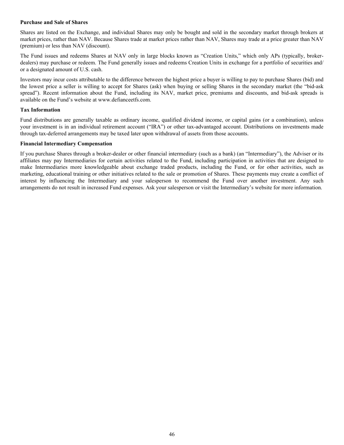#### **Purchase and Sale of Shares**

Shares are listed on the Exchange, and individual Shares may only be bought and sold in the secondary market through brokers at market prices, rather than NAV. Because Shares trade at market prices rather than NAV, Shares may trade at a price greater than NAV (premium) or less than NAV (discount).

The Fund issues and redeems Shares at NAV only in large blocks known as "Creation Units," which only APs (typically, brokerdealers) may purchase or redeem. The Fund generally issues and redeems Creation Units in exchange for a portfolio of securities and/ or a designated amount of U.S. cash.

Investors may incur costs attributable to the difference between the highest price a buyer is willing to pay to purchase Shares (bid) and the lowest price a seller is willing to accept for Shares (ask) when buying or selling Shares in the secondary market (the "bid-ask spread"). Recent information about the Fund, including its NAV, market price, premiums and discounts, and bid-ask spreads is available on the Fund's website at www.defianceetfs.com.

# **Tax Information**

Fund distributions are generally taxable as ordinary income, qualified dividend income, or capital gains (or a combination), unless your investment is in an individual retirement account ("IRA") or other tax-advantaged account. Distributions on investments made through tax-deferred arrangements may be taxed later upon withdrawal of assets from those accounts.

### **Financial Intermediary Compensation**

If you purchase Shares through a broker-dealer or other financial intermediary (such as a bank) (an "Intermediary"), the Adviser or its affiliates may pay Intermediaries for certain activities related to the Fund, including participation in activities that are designed to make Intermediaries more knowledgeable about exchange traded products, including the Fund, or for other activities, such as marketing, educational training or other initiatives related to the sale or promotion of Shares. These payments may create a conflict of interest by influencing the Intermediary and your salesperson to recommend the Fund over another investment. Any such arrangements do not result in increased Fund expenses. Ask your salesperson or visit the Intermediary's website for more information.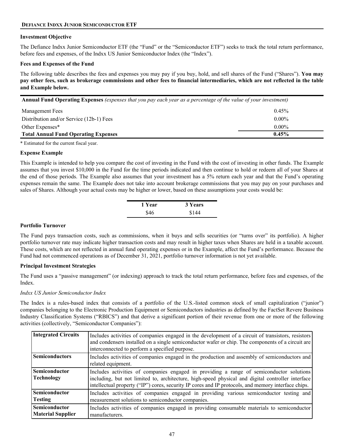# **DEFIANCE INDXX JUNIOR SEMICONDUCTOR ETF**

### **Investment Objective**

The Defiance Indxx Junior Semiconductor ETF (the "Fund" or the "Semiconductor ETF") seeks to track the total return performance, before fees and expenses, of the Indxx US Junior Semiconductor Index (the "Index").

### **Fees and Expenses of the Fund**

The following table describes the fees and expenses you may pay if you buy, hold, and sell shares of the Fund ("Shares"). **You may pay other fees, such as brokerage commissions and other fees to financial intermediaries, which are not reflected in the table and Example below.**

**Annual Fund Operating Expenses** *(expenses that you pay each year as a percentage of the value of your investment)*

| <b>Management Fees</b>                      | $0.45\%$ |
|---------------------------------------------|----------|
| Distribution and/or Service (12b-1) Fees    | $0.00\%$ |
| Other Expenses*                             | $0.00\%$ |
| <b>Total Annual Fund Operating Expenses</b> | $0.45\%$ |

\* Estimated for the current fiscal year.

### **Expense Example**

This Example is intended to help you compare the cost of investing in the Fund with the cost of investing in other funds. The Example assumes that you invest \$10,000 in the Fund for the time periods indicated and then continue to hold or redeem all of your Shares at the end of those periods. The Example also assumes that your investment has a 5% return each year and that the Fund's operating expenses remain the same. The Example does not take into account brokerage commissions that you may pay on your purchases and sales of Shares. Although your actual costs may be higher or lower, based on these assumptions your costs would be:

| 1 Year | 3 Years |
|--------|---------|
| \$46   | \$144   |

# **Portfolio Turnover**

The Fund pays transaction costs, such as commissions, when it buys and sells securities (or "turns over" its portfolio). A higher portfolio turnover rate may indicate higher transaction costs and may result in higher taxes when Shares are held in a taxable account. These costs, which are not reflected in annual fund operating expenses or in the Example, affect the Fund's performance. Because the Fund had not commenced operations as of December 31, 2021, portfolio turnover information is not yet available.

# **Principal Investment Strategies**

The Fund uses a "passive management" (or indexing) approach to track the total return performance, before fees and expenses, of the Index.

#### *Indxx US Junior Semiconductor Index*

The Index is a rules-based index that consists of a portfolio of the U.S.-listed common stock of small capitalization ("junior") companies belonging to the Electronic Production Equipment or Semiconductors industries as defined by the FactSet Revere Business Industry Classification Systems ("RBICS") and that derive a significant portion of their revenue from one or more of the following activities (collectively, "Semiconductor Companies"):

| <b>Integrated Circuits</b>                | Includes activities of companies engaged in the development of a circuit of transistors, resistors<br>and condensers installed on a single semiconductor wafer or chip. The components of a circuit are<br>interconnected to perform a specified purpose.                                            |
|-------------------------------------------|------------------------------------------------------------------------------------------------------------------------------------------------------------------------------------------------------------------------------------------------------------------------------------------------------|
| <b>Semiconductors</b>                     | Includes activities of companies engaged in the production and assembly of semiconductors and<br>related equipment.                                                                                                                                                                                  |
| <b>Semiconductor</b><br><b>Technology</b> | Includes activities of companies engaged in providing a range of semiconductor solutions<br>including, but not limited to, architecture, high-speed physical and digital controller interface<br>intellectual property ("IP") cores, security IP cores and IP protocols, and memory interface chips. |
| Semiconductor<br><b>Testing</b>           | Includes activities of companies engaged in providing various semiconductor testing and<br>measurement solutions to semiconductor companies.                                                                                                                                                         |
| <b>Semiconductor</b><br>Material Supplier | Includes activities of companies engaged in providing consumable materials to semiconductor<br>manufacturers.                                                                                                                                                                                        |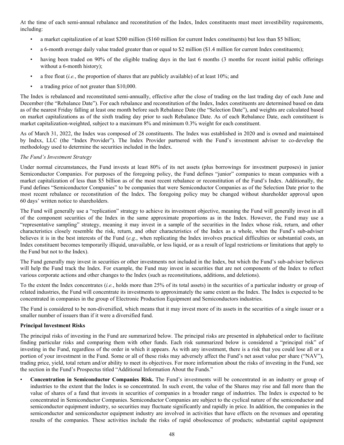At the time of each semi-annual rebalance and reconstitution of the Index, Index constituents must meet investibility requirements, including:

- a market capitalization of at least \$200 million (\$160 million for current Index constituents) but less than \$5 billion;
- a 6-month average daily value traded greater than or equal to \$2 million (\$1.4 million for current Index constituents);
- having been traded on 90% of the eligible trading days in the last 6 months (3 months for recent initial public offerings without a 6-month history);
- a free float (*i.e.*, the proportion of shares that are publicly available) of at least 10%; and
- a trading price of not greater than \$10,000.

The Index is rebalanced and reconstituted semi-annually, effective after the close of trading on the last trading day of each June and December (the "Rebalance Date"). For each rebalance and reconstitution of the Index, Index constituents are determined based on data as of the nearest Friday falling at least one month before such Rebalance Date (the "Selection Date"), and weights are calculated based on market capitalizations as of the sixth trading day prior to such Rebalance Date. As of each Rebalance Date, each constituent is market capitalization-weighted, subject to a maximum 8% and minimum 0.3% weight for each constituent.

As of March 31, 2022, the Index was composed of 28 constituents. The Index was established in 2020 and is owned and maintained by Indxx, LLC (the "Index Provider"). The Index Provider partnered with the Fund's investment adviser to co-develop the methodology used to determine the securities included in the Index.

# *The Fund's Investment Strategy*

Under normal circumstances, the Fund invests at least 80% of its net assets (plus borrowings for investment purposes) in junior Semiconductor Companies. For purposes of the foregoing policy, the Fund defines "junior" companies to mean companies with a market capitalization of less than \$5 billion as of the most recent rebalance or reconstitution of the Fund's Index. Additionally, the Fund defines "Semiconductor Companies" to be companies that were Semiconductor Companies as of the Selection Date prior to the most recent rebalance or reconstitution of the Index. The foregoing policy may be changed without shareholder approval upon 60 days' written notice to shareholders.

The Fund will generally use a "replication" strategy to achieve its investment objective, meaning the Fund will generally invest in all of the component securities of the Index in the same approximate proportions as in the Index. However, the Fund may use a "representative sampling" strategy, meaning it may invest in a sample of the securities in the Index whose risk, return, and other characteristics closely resemble the risk, return, and other characteristics of the Index as a whole, when the Fund's sub-adviser believes it is in the best interests of the Fund (*e.g.*, when replicating the Index involves practical difficulties or substantial costs, an Index constituent becomes temporarily illiquid, unavailable, or less liquid, or as a result of legal restrictions or limitations that apply to the Fund but not to the Index).

The Fund generally may invest in securities or other investments not included in the Index, but which the Fund's sub-adviser believes will help the Fund track the Index. For example, the Fund may invest in securities that are not components of the Index to reflect various corporate actions and other changes to the Index (such as reconstitutions, additions, and deletions).

To the extent the Index concentrates (*i.e.*, holds more than 25% of its total assets) in the securities of a particular industry or group of related industries, the Fund will concentrate its investments to approximately the same extent as the Index. The Index is expected to be concentrated in companies in the group of Electronic Production Equipment and Semiconductors industries.

The Fund is considered to be non-diversified, which means that it may invest more of its assets in the securities of a single issuer or a smaller number of issuers than if it were a diversified fund.

# **Principal Investment Risks**

The principal risks of investing in the Fund are summarized below. The principal risks are presented in alphabetical order to facilitate finding particular risks and comparing them with other funds. Each risk summarized below is considered a "principal risk" of investing in the Fund, regardless of the order in which it appears. As with any investment, there is a risk that you could lose all or a portion of your investment in the Fund. Some or all of these risks may adversely affect the Fund's net asset value per share ("NAV"), trading price, yield, total return and/or ability to meet its objectives. For more information about the risks of investing in the Fund, see the section in the Fund's Prospectus titled "Additional Information About the Funds."

• **Concentration in Semiconductor Companies Risk.** The Fund's investments will be concentrated in an industry or group of industries to the extent that the Index is so concentrated. In such event, the value of the Shares may rise and fall more than the value of shares of a fund that invests in securities of companies in a broader range of industries. The Index is expected to be concentrated in Semiconductor Companies. Semiconductor Companies are subject to the cyclical nature of the semiconductor and semiconductor equipment industry, so securities may fluctuate significantly and rapidly in price. In addition, the companies in the semiconductor and semiconductor equipment industry are involved in activities that have effects on the revenues and operating results of the companies. These activities include the risks of rapid obsolescence of products; substantial capital equipment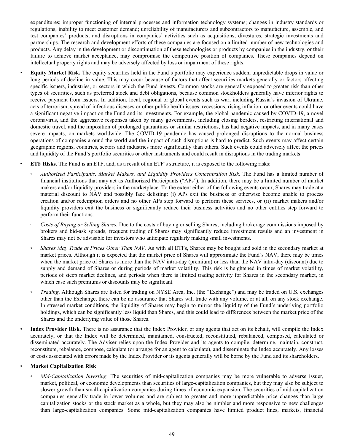expenditures; improper functioning of internal processes and information technology systems; changes in industry standards or regulations; inability to meet customer demand; unreliability of manufacturers and subcontractors to manufacture, assemble, and test companies' products; and disruptions in companies' activities such as acquisitions, divestures, strategic investments and partnerships. The research and development efforts of these companies are focused on a limited number of new technologies and products. Any delay in the development or discontinuation of these technologies or products by companies in the industry, or their failure to achieve market acceptance, may compromise the competitive position of companies. These companies depend on intellectual property rights and may be adversely affected by loss or impairment of these rights.

- *•* **Equity Market Risk.** The equity securities held in the Fund's portfolio may experience sudden, unpredictable drops in value or long periods of decline in value. This may occur because of factors that affect securities markets generally or factors affecting specific issuers, industries, or sectors in which the Fund invests. Common stocks are generally exposed to greater risk than other types of securities, such as preferred stock and debt obligations, because common stockholders generally have inferior rights to receive payment from issuers. In addition, local, regional or global events such as war, including Russia's invasion of Ukraine, acts of terrorism, spread of infectious diseases or other public health issues, recessions, rising inflation, or other events could have a significant negative impact on the Fund and its investments. For example, the global pandemic caused by COVID-19, a novel coronavirus, and the aggressive responses taken by many governments, including closing borders, restricting international and domestic travel, and the imposition of prolonged quarantines or similar restrictions, has had negative impacts, and in many cases severe impacts, on markets worldwide. The COVID-19 pandemic has caused prolonged disruptions to the normal business operations of companies around the world and the impact of such disruptions is hard to predict. Such events may affect certain geographic regions, countries, sectors and industries more significantly than others. Such events could adversely affect the prices and liquidity of the Fund's portfolio securities or other instruments and could result in disruptions in the trading markets.
- **ETF Risks.** The Fund is an ETF, and, as a result of an ETF's structure, it is exposed to the following risks:
	- *Authorized Participants, Market Makers, and Liquidity Providers Concentration Risk.* The Fund has a limited number of financial institutions that may act as Authorized Participants ("APs"). In addition, there may be a limited number of market makers and/or liquidity providers in the marketplace. To the extent either of the following events occur, Shares may trade at a material discount to NAV and possibly face delisting: (i) APs exit the business or otherwise become unable to process creation and/or redemption orders and no other APs step forward to perform these services, or (ii) market makers and/or liquidity providers exit the business or significantly reduce their business activities and no other entities step forward to perform their functions.
	- *Costs of Buying or Selling Shares.* Due to the costs of buying or selling Shares, including brokerage commissions imposed by brokers and bid-ask spreads, frequent trading of Shares may significantly reduce investment results and an investment in Shares may not be advisable for investors who anticipate regularly making small investments.
	- *Shares May Trade at Prices Other Than NAV.* As with all ETFs, Shares may be bought and sold in the secondary market at market prices. Although it is expected that the market price of Shares will approximate the Fund's NAV, there may be times when the market price of Shares is more than the NAV intra-day (premium) or less than the NAV intra-day (discount) due to supply and demand of Shares or during periods of market volatility. This risk is heightened in times of market volatility, periods of steep market declines, and periods when there is limited trading activity for Shares in the secondary market, in which case such premiums or discounts may be significant.
	- *Trading*. Although Shares are listed for trading on NYSE Arca, Inc. (the "Exchange") and may be traded on U.S. exchanges other than the Exchange, there can be no assurance that Shares will trade with any volume, or at all, on any stock exchange. In stressed market conditions, the liquidity of Shares may begin to mirror the liquidity of the Fund's underlying portfolio holdings, which can be significantly less liquid than Shares, and this could lead to differences between the market price of the Shares and the underlying value of those Shares.

Index Provider Risk. There is no assurance that the Index Provider, or any agents that act on its behalf, will compile the Index accurately, or that the Index will be determined, maintained, constructed, reconstituted, rebalanced, composed, calculated or disseminated accurately. The Adviser relies upon the Index Provider and its agents to compile, determine, maintain, construct, reconstitute, rebalance, compose, calculate (or arrange for an agent to calculate), and disseminate the Index accurately. Any losses or costs associated with errors made by the Index Provider or its agents generally will be borne by the Fund and its shareholders.

# • **Market Capitalization Risk**

◦ *Mid-Capitalization Investing.* The securities of mid-capitalization companies may be more vulnerable to adverse issuer, market, political, or economic developments than securities of large-capitalization companies, but they may also be subject to slower growth than small-capitalization companies during times of economic expansion. The securities of mid-capitalization companies generally trade in lower volumes and are subject to greater and more unpredictable price changes than large capitalization stocks or the stock market as a whole, but they may also be nimbler and more responsive to new challenges than large-capitalization companies. Some mid-capitalization companies have limited product lines, markets, financial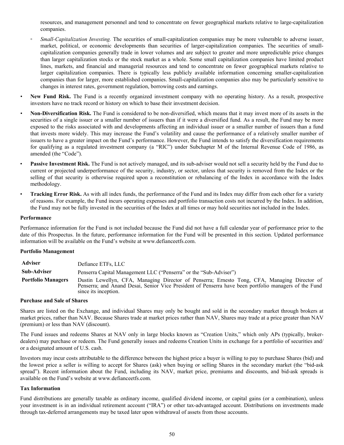resources, and management personnel and tend to concentrate on fewer geographical markets relative to large-capitalization companies.

- *Small-Capitalization Investing.* The securities of small-capitalization companies may be more vulnerable to adverse issuer, market, political, or economic developments than securities of larger-capitalization companies. The securities of smallcapitalization companies generally trade in lower volumes and are subject to greater and more unpredictable price changes than larger capitalization stocks or the stock market as a whole. Some small capitalization companies have limited product lines, markets, and financial and managerial resources and tend to concentrate on fewer geographical markets relative to larger capitalization companies. There is typically less publicly available information concerning smaller-capitalization companies than for larger, more established companies. Small-capitalization companies also may be particularly sensitive to changes in interest rates, government regulation, borrowing costs and earnings.
- **New Fund Risk.** The Fund is a recently organized investment company with no operating history. As a result, prospective investors have no track record or history on which to base their investment decision.
- *•* **Non-Diversification Risk.** The Fund is considered to be non-diversified, which means that it may invest more of its assets in the securities of a single issuer or a smaller number of issuers than if it were a diversified fund. As a result, the Fund may be more exposed to the risks associated with and developments affecting an individual issuer or a smaller number of issuers than a fund that invests more widely. This may increase the Fund's volatility and cause the performance of a relatively smaller number of issuers to have a greater impact on the Fund's performance. However, the Fund intends to satisfy the diversification requirements for qualifying as a regulated investment company (a "RIC") under Subchapter M of the Internal Revenue Code of 1986, as amended (the "Code").
- Passive Investment Risk. The Fund is not actively managed, and its sub-adviser would not sell a security held by the Fund due to current or projected underperformance of the security, industry, or sector, unless that security is removed from the Index or the selling of that security is otherwise required upon a reconstitution or rebalancing of the Index in accordance with the Index methodology.
- **Tracking Error Risk.** As with all index funds, the performance of the Fund and its Index may differ from each other for a variety of reasons. For example, the Fund incurs operating expenses and portfolio transaction costs not incurred by the Index. In addition, the Fund may not be fully invested in the securities of the Index at all times or may hold securities not included in the Index.

#### **Performance**

Performance information for the Fund is not included because the Fund did not have a full calendar year of performance prior to the date of this Prospectus. In the future, performance information for the Fund will be presented in this section. Updated performance information will be available on the Fund's website at www.defianceetfs.com.

#### **Portfolio Management**

| <b>Adviser</b>            | Defiance ETFs, LLC                                                                                                                                                                                                            |  |
|---------------------------|-------------------------------------------------------------------------------------------------------------------------------------------------------------------------------------------------------------------------------|--|
| <b>Sub-Adviser</b>        | Penserra Capital Management LLC ("Penserra" or the "Sub-Adviser")                                                                                                                                                             |  |
| <b>Portfolio Managers</b> | Dustin Lewellyn, CFA, Managing Director of Penserra; Ernesto Tong, CFA, Managing Director of<br>Penserra; and Anand Desai, Senior Vice President of Penserra have been portfolio managers of the Fund<br>since its inception. |  |

#### **Purchase and Sale of Shares**

Shares are listed on the Exchange, and individual Shares may only be bought and sold in the secondary market through brokers at market prices, rather than NAV. Because Shares trade at market prices rather than NAV, Shares may trade at a price greater than NAV (premium) or less than NAV (discount).

The Fund issues and redeems Shares at NAV only in large blocks known as "Creation Units," which only APs (typically, brokerdealers) may purchase or redeem. The Fund generally issues and redeems Creation Units in exchange for a portfolio of securities and/ or a designated amount of U.S. cash.

Investors may incur costs attributable to the difference between the highest price a buyer is willing to pay to purchase Shares (bid) and the lowest price a seller is willing to accept for Shares (ask) when buying or selling Shares in the secondary market (the "bid-ask spread"). Recent information about the Fund, including its NAV, market price, premiums and discounts, and bid-ask spreads is available on the Fund's website at www.defianceetfs.com.

#### **Tax Information**

Fund distributions are generally taxable as ordinary income, qualified dividend income, or capital gains (or a combination), unless your investment is in an individual retirement account ("IRA") or other tax-advantaged account. Distributions on investments made through tax-deferred arrangements may be taxed later upon withdrawal of assets from those accounts.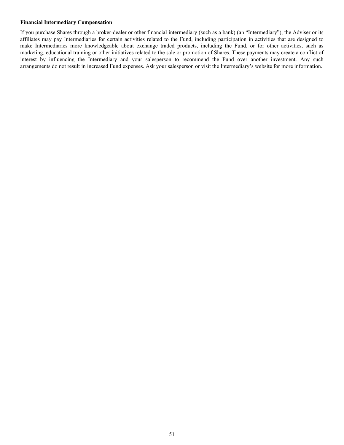### **Financial Intermediary Compensation**

If you purchase Shares through a broker-dealer or other financial intermediary (such as a bank) (an "Intermediary"), the Adviser or its affiliates may pay Intermediaries for certain activities related to the Fund, including participation in activities that are designed to make Intermediaries more knowledgeable about exchange traded products, including the Fund, or for other activities, such as marketing, educational training or other initiatives related to the sale or promotion of Shares. These payments may create a conflict of interest by influencing the Intermediary and your salesperson to recommend the Fund over another investment. Any such arrangements do not result in increased Fund expenses. Ask your salesperson or visit the Intermediary's website for more information.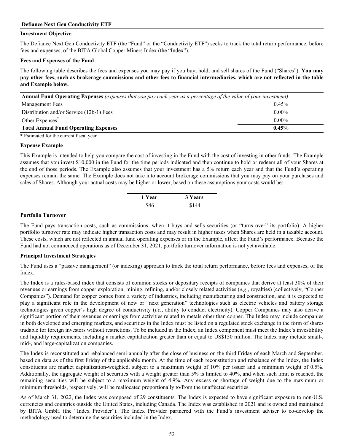# **Defiance Next Gen Conductivity ETF**

# **Investment Objective**

The Defiance Next Gen Conductivity ETF (the "Fund" or the "Conductivity ETF") seeks to track the total return performance, before fees and expenses, of the BITA Global Copper Miners Index (the "Index").

# **Fees and Expenses of the Fund**

The following table describes the fees and expenses you may pay if you buy, hold, and sell shares of the Fund ("Shares"). **You may pay other fees, such as brokerage commissions and other fees to financial intermediaries, which are not reflected in the table and Example below.**

| Annual Fund Operating Expenses (expenses that you pay each year as a percentage of the value of your investment) |          |
|------------------------------------------------------------------------------------------------------------------|----------|
| 0.45%<br>Management Fees                                                                                         |          |
| Distribution and/or Service (12b-1) Fees                                                                         | $0.00\%$ |
| Other Expenses <sup>*</sup>                                                                                      | $0.00\%$ |
| <b>Total Annual Fund Operating Expenses</b>                                                                      | $0.45\%$ |

\* Estimated for the current fiscal year.

### **Expense Example**

This Example is intended to help you compare the cost of investing in the Fund with the cost of investing in other funds. The Example assumes that you invest \$10,000 in the Fund for the time periods indicated and then continue to hold or redeem all of your Shares at the end of those periods. The Example also assumes that your investment has a 5% return each year and that the Fund's operating expenses remain the same. The Example does not take into account brokerage commissions that you may pay on your purchases and sales of Shares. Although your actual costs may be higher or lower, based on these assumptions your costs would be:

| 1 Year | 3 Years |
|--------|---------|
| \$46   | \$144   |

#### **Portfolio Turnover**

The Fund pays transaction costs, such as commissions, when it buys and sells securities (or "turns over" its portfolio). A higher portfolio turnover rate may indicate higher transaction costs and may result in higher taxes when Shares are held in a taxable account. These costs, which are not reflected in annual fund operating expenses or in the Example, affect the Fund's performance. Because the Fund had not commenced operations as of December 31, 2021, portfolio turnover information is not yet available.

# **Principal Investment Strategies**

The Fund uses a "passive management" (or indexing) approach to track the total return performance, before fees and expenses, of the Index.

The Index is a rules-based index that consists of common stocks or depositary receipts of companies that derive at least 30% of their revenues or earnings from copper exploration, mining, refining, and/or closely related activities (*e.g*., royalties) (collectively, "Copper Companies"). Demand for copper comes from a variety of industries, including manufacturing and construction, and it is expected to play a significant role in the development of new or "next generation" technologies such as electric vehicles and battery storage technologies given copper's high degree of conductivity (*i.e.*, ability to conduct electricity). Copper Companies may also derive a significant portion of their revenues or earnings from activities related to metals other than copper. The Index may include companies in both developed and emerging markets, and securities in the Index must be listed on a regulated stock exchange in the form of shares tradable for foreign investors without restrictions. To be included in the Index, an Index component must meet the Index's investibility and liquidity requirements, including a market capitalization greater than or equal to US\$150 million. The Index may include small-, mid-, and large-capitalization companies.

The Index is reconstituted and rebalanced semi-annually after the close of business on the third Friday of each March and September, based on data as of the first Friday of the applicable month. At the time of each reconstitution and rebalance of the Index, the Index constituents are market capitalization-weighted, subject to a maximum weight of 10% per issuer and a minimum weight of 0.5%. Additionally, the aggregate weight of securities with a weight greater than 5% is limited to 40%, and when such limit is reached, the remaining securities will be subject to a maximum weight of 4.9%. Any excess or shortage of weight due to the maximum or minimum thresholds, respectively, will be reallocated proportionally to/from the unaffected securities.

As of March 31, 2022, the Index was composed of 29 constituents. The Index is expected to have significant exposure to non-U.S. currencies and countries outside the United States, including Canada. The Index was established in 2021 and is owned and maintained by BITA GmbH (the "Index Provider"). The Index Provider partnered with the Fund's investment adviser to co-develop the methodology used to determine the securities included in the Index.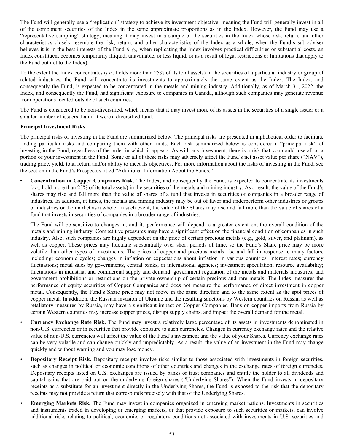The Fund will generally use a "replication" strategy to achieve its investment objective, meaning the Fund will generally invest in all of the component securities of the Index in the same approximate proportions as in the Index. However, the Fund may use a "representative sampling" strategy, meaning it may invest in a sample of the securities in the Index whose risk, return, and other characteristics closely resemble the risk, return, and other characteristics of the Index as a whole, when the Fund's sub-adviser believes it is in the best interests of the Fund *(e.g.,* when replicating the Index involves practical difficulties or substantial costs, an Index constituent becomes temporarily illiquid, unavailable, or less liquid, or as a result of legal restrictions or limitations that apply to the Fund but not to the Index).

To the extent the Index concentrates (*i.e.*, holds more than 25% of its total assets) in the securities of a particular industry or group of related industries, the Fund will concentrate its investments to approximately the same extent as the Index. The Index, and consequently the Fund, is expected to be concentrated in the metals and mining industry. Additionally, as of March 31, 2022, the Index, and consequently the Fund, had significant exposure to companies in Canada, although such companies may generate revenue from operations located outside of such countries.

The Fund is considered to be non-diversified, which means that it may invest more of its assets in the securities of a single issuer or a smaller number of issuers than if it were a diversified fund.

# **Principal Investment Risks**

The principal risks of investing in the Fund are summarized below. The principal risks are presented in alphabetical order to facilitate finding particular risks and comparing them with other funds. Each risk summarized below is considered a "principal risk" of investing in the Fund, regardless of the order in which it appears. As with any investment, there is a risk that you could lose all or a portion of your investment in the Fund. Some or all of these risks may adversely affect the Fund's net asset value per share ("NAV"), trading price, yield, total return and/or ability to meet its objectives. For more information about the risks of investing in the Fund, see the section in the Fund's Prospectus titled "Additional Information About the Funds."

• **Concentration in Copper Companies Risk.** The Index, and consequently the Fund, is expected to concentrate its investments (*i.e*., hold more than 25% of its total assets) in the securities of the metals and mining industry. As a result, the value of the Fund's shares may rise and fall more than the value of shares of a fund that invests in securities of companies in a broader range of industries. In addition, at times, the metals and mining industry may be out of favor and underperform other industries or groups of industries or the market as a whole. In such event, the value of the Shares may rise and fall more than the value of shares of a fund that invests in securities of companies in a broader range of industries.

The Fund will be sensitive to changes in, and its performance will depend to a greater extent on, the overall condition of the metals and mining industry. Competitive pressures may have a significant effect on the financial condition of companies in such industry. Also, such companies are highly dependent on the price of certain precious metals (e.g., gold, silver, and platinum), as well as copper. These prices may fluctuate substantially over short periods of time, so the Fund's Share price may be more volatile than other types of investments. The prices of copper and precious metals rise and fall in response to many factors, including: economic cycles; changes in inflation or expectations about inflation in various countries; interest rates; currency fluctuations; metal sales by governments, central banks, or international agencies; investment speculation; resource availability; fluctuations in industrial and commercial supply and demand; government regulation of the metals and materials industries; and government prohibitions or restrictions on the private ownership of certain precious and rare metals. The Index measures the performance of equity securities of Copper Companies and does not measure the performance of direct investment in copper metal. Consequently, the Fund's Share price may not move in the same direction and to the same extent as the spot prices of copper metal. In addition, the Russian invasion of Ukraine and the resulting sanctions by Western countries on Russia, as well as retaliatory measures by Russia, may have a significant impact on Copper Companies. Bans on copper imports from Russia by certain Western countries may increase copper prices, disrupt supply chains, and impact the overall demand for the metal.

- **Currency Exchange Rate Risk.** The Fund may invest a relatively large percentage of its assets in investments denominated in non-U.S. currencies or in securities that provide exposure to such currencies. Changes in currency exchange rates and the relative value of non-U.S. currencies will affect the value of the Fund's investment and the value of your Shares. Currency exchange rates can be very volatile and can change quickly and unpredictably. As a result, the value of an investment in the Fund may change quickly and without warning and you may lose money.
- **Depositary Receipt Risk.** Depositary receipts involve risks similar to those associated with investments in foreign securities, such as changes in political or economic conditions of other countries and changes in the exchange rates of foreign currencies. Depositary receipts listed on U.S. exchanges are issued by banks or trust companies and entitle the holder to all dividends and capital gains that are paid out on the underlying foreign shares ("Underlying Shares"). When the Fund invests in depositary receipts as a substitute for an investment directly in the Underlying Shares, the Fund is exposed to the risk that the depositary receipts may not provide a return that corresponds precisely with that of the Underlying Shares.
- *•* **Emerging Markets Risk.** The Fund may invest in companies organized in emerging market nations. Investments in securities and instruments traded in developing or emerging markets, or that provide exposure to such securities or markets, can involve additional risks relating to political, economic, or regulatory conditions not associated with investments in U.S. securities and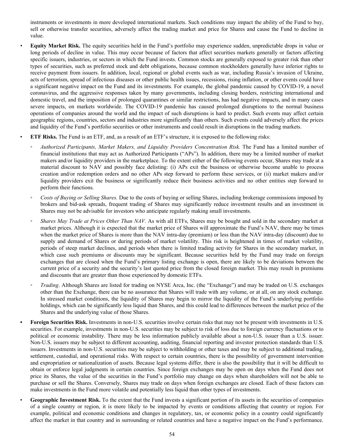instruments or investments in more developed international markets. Such conditions may impact the ability of the Fund to buy, sell or otherwise transfer securities, adversely affect the trading market and price for Shares and cause the Fund to decline in value.

- *•* **Equity Market Risk.** The equity securities held in the Fund's portfolio may experience sudden, unpredictable drops in value or long periods of decline in value. This may occur because of factors that affect securities markets generally or factors affecting specific issuers, industries, or sectors in which the Fund invests. Common stocks are generally exposed to greater risk than other types of securities, such as preferred stock and debt obligations, because common stockholders generally have inferior rights to receive payment from issuers. In addition, local, regional or global events such as war, including Russia's invasion of Ukraine, acts of terrorism, spread of infectious diseases or other public health issues, recessions, rising inflation, or other events could have a significant negative impact on the Fund and its investments. For example, the global pandemic caused by COVID-19, a novel coronavirus, and the aggressive responses taken by many governments, including closing borders, restricting international and domestic travel, and the imposition of prolonged quarantines or similar restrictions, has had negative impacts, and in many cases severe impacts, on markets worldwide. The COVID-19 pandemic has caused prolonged disruptions to the normal business operations of companies around the world and the impact of such disruptions is hard to predict. Such events may affect certain geographic regions, countries, sectors and industries more significantly than others. Such events could adversely affect the prices and liquidity of the Fund's portfolio securities or other instruments and could result in disruptions in the trading markets.
- **ETF Risks.** The Fund is an ETF, and, as a result of an ETF's structure, it is exposed to the following risks:
- *Authorized Participants, Market Makers, and Liquidity Providers Concentration Risk.* The Fund has a limited number of financial institutions that may act as Authorized Participants ("APs"). In addition, there may be a limited number of market makers and/or liquidity providers in the marketplace. To the extent either of the following events occur, Shares may trade at a material discount to NAV and possibly face delisting: (i) APs exit the business or otherwise become unable to process creation and/or redemption orders and no other APs step forward to perform these services, or (ii) market makers and/or liquidity providers exit the business or significantly reduce their business activities and no other entities step forward to perform their functions.
- *Costs of Buying or Selling Shares.* Due to the costs of buying or selling Shares, including brokerage commissions imposed by brokers and bid-ask spreads, frequent trading of Shares may significantly reduce investment results and an investment in Shares may not be advisable for investors who anticipate regularly making small investments.
- *Shares May Trade at Prices Other Than NAV.* As with all ETFs, Shares may be bought and sold in the secondary market at market prices. Although it is expected that the market price of Shares will approximate the Fund's NAV, there may be times when the market price of Shares is more than the NAV intra-day (premium) or less than the NAV intra-day (discount) due to supply and demand of Shares or during periods of market volatility. This risk is heightened in times of market volatility, periods of steep market declines, and periods when there is limited trading activity for Shares in the secondary market, in which case such premiums or discounts may be significant. Because securities held by the Fund may trade on foreign exchanges that are closed when the Fund's primary listing exchange is open, there are likely to be deviations between the current price of a security and the security's last quoted price from the closed foreign market. This may result in premiums and discounts that are greater than those experienced by domestic ETFs.
- *Trading*. Although Shares are listed for trading on NYSE Arca, Inc. (the "Exchange") and may be traded on U.S. exchanges other than the Exchange, there can be no assurance that Shares will trade with any volume, or at all, on any stock exchange. In stressed market conditions, the liquidity of Shares may begin to mirror the liquidity of the Fund's underlying portfolio holdings, which can be significantly less liquid than Shares, and this could lead to differences between the market price of the Shares and the underlying value of those Shares.
- *•* **Foreign Securities Risk.** Investments in non-U.S. securities involve certain risks that may not be present with investments in U.S. securities. For example, investments in non-U.S. securities may be subject to risk of loss due to foreign currency fluctuations or to political or economic instability. There may be less information publicly available about a non-U.S. issuer than a U.S. issuer. Non-U.S. issuers may be subject to different accounting, auditing, financial reporting and investor protection standards than U.S. issuers. Investments in non-U.S. securities may be subject to withholding or other taxes and may be subject to additional trading, settlement, custodial, and operational risks. With respect to certain countries, there is the possibility of government intervention and expropriation or nationalization of assets. Because legal systems differ, there is also the possibility that it will be difficult to obtain or enforce legal judgments in certain countries. Since foreign exchanges may be open on days when the Fund does not price its Shares, the value of the securities in the Fund's portfolio may change on days when shareholders will not be able to purchase or sell the Shares. Conversely, Shares may trade on days when foreign exchanges are closed. Each of these factors can make investments in the Fund more volatile and potentially less liquid than other types of investments.
	- **Geographic Investment Risk.** To the extent that the Fund invests a significant portion of its assets in the securities of companies of a single country or region, it is more likely to be impacted by events or conditions affecting that country or region. For example, political and economic conditions and changes in regulatory, tax, or economic policy in a country could significantly affect the market in that country and in surrounding or related countries and have a negative impact on the Fund's performance.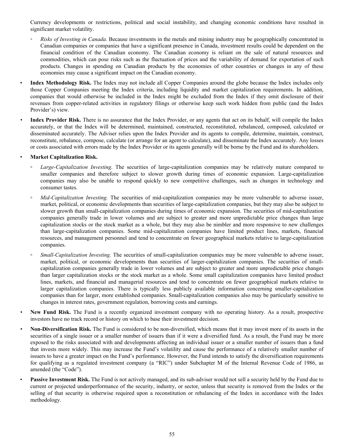Currency developments or restrictions, political and social instability, and changing economic conditions have resulted in significant market volatility.

- *Risks of Investing in Canada*. Because investments in the metals and mining industry may be geographically concentrated in Canadian companies or companies that have a significant presence in Canada, investment results could be dependent on the financial condition of the Canadian economy. The Canadian economy is reliant on the sale of natural resources and commodities, which can pose risks such as the fluctuation of prices and the variability of demand for exportation of such products. Changes in spending on Canadian products by the economies of other countries or changes in any of these economies may cause a significant impact on the Canadian economy.
- **Index Methodology Risk.** The Index may not include all Copper Companies around the globe because the Index includes only those Copper Companies meeting the Index criteria, including liquidity and market capitalization requirements. In addition, companies that would otherwise be included in the Index might be excluded from the Index if they omit disclosure of their revenues from copper-related activities in regulatory filings or otherwise keep such work hidden from public (and the Index Provider's) view.
- *•* **Index Provider Risk.** There is no assurance that the Index Provider, or any agents that act on its behalf, will compile the Index accurately, or that the Index will be determined, maintained, constructed, reconstituted, rebalanced, composed, calculated or disseminated accurately. The Adviser relies upon the Index Provider and its agents to compile, determine, maintain, construct, reconstitute, rebalance, compose, calculate (or arrange for an agent to calculate), and disseminate the Index accurately. Any losses or costs associated with errors made by the Index Provider or its agents generally will be borne by the Fund and its shareholders.

### • **Market Capitalization Risk.**

- *◦ Large-Capitalization Investing*. The securities of large-capitalization companies may be relatively mature compared to smaller companies and therefore subject to slower growth during times of economic expansion. Large-capitalization companies may also be unable to respond quickly to new competitive challenges, such as changes in technology and consumer tastes.
- *Mid-Capitalization Investing.* The securities of mid-capitalization companies may be more vulnerable to adverse issuer, market, political, or economic developments than securities of large-capitalization companies, but they may also be subject to slower growth than small-capitalization companies during times of economic expansion. The securities of mid-capitalization companies generally trade in lower volumes and are subject to greater and more unpredictable price changes than large capitalization stocks or the stock market as a whole, but they may also be nimbler and more responsive to new challenges than large-capitalization companies. Some mid-capitalization companies have limited product lines, markets, financial resources, and management personnel and tend to concentrate on fewer geographical markets relative to large-capitalization companies.
- *◦ Small-Capitalization Investing.* The securities of small-capitalization companies may be more vulnerable to adverse issuer, market, political, or economic developments than securities of larger-capitalization companies. The securities of smallcapitalization companies generally trade in lower volumes and are subject to greater and more unpredictable price changes than larger capitalization stocks or the stock market as a whole. Some small capitalization companies have limited product lines, markets, and financial and managerial resources and tend to concentrate on fewer geographical markets relative to larger capitalization companies. There is typically less publicly available information concerning smaller-capitalization companies than for larger, more established companies. Small-capitalization companies also may be particularly sensitive to changes in interest rates, government regulation, borrowing costs and earnings.
- **New Fund Risk.** The Fund is a recently organized investment company with no operating history. As a result, prospective investors have no track record or history on which to base their investment decision.
- *•* **Non-Diversification Risk.** The Fund is considered to be non-diversified, which means that it may invest more of its assets in the securities of a single issuer or a smaller number of issuers than if it were a diversified fund. As a result, the Fund may be more exposed to the risks associated with and developments affecting an individual issuer or a smaller number of issuers than a fund that invests more widely. This may increase the Fund's volatility and cause the performance of a relatively smaller number of issuers to have a greater impact on the Fund's performance. However, the Fund intends to satisfy the diversification requirements for qualifying as a regulated investment company (a "RIC") under Subchapter M of the Internal Revenue Code of 1986, as amended (the "Code").
- **Passive Investment Risk.** The Fund is not actively managed, and its sub-adviser would not sell a security held by the Fund due to current or projected underperformance of the security, industry, or sector, unless that security is removed from the Index or the selling of that security is otherwise required upon a reconstitution or rebalancing of the Index in accordance with the Index methodology.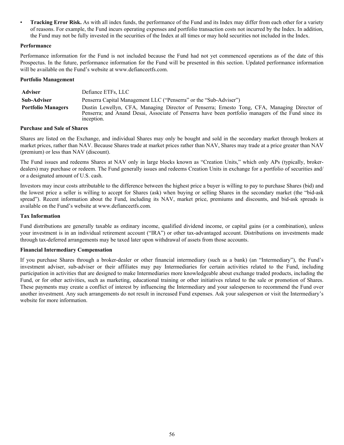**Tracking Error Risk.** As with all index funds, the performance of the Fund and its Index may differ from each other for a variety of reasons. For example, the Fund incurs operating expenses and portfolio transaction costs not incurred by the Index. In addition, the Fund may not be fully invested in the securities of the Index at all times or may hold securities not included in the Index.

# **Performance**

Performance information for the Fund is not included because the Fund had not yet commenced operations as of the date of this Prospectus. In the future, performance information for the Fund will be presented in this section. Updated performance information will be available on the Fund's website at www.defianceetfs.com.

#### **Portfolio Management**

| <b>Adviser</b>            | Defiance ETFs, LLC                                                                                                                                                                                                |
|---------------------------|-------------------------------------------------------------------------------------------------------------------------------------------------------------------------------------------------------------------|
| Sub-Adviser               | Penserra Capital Management LLC ("Penserra" or the "Sub-Adviser")                                                                                                                                                 |
| <b>Portfolio Managers</b> | Dustin Lewellyn, CFA, Managing Director of Penserra; Ernesto Tong, CFA, Managing Director of<br>Penserra; and Anand Desai, Associate of Penserra have been portfolio managers of the Fund since its<br>inception. |

### **Purchase and Sale of Shares**

Shares are listed on the Exchange, and individual Shares may only be bought and sold in the secondary market through brokers at market prices, rather than NAV. Because Shares trade at market prices rather than NAV, Shares may trade at a price greater than NAV (premium) or less than NAV (discount).

The Fund issues and redeems Shares at NAV only in large blocks known as "Creation Units," which only APs (typically, brokerdealers) may purchase or redeem. The Fund generally issues and redeems Creation Units in exchange for a portfolio of securities and/ or a designated amount of U.S. cash.

Investors may incur costs attributable to the difference between the highest price a buyer is willing to pay to purchase Shares (bid) and the lowest price a seller is willing to accept for Shares (ask) when buying or selling Shares in the secondary market (the "bid-ask spread"). Recent information about the Fund, including its NAV, market price, premiums and discounts, and bid-ask spreads is available on the Fund's website at www.defianceetfs.com.

### **Tax Information**

Fund distributions are generally taxable as ordinary income, qualified dividend income, or capital gains (or a combination), unless your investment is in an individual retirement account ("IRA") or other tax-advantaged account. Distributions on investments made through tax-deferred arrangements may be taxed later upon withdrawal of assets from those accounts.

# **Financial Intermediary Compensation**

If you purchase Shares through a broker-dealer or other financial intermediary (such as a bank) (an "Intermediary"), the Fund's investment adviser, sub-adviser or their affiliates may pay Intermediaries for certain activities related to the Fund, including participation in activities that are designed to make Intermediaries more knowledgeable about exchange traded products, including the Fund, or for other activities, such as marketing, educational training or other initiatives related to the sale or promotion of Shares. These payments may create a conflict of interest by influencing the Intermediary and your salesperson to recommend the Fund over another investment. Any such arrangements do not result in increased Fund expenses. Ask your salesperson or visit the Intermediary's website for more information.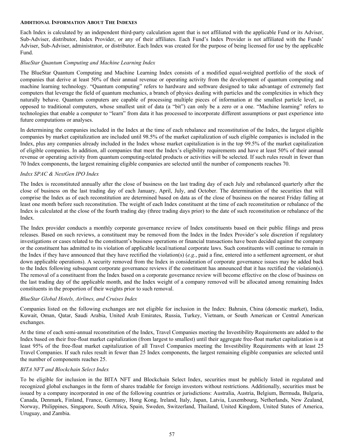#### **ADDITIONAL INFORMATION ABOUT THE INDEXES**

Each Index is calculated by an independent third-party calculation agent that is not affiliated with the applicable Fund or its Adviser, Sub-Adviser, distributor, Index Provider, or any of their affiliates. Each Fund's Index Provider is not affiliated with the Funds' Adviser, Sub-Adviser, administrator, or distributor. Each Index was created for the purpose of being licensed for use by the applicable Fund.

# *BlueStar Quantum Computing and Machine Learning Index*

The BlueStar Quantum Computing and Machine Learning Index consists of a modified equal-weighted portfolio of the stock of companies that derive at least 50% of their annual revenue or operating activity from the development of quantum computing and machine learning technology. "Quantum computing" refers to hardware and software designed to take advantage of extremely fast computers that leverage the field of quantum mechanics, a branch of physics dealing with particles and the complexities in which they naturally behave. Quantum computers are capable of processing multiple pieces of information at the smallest particle level, as opposed to traditional computers, whose smallest unit of data (a "bit") can only be a zero or a one. "Machine learning" refers to technologies that enable a computer to "learn" from data it has processed to incorporate different assumptions or past experience into future computations or analyses.

In determining the companies included in the Index at the time of each rebalance and reconstitution of the Index, the largest eligible companies by market capitalization are included until 98.5% of the market capitalization of such eligible companies is included in the Index, plus any companies already included in the Index whose market capitalization is in the top 99.5% of the market capitalization of eligible companies. In addition, all companies that meet the Index's eligibility requirements and have at least 50% of their annual revenue or operating activity from quantum computing-related products or activities will be selected. If such rules result in fewer than 70 Index components, the largest remaining eligible companies are selected until the number of components reaches 70.

# *Indxx SPAC & NextGen IPO Index*

The Index is reconstituted annually after the close of business on the last trading day of each July and rebalanced quarterly after the close of business on the last trading day of each January, April, July, and October. The determination of the securities that will comprise the Index as of each reconstitution are determined based on data as of the close of business on the nearest Friday falling at least one month before such reconstitution. The weight of each Index constituent at the time of each reconstitution or rebalance of the Index is calculated at the close of the fourth trading day (three trading days prior) to the date of such reconstitution or rebalance of the Index.

The Index provider conducts a monthly corporate governance review of Index constituents based on their public filings and press releases. Based on such reviews, a constituent may be removed from the Index in the Index Provider's sole discretion if regulatory investigations or cases related to the constituent's business operations or financial transactions have been decided against the company or the constituent has admitted to its violation of applicable local/national corporate laws. Such constituents will continue to remain in the Index if they have announced that they have rectified the violation(s) (*e.g.*, paid a fine, entered into a settlement agreement, or shut down applicable operations). A security removed from the Index in consideration of corporate governance issues may be added back to the Index following subsequent corporate governance reviews if the constituent has announced that it has rectified the violation(s). The removal of a constituent from the Index based on a corporate governance review will become effective on the close of business on the last trading day of the applicable month, and the Index weight of a company removed will be allocated among remaining Index constituents in the proportion of their weights prior to such removal.

# *BlueStar Global Hotels, Airlines, and Cruises Index*

Companies listed on the following exchanges are not eligible for inclusion in the Index: Bahrain, China (domestic market), India, Kuwait, Oman, Qatar, Saudi Arabia, United Arab Emirates, Russia, Turkey, Vietnam, or South American or Central American exchanges.

At the time of each semi-annual reconstitution of the Index, Travel Companies meeting the Investibility Requirements are added to the Index based on their free-float market capitalization (from largest to smallest) until their aggregate free-float market capitalization is at least 95% of the free-float market capitalization of all Travel Companies meeting the Investibility Requirements with at least 25 Travel Companies. If such rules result in fewer than 25 Index components, the largest remaining eligible companies are selected until the number of components reaches 25.

# *BITA NFT and Blockchain Select Index*

To be eligible for inclusion in the BITA NFT and Blockchain Select Index, securities must be publicly listed in regulated and recognized global exchanges in the form of shares tradable for foreign investors without restrictions. Additionally, securities must be issued by a company incorporated in one of the following countries or jurisdictions: Australia, Austria, Belgium, Bermuda, Bulgaria, Canada, Denmark, Finland, France, Germany, Hong Kong, Ireland, Italy, Japan, Latvia, Luxembourg, Netherlands, New Zealand, Norway, Philippines, Singapore, South Africa, Spain, Sweden, Switzerland, Thailand, United Kingdom, United States of America, Uruguay, and Zambia.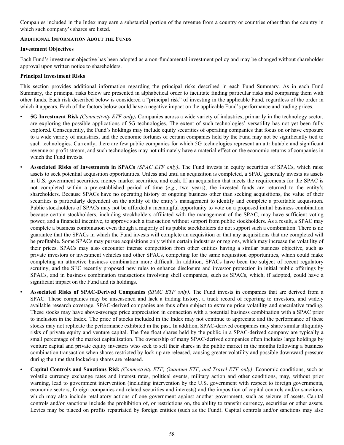Companies included in the Index may earn a substantial portion of the revenue from a country or countries other than the country in which such company's shares are listed.

## **ADDITIONAL INFORMATION ABOUT THE FUNDS**

# **Investment Objectives**

Each Fund's investment objective has been adopted as a non-fundamental investment policy and may be changed without shareholder approval upon written notice to shareholders.

# **Principal Investment Risks**

This section provides additional information regarding the principal risks described in each Fund Summary. As in each Fund Summary, the principal risks below are presented in alphabetical order to facilitate finding particular risks and comparing them with other funds. Each risk described below is considered a "principal risk" of investing in the applicable Fund, regardless of the order in which it appears. Each of the factors below could have a negative impact on the applicable Fund's performance and trading prices.

- **5G Investment Risk** *(Connectivity ETF only)***.** Companies across a wide variety of industries, primarily in the technology sector, are exploring the possible applications of 5G technologies. The extent of such technologies' versatility has not yet been fully explored. Consequently, the Fund's holdings may include equity securities of operating companies that focus on or have exposure to a wide variety of industries, and the economic fortunes of certain companies held by the Fund may not be significantly tied to such technologies. Currently, there are few public companies for which 5G technologies represent an attributable and significant revenue or profit stream, and such technologies may not ultimately have a material effect on the economic returns of companies in which the Fund invests.
- **Associated Risks of Investments in SPACs** *(SPAC ETF only)***.** The Fund invests in equity securities of SPACs, which raise assets to seek potential acquisition opportunities. Unless and until an acquisition is completed, a SPAC generally invests its assets in U.S. government securities, money market securities, and cash. If an acquisition that meets the requirements for the SPAC is not completed within a pre-established period of time (*e.g.*, two years), the invested funds are returned to the entity's shareholders. Because SPACs have no operating history or ongoing business other than seeking acquisitions, the value of their securities is particularly dependent on the ability of the entity's management to identify and complete a profitable acquisition. Public stockholders of SPACs may not be afforded a meaningful opportunity to vote on a proposed initial business combination because certain stockholders, including stockholders affiliated with the management of the SPAC, may have sufficient voting power, and a financial incentive, to approve such a transaction without support from public stockholders. As a result, a SPAC may complete a business combination even though a majority of its public stockholders do not support such a combination. There is no guarantee that the SPACs in which the Fund invests will complete an acquisition or that any acquisitions that are completed will be profitable. Some SPACs may pursue acquisitions only within certain industries or regions, which may increase the volatility of their prices. SPACs may also encounter intense competition from other entities having a similar business objective, such as private investors or investment vehicles and other SPACs, competing for the same acquisition opportunities, which could make completing an attractive business combination more difficult. In addition, SPACs have been the subject of recent regulatory scrutiny, and the SEC recently proposed new rules to enhance disclosure and investor protection in initial public offerings by SPACs, and in business combination transactions involving shell companies, such as SPACs, which, if adopted, could have a significant impact on the Fund and its holdings.

• **Associated Risks of SPAC-Derived Companies** *(SPAC ETF only)***.** The Fund invests in companies that are derived from a SPAC. These companies may be unseasoned and lack a trading history, a track record of reporting to investors, and widely available research coverage. SPAC-derived companies are thus often subject to extreme price volatility and speculative trading. These stocks may have above-average price appreciation in connection with a potential business combination with a SPAC prior to inclusion in the Index. The price of stocks included in the Index may not continue to appreciate and the performance of these stocks may not replicate the performance exhibited in the past. In addition, SPAC-derived companies may share similar illiquidity risks of private equity and venture capital. The free float shares held by the public in a SPAC-derived company are typically a small percentage of the market capitalization. The ownership of many SPAC-derived companies often includes large holdings by venture capital and private equity investors who seek to sell their shares in the public market in the months following a business combination transaction when shares restricted by lock-up are released, causing greater volatility and possible downward pressure during the time that locked-up shares are released.

• **Capital Controls and Sanctions Risk** *(Connectivity ETF, Quantum ETF, and Travel ETF only)*. Economic conditions, such as volatile currency exchange rates and interest rates, political events, military action and other conditions, may, without prior warning, lead to government intervention (including intervention by the U.S. government with respect to foreign governments, economic sectors, foreign companies and related securities and interests) and the imposition of capital controls and/or sanctions, which may also include retaliatory actions of one government against another government, such as seizure of assets. Capital controls and/or sanctions include the prohibition of, or restrictions on, the ability to transfer currency, securities or other assets. Levies may be placed on profits repatriated by foreign entities (such as the Fund). Capital controls and/or sanctions may also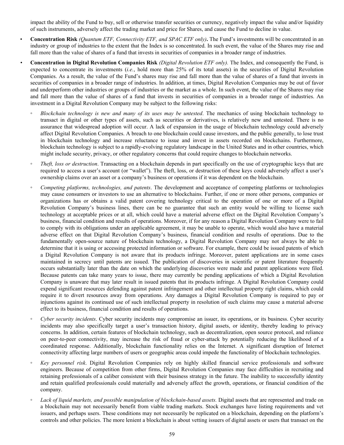impact the ability of the Fund to buy, sell or otherwise transfer securities or currency, negatively impact the value and/or liquidity of such instruments, adversely affect the trading market and price for Shares, and cause the Fund to decline in value.

- **Concentration Risk** *(Quantum ETF, Connectivity ETF, and SPAC ETF only)***.** The Fund's investments will be concentrated in an industry or group of industries to the extent that the Index is so concentrated. In such event, the value of the Shares may rise and fall more than the value of shares of a fund that invests in securities of companies in a broader range of industries.
- *•* **Concentration in Digital Revolution Companies Risk** *(Digital Revolution ETF only).* The Index, and consequently the Fund, is expected to concentrate its investments (*i.e.*, hold more than 25% of its total assets) in the securities of Digital Revolution Companies. As a result, the value of the Fund's shares may rise and fall more than the value of shares of a fund that invests in securities of companies in a broader range of industries. In addition, at times, Digital Revolution Companies may be out of favor and underperform other industries or groups of industries or the market as a whole. In such event, the value of the Shares may rise and fall more than the value of shares of a fund that invests in securities of companies in a broader range of industries. An investment in a Digital Revolution Company may be subject to the following risks:
	- *◦ Blockchain technology is new and many of its uses may be untested*. The mechanics of using blockchain technology to transact in digital or other types of assets, such as securities or derivatives, is relatively new and untested. There is no assurance that widespread adoption will occur. A lack of expansion in the usage of blockchain technology could adversely affect Digital Revolution Companies. A breach to one blockchain could cause investors, and the public generally, to lose trust in blockchain technology and increase reluctance to issue and invest in assets recorded on blockchains. Furthermore, blockchain technology is subject to a rapidly-evolving regulatory landscape in the United States and in other countries, which might include security, privacy, or other regulatory concerns that could require changes to blockchain networks.
	- *Theft, loss or destruction*. Transacting on a blockchain depends in part specifically on the use of cryptographic keys that are required to access a user's account (or "wallet"). The theft, loss, or destruction of these keys could adversely affect a user's ownership claims over an asset or a company's business or operations if it was dependent on the blockchain.
	- *Competing platforms, technologies, and patents*. The development and acceptance of competing platforms or technologies may cause consumers or investors to use an alternative to blockchains. Further, if one or more other persons, companies or organizations has or obtains a valid patent covering technology critical to the operation of one or more of a Digital Revolution Company's business lines, there can be no guarantee that such an entity would be willing to license such technology at acceptable prices or at all, which could have a material adverse effect on the Digital Revolution Company's business, financial condition and results of operations. Moreover, if for any reason a Digital Revolution Company were to fail to comply with its obligations under an applicable agreement, it may be unable to operate, which would also have a material adverse effect on that Digital Revolution Company's business, financial condition and results of operations. Due to the fundamentally open-source nature of blockchain technology, a Digital Revolution Company may not always be able to determine that it is using or accessing protected information or software. For example, there could be issued patents of which a Digital Revolution Company is not aware that its products infringe. Moreover, patent applications are in some cases maintained in secrecy until patents are issued. The publication of discoveries in scientific or patent literature frequently occurs substantially later than the date on which the underlying discoveries were made and patent applications were filed. Because patents can take many years to issue, there may currently be pending applications of which a Digital Revolution Company is unaware that may later result in issued patents that its products infringe. A Digital Revolution Company could expend significant resources defending against patent infringement and other intellectual property right claims, which could require it to divert resources away from operations. Any damages a Digital Revolution Company is required to pay or injunctions against its continued use of such intellectual property in resolution of such claims may cause a material adverse effect to its business, financial condition and results of operations.
	- *Cyber security incidents*. Cyber security incidents may compromise an issuer, its operations, or its business. Cyber security incidents may also specifically target a user's transaction history, digital assets, or identity, thereby leading to privacy concerns. In addition, certain features of blockchain technology, such as decentralization, open source protocol, and reliance on peer-to-peer connectivity, may increase the risk of fraud or cyber-attack by potentially reducing the likelihood of a coordinated response. Additionally, blockchain functionality relies on the Internet. A significant disruption of Internet connectivity affecting large numbers of users or geographic areas could impede the functionality of blockchain technologies.
	- *◦ Key personnel risk*. Digital Revolution Companies rely on highly skilled financial service professionals and software engineers. Because of competition from other firms, Digital Revolution Companies may face difficulties in recruiting and retaining professionals of a caliber consistent with their business strategy in the future. The inability to successfully identity and retain qualified professionals could materially and adversely affect the growth, operations, or financial condition of the company.
	- Lack of liquid markets, and possible manipulation of blockchain-based assets. Digital assets that are represented and trade on a blockchain may not necessarily benefit from viable trading markets. Stock exchanges have listing requirements and vet issuers, and perhaps users. These conditions may not necessarily be replicated on a blockchain, depending on the platform's controls and other policies. The more lenient a blockchain is about vetting issuers of digital assets or users that transact on the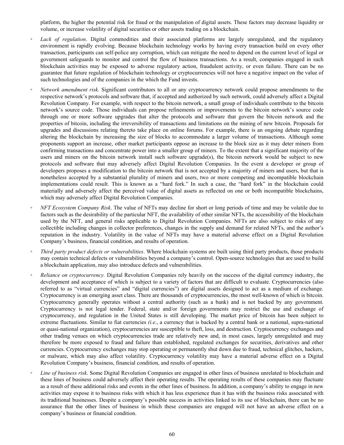platform, the higher the potential risk for fraud or the manipulation of digital assets. These factors may decrease liquidity or volume, or increase volatility of digital securities or other assets trading on a blockchain.

- *◦ Lack of regulation*. Digital commodities and their associated platforms are largely unregulated, and the regulatory environment is rapidly evolving. Because blockchain technology works by having every transaction build on every other transaction, participants can self-police any corruption, which can mitigate the need to depend on the current level of legal or government safeguards to monitor and control the flow of business transactions. As a result, companies engaged in such blockchain activities may be exposed to adverse regulatory action, fraudulent activity, or even failure. There can be no guarantee that future regulation of blockchain technology or cryptocurrencies will not have a negative impact on the value of such technologies and of the companies in the which the Fund invests.
- *Network amendment risk.* Significant contributors to all or any cryptocurrency network could propose amendments to the respective network's protocols and software that, if accepted and authorized by such network, could adversely affect a Digital Revolution Company. For example, with respect to the bitcoin network, a small group of individuals contribute to the bitcoin network's source code. Those individuals can propose refinements or improvements to the bitcoin network's source code through one or more software upgrades that alter the protocols and software that govern the bitcoin network and the properties of bitcoin, including the irreversibility of transactions and limitations on the mining of new bitcoin. Proposals for upgrades and discussions relating thereto take place on online forums. For example, there is an ongoing debate regarding altering the blockchain by increasing the size of blocks to accommodate a larger volume of transactions. Although some proponents support an increase, other market participants oppose an increase to the block size as it may deter miners from confirming transactions and concentrate power into a smaller group of miners. To the extent that a significant majority of the users and miners on the bitcoin network install such software upgrade(s), the bitcoin network would be subject to new protocols and software that may adversely affect Digital Revolution Companies. In the event a developer or group of developers proposes a modification to the bitcoin network that is not accepted by a majority of miners and users, but that is nonetheless accepted by a substantial plurality of miners and users, two or more competing and incompatible blockchain implementations could result. This is known as a "hard fork." In such a case, the "hard fork" in the blockchain could materially and adversely affect the perceived value of digital assets as reflected on one or both incompatible blockchains, which may adversely affect Digital Revolution Companies.
- *NFT Ecosystem Company Risk.* The value of NFTs may decline for short or long periods of time and may be volatile due to factors such as the desirability of the particular NFT, the availability of other similar NFTs, the accessibility of the blockchain used by the NFT, and general risks applicable to Digital Revolution Companies. NFTs are also subject to risks of any collectible including changes in collector preferences, changes in the supply and demand for related NFTs, and the author's reputation in the industry. Volatility in the value of NFTs may have a material adverse effect on a Digital Revolution Company's business, financial condition, and results of operation.
- *Third party product defects or vulnerabilities*. Where blockchain systems are built using third party products, those products may contain technical defects or vulnerabilities beyond a company's control. Open-source technologies that are used to build a blockchain application, may also introduce defects and vulnerabilities.
- *Reliance on cryptocurrency*. Digital Revolution Companies rely heavily on the success of the digital currency industry, the development and acceptance of which is subject to a variety of factors that are difficult to evaluate. Cryptocurrencies (also referred to as "virtual currencies" and "digital currencies") are digital assets designed to act as a medium of exchange. Cryptocurrency is an emerging asset class. There are thousands of cryptocurrencies, the most well-known of which is bitcoin. Cryptocurrency generally operates without a central authority (such as a bank) and is not backed by any government. Cryptocurrency is not legal tender. Federal, state and/or foreign governments may restrict the use and exchange of cryptocurrency, and regulation in the United States is still developing. The market price of bitcoin has been subject to extreme fluctuations. Similar to fiat currencies *(i.e.*, a currency that is backed by a central bank or a national, supra-national or quasi-national organization), cryptocurrencies are susceptible to theft, loss, and destruction. Cryptocurrency exchanges and other trading venues on which cryptocurrencies trade are relatively new and, in most cases, largely unregulated and may therefore be more exposed to fraud and failure than established, regulated exchanges for securities, derivatives and other currencies. Cryptocurrency exchanges may stop operating or permanently shut down due to fraud, technical glitches, hackers, or malware, which may also affect volatility. Cryptocurrency volatility may have a material adverse effect on a Digital Revolution Company's business, financial condition, and results of operation.
- *Line of business risk*. Some Digital Revolution Companies are engaged in other lines of business unrelated to blockchain and these lines of business could adversely affect their operating results. The operating results of these companies may fluctuate as a result of these additional risks and events in the other lines of business. In addition, a company's ability to engage in new activities may expose it to business risks with which it has less experience than it has with the business risks associated with its traditional businesses. Despite a company's possible success in activities linked to its use of blockchain, there can be no assurance that the other lines of business in which these companies are engaged will not have an adverse effect on a company's business or financial condition.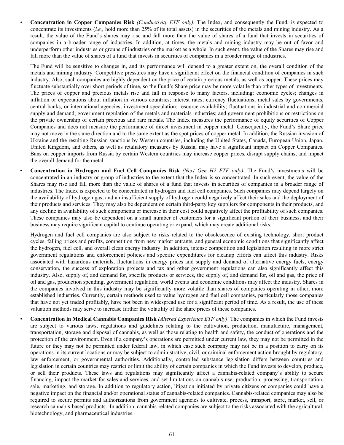• **Concentration in Copper Companies Risk** *(Conductivity ETF only).* The Index, and consequently the Fund, is expected to concentrate its investments (*i.e.*, hold more than 25% of its total assets) in the securities of the metals and mining industry. As a result, the value of the Fund's shares may rise and fall more than the value of shares of a fund that invests in securities of companies in a broader range of industries. In addition, at times, the metals and mining industry may be out of favor and underperform other industries or groups of industries or the market as a whole. In such event, the value of the Shares may rise and fall more than the value of shares of a fund that invests in securities of companies in a broader range of industries.

The Fund will be sensitive to changes in, and its performance will depend to a greater extent on, the overall condition of the metals and mining industry. Competitive pressures may have a significant effect on the financial condition of companies in such industry. Also, such companies are highly dependent on the price of certain precious metals, as well as copper. These prices may fluctuate substantially over short periods of time, so the Fund's Share price may be more volatile than other types of investments. The prices of copper and precious metals rise and fall in response to many factors, including: economic cycles; changes in inflation or expectations about inflation in various countries; interest rates; currency fluctuations; metal sales by governments, central banks, or international agencies; investment speculation; resource availability; fluctuations in industrial and commercial supply and demand; government regulation of the metals and materials industries; and government prohibitions or restrictions on the private ownership of certain precious and rare metals. The Index measures the performance of equity securities of Copper Companies and does not measure the performance of direct investment in copper metal. Consequently, the Fund's Share price may not move in the same direction and to the same extent as the spot prices of copper metal. In addition, the Russian invasion of Ukraine and the resulting Russian sanctions by Western countries, including the United States, Canada, European Union, Japan, United Kingdom, and others, as well as retaliatory measures by Russia, may have a significant impact on Copper Companies. Bans on copper imports from Russia by certain Western countries may increase copper prices, disrupt supply chains, and impact the overall demand for the metal.

• **Concentration in Hydrogen and Fuel Cell Companies Risk** *(Next Gen H2 ETF only)***.** The Fund's investments will be concentrated in an industry or group of industries to the extent that the Index is so concentrated. In such event, the value of the Shares may rise and fall more than the value of shares of a fund that invests in securities of companies in a broader range of industries. The Index is expected to be concentrated in hydrogen and fuel cell companies. Such companies may depend largely on the availability of hydrogen gas, and an insufficient supply of hydrogen could negatively affect their sales and the deployment of their products and services. They may also be dependent on certain third-party key suppliers for components in their products, and any decline in availability of such components or increase in their cost could negatively affect the profitability of such companies. These companies may also be dependent on a small number of customers for a significant portion of their business, and their business may require significant capital to continue operating or expand, which may create additional risks.

Hydrogen and fuel cell companies are also subject to risks related to the obsolescence of existing technology, short product cycles, falling prices and profits, competition from new market entrants, and general economic conditions that significantly affect the hydrogen, fuel cell, and overall clean energy industry. In addition, intense competition and legislation resulting in more strict government regulations and enforcement policies and specific expenditures for cleanup efforts can affect this industry. Risks associated with hazardous materials, fluctuations in energy prices and supply and demand of alternative energy fuels, energy conservation, the success of exploration projects and tax and other government regulations can also significantly affect this industry. Also, supply of, and demand for, specific products or services, the supply of, and demand for, oil and gas, the price of oil and gas, production spending, government regulation, world events and economic conditions may affect the industry. Shares in the companies involved in this industry may be significantly more volatile than shares of companies operating in other, more established industries. Currently, certain methods used to value hydrogen and fuel cell companies, particularly those companies that have not yet traded profitably, have not been in widespread use for a significant period of time. As a result, the use of these valuation methods may serve to increase further the volatility of the share prices of these companies.

• **Concentration in Medical Cannabis Companies Risk** *(Altered Experience ETF only)*. The companies in which the Fund invests are subject to various laws, regulations and guidelines relating to the cultivation, production, manufacture, management, transportation, storage and disposal of cannabis, as well as those relating to health and safety, the conduct of operations and the protection of the environment. Even if a company's operations are permitted under current law, they may not be permitted in the future or they may not be permitted under federal law, in which case such company may not be in a position to carry on its operations in its current locations or may be subject to administrative, civil, or criminal enforcement action brought by regulatory, law enforcement, or governmental authorities. Additionally, controlled substance legislation differs between countries and legislation in certain countries may restrict or limit the ability of certain companies in which the Fund invests to develop, produce, or sell their products. These laws and regulations may significantly affect a cannabis-related company's ability to secure financing, impact the market for sales and services, and set limitations on cannabis use, production, processing, transportation, sale, marketing, and storage. In addition to regulatory action, litigation initiated by private citizens or companies could have a negative impact on the financial and/or operational status of cannabis-related companies. Cannabis-related companies may also be required to secure permits and authorizations from government agencies to cultivate, process, transport, store, market, sell, or research cannabis-based products. In addition, cannabis-related companies are subject to the risks associated with the agricultural, biotechnology, and pharmaceutical industries.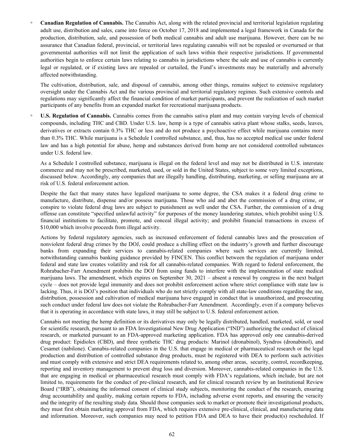*◦* **Canadian Regulation of Cannabis.** The Cannabis Act, along with the related provincial and territorial legislation regulating adult use, distribution and sales, came into force on October 17, 2018 and implemented a legal framework in Canada for the production, distribution, sale, and possession of both medical cannabis and adult use marijuana. However, there can be no assurance that Canadian federal, provincial, or territorial laws regulating cannabis will not be repealed or overturned or that governmental authorities will not limit the application of such laws within their respective jurisdictions. If governmental authorities begin to enforce certain laws relating to cannabis in jurisdictions where the sale and use of cannabis is currently legal or regulated, or if existing laws are repealed or curtailed, the Fund's investments may be materially and adversely affected notwithstanding.

The cultivation, distribution, sale, and disposal of cannabis, among other things, remains subject to extensive regulatory oversight under the Cannabis Act and the various provincial and territorial regulatory regimes. Such extensive controls and regulations may significantly affect the financial condition of market participants, and prevent the realization of such market participants of any benefits from an expanded market for recreational marijuana products.

*◦* **U.S. Regulation of Cannabis.** Cannabis comes from the cannabis sativa plant and may contain varying levels of chemical compounds, including THC and CBD. Under U.S. law, hemp is a type of cannabis sativa plant whose stalks, seeds, leaves, derivatives or extracts contain 0.3% THC or less and do not produce a psychoactive effect while marijuana contains more than 0.3% THC. While marijuana is a Schedule I controlled substance, and, thus, has no accepted medical use under federal law and has a high potential for abuse, hemp and substances derived from hemp are not considered controlled substances under U.S. federal law.

As a Schedule I controlled substance, marijuana is illegal on the federal level and may not be distributed in U.S. interstate commerce and may not be prescribed, marketed, used, or sold in the United States, subject to some very limited exceptions, discussed below. Accordingly, any companies that are illegally handling, distributing, marketing, or selling marijuana are at risk of U.S. federal enforcement action.

Despite the fact that many states have legalized marijuana to some degree, the CSA makes it a federal drug crime to manufacture, distribute, dispense and/or possess marijuana. Those who aid and abet the commission of a drug crime, or conspire to violate federal drug laws are subject to punishment as well under the CSA. Further, the commission of a drug offense can constitute "specified unlawful activity" for purposes of the money laundering statutes, which prohibit using U.S. financial institutions to facilitate, promote, and conceal illegal activity; and prohibit financial transactions in excess of \$10,000 which involve proceeds from illegal activity.

Actions by federal regulatory agencies, such as increased enforcement of federal cannabis laws and the prosecution of nonviolent federal drug crimes by the DOJ, could produce a chilling effect on the industry's growth and further discourage banks from expanding their services to cannabis-related companies where such services are currently limited, notwithstanding cannabis banking guidance provided by FINCEN. This conflict between the regulation of marijuana under federal and state law creates volatility and risk for all cannabis-related companies. With regard to federal enforcement, the Rohrabacher-Farr Amendment prohibits the DOJ from using funds to interfere with the implementation of state medical marijuana laws. The amendment, which expires on September 30, 2021 – absent a renewal by congress in the next budget cycle – does not provide legal immunity and does not prohibit enforcement action where strict compliance with state law is lacking. Thus, it is DOJ's position that individuals who do not strictly comply with all state-law conditions regarding the use, distribution, possession and cultivation of medical marijuana have engaged in conduct that is unauthorized, and prosecuting such conduct under federal law does not violate the Rohrabacher-Farr Amendment. Accordingly, even if a company believes that it is operating in accordance with state laws, it may still be subject to U.S. federal enforcement action.

Cannabis not meeting the hemp definition or its derivatives may only be legally distributed, handled, marketed, sold, or used for scientific research, pursuant to an FDA Investigational New Drug Application ("IND") authorizing the conduct of clinical research, or marketed pursuant to an FDA-approved marketing application. FDA has approved only one cannabis-derived drug product: Epidiolex (CBD), and three synthetic THC drug products: Marinol (dronabinol), Syndros (dronabinol), and Cesamet (nabilone). Cannabis-related companies in the U.S. that engage in medical or pharmaceutical research or the legal production and distribution of controlled substance drug products, must be registered with DEA to perform such activities and must comply with extensive and strict DEA requirements related to, among other areas, security, control, recordkeeping, reporting and inventory management to prevent drug loss and diversion. Moreover, cannabis-related companies in the U.S. that are engaging in medical or pharmaceutical research must comply with FDA's regulations, which include, but are not limited to, requirements for the conduct of pre-clinical research, and for clinical research review by an Institutional Review Board ("IRB"), obtaining the informed consent of clinical study subjects, monitoring the conduct of the research, ensuring drug accountability and quality, making certain reports to FDA, including adverse event reports, and ensuring the veracity and the integrity of the resulting study data. Should those companies seek to market or promote their investigational products, they must first obtain marketing approval from FDA, which requires extensive pre-clinical, clinical, and manufacturing data and information. Moreover, such companies may need to petition FDA and DEA to have their product(s) rescheduled. If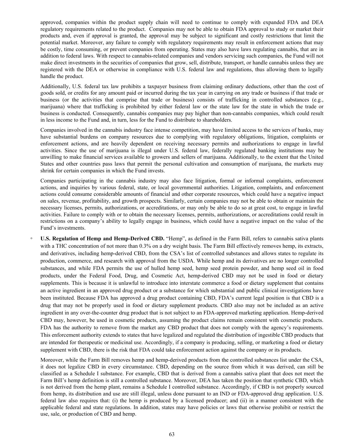approved, companies within the product supply chain will need to continue to comply with expanded FDA and DEA regulatory requirements related to the product. Companies may not be able to obtain FDA approval to study or market their products and, even if approval is granted, the approval may be subject to significant and costly restrictions that limit the potential market. Moreover, any failure to comply with regulatory requirements may result in enforcement actions that may be costly, time consuming, or prevent companies from operating. States may also have laws regulating cannabis, that are in addition to federal laws. With respect to cannabis-related companies and vendors servicing such companies, the Fund will not make direct investments in the securities of companies that grow, sell, distribute, transport, or handle cannabis unless they are registered with the DEA or otherwise in compliance with U.S. federal law and regulations, thus allowing them to legally handle the product.

Additionally, U.S. federal tax law prohibits a taxpayer business from claiming ordinary deductions, other than the cost of goods sold, or credits for any amount paid or incurred during the tax year in carrying on any trade or business if that trade or business (or the activities that comprise that trade or business) consists of trafficking in controlled substances (e.g., marijuana) where that trafficking is prohibited by either federal law or the state law for the state in which the trade or business is conducted. Consequently, cannabis companies may pay higher than non-cannabis companies, which could result in less income to the Fund and, in turn, less for the Fund to distribute to shareholders.

Companies involved in the cannabis industry face intense competition, may have limited access to the services of banks, may have substantial burdens on company resources due to complying with regulatory obligations, litigation, complaints or enforcement actions, and are heavily dependent on receiving necessary permits and authorizations to engage in lawful activities. Since the use of marijuana is illegal under U.S. federal law, federally regulated banking institutions may be unwilling to make financial services available to growers and sellers of marijuana. Additionally, to the extent that the United States and other countries pass laws that permit the personal cultivation and consumption of marijuana, the markets may shrink for certain companies in which the Fund invests.

Companies participating in the cannabis industry may also face litigation, formal or informal complaints, enforcement actions, and inquiries by various federal, state, or local governmental authorities. Litigation, complaints, and enforcement actions could consume considerable amounts of financial and other corporate resources, which could have a negative impact on sales, revenue, profitability, and growth prospects. Similarly, certain companies may not be able to obtain or maintain the necessary licenses, permits, authorizations, or accreditations, or may only be able to do so at great cost, to engage in lawful activities. Failure to comply with or to obtain the necessary licenses, permits, authorizations, or accreditations could result in restrictions on a company's ability to legally engage in business, which could have a negative impact on the value of the Fund's investments.

*◦* **U.S. Regulation of Hemp and Hemp-Derived CBD.** "Hemp", as defined in the Farm Bill, refers to cannabis sativa plants with a THC concentration of not more than 0.3% on a dry weight basis. The Farm Bill effectively removes hemp, its extracts, and derivatives, including hemp-derived CBD, from the CSA's list of controlled substances and allows states to regulate its production, commerce, and research with approval from the USDA. While hemp and its derivatives are no longer controlled substances, and while FDA permits the use of hulled hemp seed, hemp seed protein powder, and hemp seed oil in food products, under the Federal Food, Drug, and Cosmetic Act, hemp-derived CBD may not be used in food or dietary supplements. This is because it is unlawful to introduce into interstate commerce a food or dietary supplement that contains an active ingredient in an approved drug product or a substance for which substantial and public clinical investigations have been instituted. Because FDA has approved a drug product containing CBD, FDA's current legal position is that CBD is a drug that may not be properly used in food or dietary supplement products. CBD also may not be included as an active ingredient in any over-the-counter drug product that is not subject to an FDA-approved marketing application. Hemp-derived CBD may, however, be used in cosmetic products, assuming the product claims remain consistent with cosmetic products. FDA has the authority to remove from the market any CBD product that does not comply with the agency's requirements. This enforcement authority extends to states that have legalized and regulated the distribution of ingestible CBD products that are intended for therapeutic or medicinal use. Accordingly, if a company is producing, selling, or marketing a food or dietary supplement with CBD, there is the risk that FDA could take enforcement action against the company or its products.

Moreover, while the Farm Bill removes hemp and hemp-derived products from the controlled substances list under the CSA, it does not legalize CBD in every circumstance. CBD, depending on the source from which it was derived, can still be classified as a Schedule I substance. For example, CBD that is derived from a cannabis sativa plant that does not meet the Farm Bill's hemp definition is still a controlled substance. Moreover, DEA has taken the position that synthetic CBD, which is not derived from the hemp plant, remains a Schedule I controlled substance. Accordingly, if CBD is not properly sourced from hemp, its distribution and use are still illegal, unless done pursuant to an IND or FDA-approved drug application. U.S. federal law also requires that: (i) the hemp is produced by a licensed producer; and (ii) in a manner consistent with the applicable federal and state regulations. In addition, states may have policies or laws that otherwise prohibit or restrict the use, sale, or production of CBD and hemp.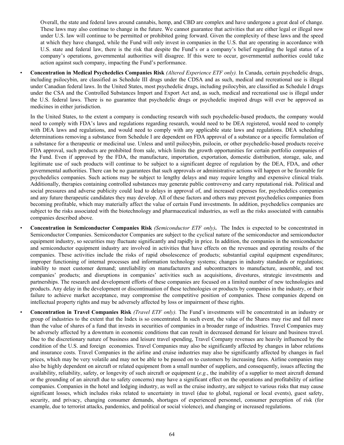Overall, the state and federal laws around cannabis, hemp, and CBD are complex and have undergone a great deal of change. These laws may also continue to change in the future. We cannot guarantee that activities that are either legal or illegal now under U.S. law will continue to be permitted or prohibited going forward. Given the complexity of these laws and the speed at which they have changed, while the Fund will only invest in companies in the U.S. that are operating in accordance with U.S. state and federal law, there is the risk that despite the Fund's or a company's belief regarding the legal status of a company's operations, governmental authorities will disagree. If this were to occur, governmental authorities could take action against such company, impacting the Fund's performance.

• **Concentration in Medical Psychedelics Companies Risk** *(Altered Experience ETF only).* In Canada, certain psychedelic drugs, including psilocybin, are classified as Schedule III drugs under the CDSA and as such, medical and recreational use is illegal under Canadian federal laws. In the United States, most psychedelic drugs, including psilocybin, are classified as Schedule I drugs under the CSA and the Controlled Substances Import and Export Act and, as such, medical and recreational use is illegal under the U.S. federal laws. There is no guarantee that psychedelic drugs or psychedelic inspired drugs will ever be approved as medicines in either jurisdiction.

In the United States, to the extent a company is conducting research with such psychedelic-based products, the company would need to comply with FDA's laws and regulations regarding research, would need to be DEA registered, would need to comply with DEA laws and regulations, and would need to comply with any applicable state laws and regulations. DEA scheduling determinations removing a substance from Schedule I are dependent on FDA approval of a substance or a specific formulation of a substance for a therapeutic or medicinal use. Unless and until psilocybin, psilocin, or other psychedelic-based products receive FDA approval, such products are prohibited from sale, which limits the growth opportunities for certain portfolio companies of the Fund. Even if approved by the FDA, the manufacture, importation, exportation, domestic distribution, storage, sale, and legitimate use of such products will continue to be subject to a significant degree of regulation by the DEA, FDA, and other governmental authorities. There can be no guarantees that such approvals or administrative actions will happen or be favorable for psychedelics companies. Such actions may be subject to lengthy delays and may require lengthy and expensive clinical trials. Additionally, therapies containing controlled substances may generate public controversy and carry reputational risk. Political and social pressures and adverse publicity could lead to delays in approval of, and increased expenses for, psychedelics companies and any future therapeutic candidates they may develop. All of these factors and others may prevent psychedelics companies from becoming profitable, which may materially affect the value of certain Fund investments. In addition, psychedelics companies are subject to the risks associated with the biotechnology and pharmaceutical industries, as well as the risks associated with cannabis companies described above.

• **Concentration in Semiconductor Companies Risk** *(Semiconductor ETF only)***.** The Index is expected to be concentrated in Semiconductor Companies. Semiconductor Companies are subject to the cyclical nature of the semiconductor and semiconductor equipment industry, so securities may fluctuate significantly and rapidly in price. In addition, the companies in the semiconductor and semiconductor equipment industry are involved in activities that have effects on the revenues and operating results of the companies. These activities include the risks of rapid obsolescence of products; substantial capital equipment expenditures; improper functioning of internal processes and information technology systems; changes in industry standards or regulations; inability to meet customer demand; unreliability on manufacturers and subcontractors to manufacture, assemble, and test companies' products; and disruptions in companies' activities such as acquisitions, divestures, strategic investments and partnerships. The research and development efforts of these companies are focused on a limited number of new technologies and products. Any delay in the development or discontinuation of these technologies or products by companies in the industry, or their failure to achieve market acceptance, may compromise the competitive position of companies. These companies depend on intellectual property rights and may be adversely affected by loss or impairment of these rights.

• **Concentration in Travel Companies Risk** *(Travel ETF only).* The Fund's investments will be concentrated in an industry or group of industries to the extent that the Index is so concentrated. In such event, the value of the Shares may rise and fall more than the value of shares of a fund that invests in securities of companies in a broader range of industries. Travel Companies may be adversely affected by a downturn in economic conditions that can result in decreased demand for leisure and business travel. Due to the discretionary nature of business and leisure travel spending, Travel Company revenues are heavily influenced by the condition of the U.S. and foreign economies. Travel Companies may also be significantly affected by changes in labor relations and insurance costs. Travel Companies in the airline and cruise industries may also be significantly affected by changes in fuel prices, which may be very volatile and may not be able to be passed on to customers by increasing fares. Airline companies may also be highly dependent on aircraft or related equipment from a small number of suppliers, and consequently, issues affecting the availability, reliability, safety, or longevity of such aircraft or equipment (*e.g.*, the inability of a supplier to meet aircraft demand or the grounding of an aircraft due to safety concerns) may have a significant effect on the operations and profitability of airline companies. Companies in the hotel and lodging industry, as well as the cruise industry, are subject to various risks that may cause significant losses, which includes risks related to uncertainty in travel (due to global, regional or local events), guest safety, security, and privacy, changing consumer demands, shortages of experienced personnel, consumer perception of risk (for example, due to terrorist attacks, pandemics, and political or social violence), and changing or increased regulations.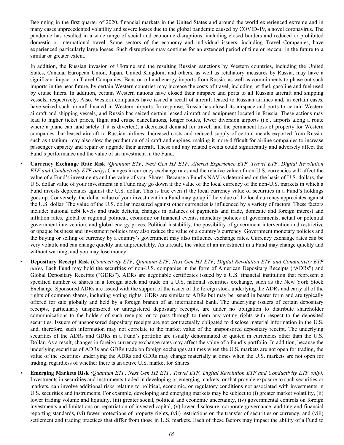Beginning in the first quarter of 2020, financial markets in the United States and around the world experienced extreme and in many cases unprecedented volatility and severe losses due to the global pandemic caused by COVID-19, a novel coronavirus. The pandemic has resulted in a wide range of social and economic disruptions, including closed borders and reduced or prohibited domestic or international travel. Some sectors of the economy and individual issuers, including Travel Companies, have experienced particularly large losses. Such disruptions may continue for an extended period of time or reoccur in the future to a similar or greater extent.

In addition, the Russian invasion of Ukraine and the resulting Russian sanctions by Western countries, including the United States, Canada, European Union, Japan, United Kingdom, and others, as well as retaliatory measures by Russia, may have a significant impact on Travel Companies. Bans on oil and energy imports from Russia, as well as commitments to phase out such imports in the near future, by certain Western countries may increase the costs of travel, including jet fuel, gasoline and fuel used by cruise liners. In addition, certain Western nations have closed their airspace and ports to all Russian aircraft and shipping vessels, respectively. Also, Western companies have issued a recall of aircraft leased to Russian airlines and, in certain cases, have seized such aircraft located in Western airports. In response, Russia has closed its airspace and ports to certain Western aircraft and shipping vessels, and Russia has seized certain leased aircraft and equipment located in Russia. These actions may lead to higher ticket prices, flight and cruise cancellations, longer routes, fewer diversion airports (i.e., airports along a route where a plane can land safely if it is diverted), a decreased demand for travel, and the permanent loss of property for Western companies that leased aircraft to Russian airlines. Increased costs and reduced supply of certain metals exported from Russia, such as titanium, may also slow the production of aircraft and engines, making it more difficult for airline companies to increase passenger capacity and repair or upgrade their aircraft. These and any related events could significantly and adversely affect the Fund's performance and the value of an investment in the Fund.

- *•* **Currency Exchange Rate Risk** *(Quantum ETF, Next Gen H2 ETF, Altered Experience ETF, Travel ETF, Digital Revolution ETF and Conductivity ETF only)***.** Changes in currency exchange rates and the relative value of non-U.S. currencies will affect the value of a Fund's investments and the value of your Shares. Because a Fund's NAV is determined on the basis of U.S. dollars, the U.S. dollar value of your investment in a Fund may go down if the value of the local currency of the non-U.S. markets in which a Fund invests depreciates against the U.S. dollar. This is true even if the local currency value of securities in a Fund's holdings goes up. Conversely, the dollar value of your investment in a Fund may go up if the value of the local currency appreciates against the U.S. dollar. The value of the U.S. dollar measured against other currencies is influenced by a variety of factors. These factors include: national debt levels and trade deficits, changes in balances of payments and trade, domestic and foreign interest and inflation rates, global or regional political, economic or financial events, monetary policies of governments, actual or potential government intervention, and global energy prices. Political instability, the possibility of government intervention and restrictive or opaque business and investment policies may also reduce the value of a country's currency. Government monetary policies and the buying or selling of currency by a country's government may also influence exchange rates. Currency exchange rates can be very volatile and can change quickly and unpredictably. As a result, the value of an investment in a Fund may change quickly and without warning, and you may lose money.
- *•* **Depositary Receipt Risk** (*Connectivity ETF, Quantum ETF, Next Gen H2 ETF, Digital Revolution ETF and Conductivity ETF only)***.** Each Fund may hold the securities of non-U.S. companies in the form of American Depositary Receipts ("ADRs") and Global Depositary Receipts ("GDRs"). ADRs are negotiable certificates issued by a U.S. financial institution that represent a specified number of shares in a foreign stock and trade on a U.S. national securities exchange, such as the New York Stock Exchange. Sponsored ADRs are issued with the support of the issuer of the foreign stock underlying the ADRs and carry all of the rights of common shares, including voting rights. GDRs are similar to ADRs but may be issued in bearer form and are typically offered for sale globally and held by a foreign branch of an international bank. The underlying issuers of certain depositary receipts, particularly unsponsored or unregistered depositary receipts, are under no obligation to distribute shareholder communications to the holders of such receipts, or to pass through to them any voting rights with respect to the deposited securities. Issuers of unsponsored depositary receipts are not contractually obligated to disclose material information in the U.S. and, therefore, such information may not correlate to the market value of the unsponsored depositary receipt. The underlying securities of the ADRs and GDRs in a Fund's portfolio are usually denominated or quoted in currencies other than the U.S. Dollar. As a result, changes in foreign currency exchange rates may affect the value of a Fund's portfolio. In addition, because the underlying securities of ADRs and GDRs trade on foreign exchanges at times when the U.S. markets are not open for trading, the value of the securities underlying the ADRs and GDRs may change materially at times when the U.S. markets are not open for trading, regardless of whether there is an active U.S. market for Shares.
- *•* **Emerging Markets Risk** *(Quantum ETF, Next Gen H2 ETF, Travel ETF, Digital Revolution ETF and Conductivity ETF only)***.**  Investments in securities and instruments traded in developing or emerging markets, or that provide exposure to such securities or markets, can involve additional risks relating to political, economic, or regulatory conditions not associated with investments in U.S. securities and instruments. For example, developing and emerging markets may be subject to (i) greater market volatility, (ii) lower trading volume and liquidity, (iii) greater social, political and economic uncertainty, (iv) governmental controls on foreign investments and limitations on repatriation of invested capital, (v) lower disclosure, corporate governance, auditing and financial reporting standards, (vi) fewer protections of property rights, (vii) restrictions on the transfer of securities or currency, and (viii) settlement and trading practices that differ from those in U.S. markets. Each of these factors may impact the ability of a Fund to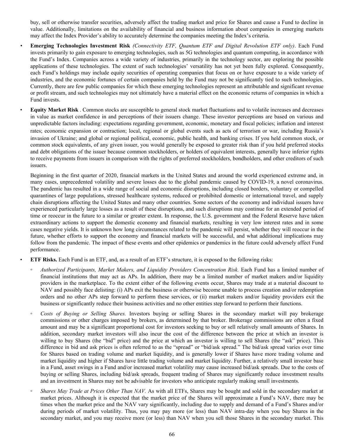buy, sell or otherwise transfer securities, adversely affect the trading market and price for Shares and cause a Fund to decline in value. Additionally, limitations on the availability of financial and business information about companies in emerging markets may affect the Index Provider's ability to accurately determine the companies meeting the Index's criteria.

- *•* **Emerging Technologies Investment Risk** *(Connectivity ETF, Quantum ETF and Digital Revolution ETF only)*. Each Fund invests primarily to gain exposure to emerging technologies, such as 5G technologies and quantum computing, in accordance with the Fund's Index. Companies across a wide variety of industries, primarily in the technology sector, are exploring the possible applications of these technologies. The extent of such technologies' versatility has not yet been fully explored. Consequently, each Fund's holdings may include equity securities of operating companies that focus on or have exposure to a wide variety of industries, and the economic fortunes of certain companies held by the Fund may not be significantly tied to such technologies. Currently, there are few public companies for which these emerging technologies represent an attributable and significant revenue or profit stream, and such technologies may not ultimately have a material effect on the economic returns of companies in which a Fund invests.
- **Equity Market Risk** . Common stocks are susceptible to general stock market fluctuations and to volatile increases and decreases in value as market confidence in and perceptions of their issuers change. These investor perceptions are based on various and unpredictable factors including: expectations regarding government, economic, monetary and fiscal policies; inflation and interest rates; economic expansion or contraction; local, regional or global events such as acts of terrorism or war, including Russia's invasion of Ukraine; and global or regional political, economic, public health, and banking crises. If you held common stock, or common stock equivalents, of any given issuer, you would generally be exposed to greater risk than if you held preferred stocks and debt obligations of the issuer because common stockholders, or holders of equivalent interests, generally have inferior rights to receive payments from issuers in comparison with the rights of preferred stockholders, bondholders, and other creditors of such issuers.

Beginning in the first quarter of 2020, financial markets in the United States and around the world experienced extreme and, in many cases, unprecedented volatility and severe losses due to the global pandemic caused by COVID-19, a novel coronavirus. The pandemic has resulted in a wide range of social and economic disruptions, including closed borders, voluntary or compelled quarantines of large populations, stressed healthcare systems, reduced or prohibited domestic or international travel, and supply chain disruptions affecting the United States and many other countries. Some sectors of the economy and individual issuers have experienced particularly large losses as a result of these disruptions, and such disruptions may continue for an extended period of time or reoccur in the future to a similar or greater extent. In response, the U.S. government and the Federal Reserve have taken extraordinary actions to support the domestic economy and financial markets, resulting in very low interest rates and in some cases negative yields. It is unknown how long circumstances related to the pandemic will persist, whether they will reoccur in the future, whether efforts to support the economy and financial markets will be successful, and what additional implications may follow from the pandemic. The impact of these events and other epidemics or pandemics in the future could adversely affect Fund performance.

• **ETF Risks.** Each Fund is an ETF, and, as a result of an ETF's structure, it is exposed to the following risks:

- *Authorized Participants, Market Makers, and Liquidity Providers Concentration Risk.* Each Fund has a limited number of financial institutions that may act as APs. In addition, there may be a limited number of market makers and/or liquidity providers in the marketplace. To the extent either of the following events occur, Shares may trade at a material discount to NAV and possibly face delisting: (i) APs exit the business or otherwise become unable to process creation and/or redemption orders and no other APs step forward to perform these services, or (ii) market makers and/or liquidity providers exit the business or significantly reduce their business activities and no other entities step forward to perform their functions.
- Costs of Buying or Selling Shares. Investors buying or selling Shares in the secondary market will pay brokerage commissions or other charges imposed by brokers, as determined by that broker. Brokerage commissions are often a fixed amount and may be a significant proportional cost for investors seeking to buy or sell relatively small amounts of Shares. In addition, secondary market investors will also incur the cost of the difference between the price at which an investor is willing to buy Shares (the "bid" price) and the price at which an investor is willing to sell Shares (the "ask" price). This difference in bid and ask prices is often referred to as the "spread" or "bid/ask spread." The bid/ask spread varies over time for Shares based on trading volume and market liquidity, and is generally lower if Shares have more trading volume and market liquidity and higher if Shares have little trading volume and market liquidity. Further, a relatively small investor base in a Fund, asset swings in a Fund and/or increased market volatility may cause increased bid/ask spreads. Due to the costs of buying or selling Shares, including bid/ask spreads, frequent trading of Shares may significantly reduce investment results and an investment in Shares may not be advisable for investors who anticipate regularly making small investments.
- *Shares May Trade at Prices Other Than NAV.* As with all ETFs, Shares may be bought and sold in the secondary market at market prices. Although it is expected that the market price of the Shares will approximate a Fund's NAV, there may be times when the market price and the NAV vary significantly, including due to supply and demand of a Fund's Shares and/or during periods of market volatility. Thus, you may pay more (or less) than NAV intra-day when you buy Shares in the secondary market, and you may receive more (or less) than NAV when you sell those Shares in the secondary market. This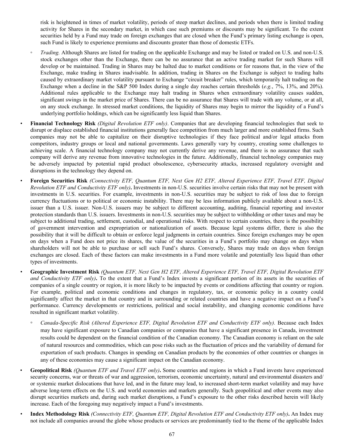risk is heightened in times of market volatility, periods of steep market declines, and periods when there is limited trading activity for Shares in the secondary market, in which case such premiums or discounts may be significant. To the extent securities held by a Fund may trade on foreign exchanges that are closed when the Fund's primary listing exchange is open, such Fund is likely to experience premiums and discounts greater than those of domestic ETFs.

- *Trading.* Although Shares are listed for trading on the applicable Exchange and may be listed or traded on U.S. and non-U.S. stock exchanges other than the Exchange, there can be no assurance that an active trading market for such Shares will develop or be maintained. Trading in Shares may be halted due to market conditions or for reasons that, in the view of the Exchange, make trading in Shares inadvisable. In addition, trading in Shares on the Exchange is subject to trading halts caused by extraordinary market volatility pursuant to Exchange "circuit breaker" rules, which temporarily halt trading on the Exchange when a decline in the S&P 500 Index during a single day reaches certain thresholds (*e.g.*, 7%, 13%, and 20%). Additional rules applicable to the Exchange may halt trading in Shares when extraordinary volatility causes sudden, significant swings in the market price of Shares. There can be no assurance that Shares will trade with any volume, or at all, on any stock exchange. In stressed market conditions, the liquidity of Shares may begin to mirror the liquidity of a Fund's underlying portfolio holdings, which can be significantly less liquid than Shares.
- *•* **Financial Technology Risk** *(Digital Revolution ETF only)*. Companies that are developing financial technologies that seek to disrupt or displace established financial institutions generally face competition from much larger and more established firms. Such companies may not be able to capitalize on their disruptive technologies if they face political and/or legal attacks from competitors, industry groups or local and national governments. Laws generally vary by country, creating some challenges to achieving scale. A financial technology company may not currently derive any revenue, and there is no assurance that such company will derive any revenue from innovative technologies in the future. Additionally, financial technology companies may be adversely impacted by potential rapid product obsolescence, cybersecurity attacks, increased regulatory oversight and disruptions in the technology they depend on.
- *•* **Foreign Securities Risk** *(Connectivity ETF, Quantum ETF, Next Gen H2 ETF, Altered Experience ETF, Travel ETF, Digital Revolution ETF and Conductivity ETF only)***.** Investments in non-U.S. securities involve certain risks that may not be present with investments in U.S. securities. For example, investments in non-U.S. securities may be subject to risk of loss due to foreign currency fluctuations or to political or economic instability. There may be less information publicly available about a non-U.S. issuer than a U.S. issuer. Non-U.S. issuers may be subject to different accounting, auditing, financial reporting and investor protection standards than U.S. issuers. Investments in non-U.S. securities may be subject to withholding or other taxes and may be subject to additional trading, settlement, custodial, and operational risks. With respect to certain countries, there is the possibility of government intervention and expropriation or nationalization of assets. Because legal systems differ, there is also the possibility that it will be difficult to obtain or enforce legal judgments in certain countries. Since foreign exchanges may be open on days when a Fund does not price its shares, the value of the securities in a Fund's portfolio may change on days when shareholders will not be able to purchase or sell such Fund's shares. Conversely, Shares may trade on days when foreign exchanges are closed. Each of these factors can make investments in a Fund more volatile and potentially less liquid than other types of investments.
- *•* **Geographic Investment Risk** *(Quantum ETF, Next Gen H2 ETF, Altered Experience ETF, Travel ETF, Digital Revolution ETF and Conductivity ETF only)*. To the extent that a Fund's Index invests a significant portion of its assets in the securities of companies of a single country or region, it is more likely to be impacted by events or conditions affecting that country or region. For example, political and economic conditions and changes in regulatory, tax, or economic policy in a country could significantly affect the market in that country and in surrounding or related countries and have a negative impact on a Fund's performance. Currency developments or restrictions, political and social instability, and changing economic conditions have resulted in significant market volatility.
	- *◦ Canada-Specific Risk (Altered Experience ETF, Digital Revolution ETF and Conductivity ETF only).* Because each Index may have significant exposure to Canadian companies or companies that have a significant presence in Canada, investment results could be dependent on the financial condition of the Canadian economy. The Canadian economy is reliant on the sale of natural resources and commodities, which can pose risks such as the fluctuation of prices and the variability of demand for exportation of such products. Changes in spending on Canadian products by the economies of other countries or changes in any of these economies may cause a significant impact on the Canadian economy.
- **Geopolitical Risk** *(Quantum ETF and Travel ETF only)***.** Some countries and regions in which a Fund invests have experienced security concerns, war or threats of war and aggression, terrorism, economic uncertainty, natural and environmental disasters and/ or systemic market dislocations that have led, and in the future may lead, to increased short-term market volatility and may have adverse long-term effects on the U.S. and world economies and markets generally. Such geopolitical and other events may also disrupt securities markets and, during such market disruptions, a Fund's exposure to the other risks described herein will likely increase. Each of the foregoing may negatively impact a Fund's investments.
- *•* **Index Methodology Risk** *(Connectivity ETF, Quantum ETF, Digital Revolution ETF and Conductivity ETF only)***.** An Index may not include all companies around the globe whose products or services are predominantly tied to the theme of the applicable Index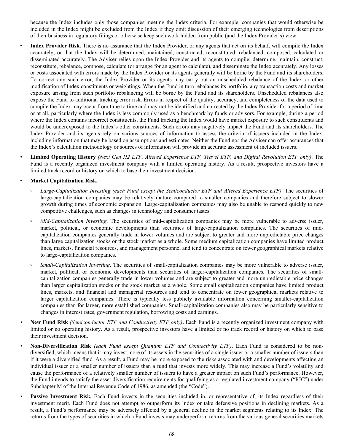because the Index includes only those companies meeting the Index criteria. For example, companies that would otherwise be included in the Index might be excluded from the Index if they omit discussion of their emerging technologies from descriptions of their business in regulatory filings or otherwise keep such work hidden from public (and the Index Provider's) view.

- Index Provider Risk. There is no assurance that the Index Provider, or any agents that act on its behalf, will compile the Index accurately, or that the Index will be determined, maintained, constructed, reconstituted, rebalanced, composed, calculated or disseminated accurately. The Adviser relies upon the Index Provider and its agents to compile, determine, maintain, construct, reconstitute, rebalance, compose, calculate (or arrange for an agent to calculate), and disseminate the Index accurately. Any losses or costs associated with errors made by the Index Provider or its agents generally will be borne by the Fund and its shareholders. To correct any such error, the Index Provider or its agents may carry out an unscheduled rebalance of the Index or other modification of Index constituents or weightings. When the Fund in turn rebalances its portfolio, any transaction costs and market exposure arising from such portfolio rebalancing will be borne by the Fund and its shareholders. Unscheduled rebalances also expose the Fund to additional tracking error risk. Errors in respect of the quality, accuracy, and completeness of the data used to compile the Index may occur from time to time and may not be identified and corrected by the Index Provider for a period of time or at all, particularly where the Index is less commonly used as a benchmark by funds or advisors. For example, during a period where the Index contains incorrect constituents, the Fund tracking the Index would have market exposure to such constituents and would be underexposed to the Index's other constituents. Such errors may negatively impact the Fund and its shareholders. The Index Provider and its agents rely on various sources of information to assess the criteria of issuers included in the Index, including information that may be based on assumptions and estimates. Neither the Fund nor the Adviser can offer assurances that the Index's calculation methodology or sources of information will provide an accurate assessment of included issuers.
- **Limited Operating History** *(Next Gen H2 ETF, Altered Experience ETF, Travel ETF, and Digital Revolution ETF only)*. The Fund is a recently organized investment company with a limited operating history. As a result, prospective investors have a limited track record or history on which to base their investment decision.

# • **Market Capitalization Risk.**

- **◦** *Large-Capitalization Investing (each Fund except the Semiconductor ETF and Altered Experience ETF).* The securities of large-capitalization companies may be relatively mature compared to smaller companies and therefore subject to slower growth during times of economic expansion. Large-capitalization companies may also be unable to respond quickly to new competitive challenges, such as changes in technology and consumer tastes.
- *Mid-Capitalization Investing*. The securities of mid-capitalization companies may be more vulnerable to adverse issuer, market, political, or economic developments than securities of large-capitalization companies. The securities of midcapitalization companies generally trade in lower volumes and are subject to greater and more unpredictable price changes than large capitalization stocks or the stock market as a whole. Some medium capitalization companies have limited product lines, markets, financial resources, and management personnel and tend to concentrate on fewer geographical markets relative to large-capitalization companies.
- **◦** *Small-Capitalization Investing*. The securities of small-capitalization companies may be more vulnerable to adverse issuer, market, political, or economic developments than securities of larger-capitalization companies. The securities of smallcapitalization companies generally trade in lower volumes and are subject to greater and more unpredictable price changes than larger capitalization stocks or the stock market as a whole. Some small capitalization companies have limited product lines, markets, and financial and managerial resources and tend to concentrate on fewer geographical markets relative to larger capitalization companies. There is typically less publicly available information concerning smaller-capitalization companies than for larger, more established companies. Small-capitalization companies also may be particularly sensitive to changes in interest rates, government regulation, borrowing costs and earnings.
- *•* **New Fund Risk** *(Semiconductor ETF and Conductivity ETF only)***.** Each Fund is a recently organized investment company with limited or no operating history. As a result, prospective investors have a limited or no track record or history on which to base their investment decision.
- *•* **Non-Diversification Risk** *(each Fund except Quantum ETF and Connectivity ETF)*. Each Fund is considered to be nondiversified, which means that it may invest more of its assets in the securities of a single issuer or a smaller number of issuers than if it were a diversified fund. As a result, a Fund may be more exposed to the risks associated with and developments affecting an individual issuer or a smaller number of issuers than a fund that invests more widely. This may increase a Fund's volatility and cause the performance of a relatively smaller number of issuers to have a greater impact on such Fund's performance. However, the Fund intends to satisfy the asset diversification requirements for qualifying as a regulated investment company ("RIC") under Subchapter M of the Internal Revenue Code of 1986, as amended (the "Code").
- **Passive Investment Risk.** Each Fund invests in the securities included in, or representative of, its Index regardless of their investment merit. Each Fund does not attempt to outperform its Index or take defensive positions in declining markets. As a result, a Fund's performance may be adversely affected by a general decline in the market segments relating to its Index. The returns from the types of securities in which a Fund invests may underperform returns from the various general securities markets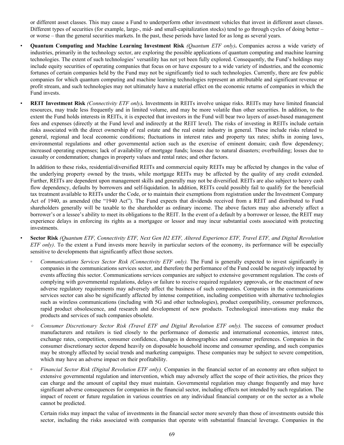or different asset classes. This may cause a Fund to underperform other investment vehicles that invest in different asset classes. Different types of securities (for example, large-, mid- and small-capitalization stocks) tend to go through cycles of doing better – or worse – than the general securities markets. In the past, these periods have lasted for as long as several years.

- *•* **Quantum Computing and Machine Learning Investment Risk** *(Quantum ETF only)***.** Companies across a wide variety of industries, primarily in the technology sector, are exploring the possible applications of quantum computing and machine learning technologies. The extent of such technologies' versatility has not yet been fully explored. Consequently, the Fund's holdings may include equity securities of operating companies that focus on or have exposure to a wide variety of industries, and the economic fortunes of certain companies held by the Fund may not be significantly tied to such technologies. Currently, there are few public companies for which quantum computing and machine learning technologies represent an attributable and significant revenue or profit stream, and such technologies may not ultimately have a material effect on the economic returns of companies in which the Fund invests.
- *•* **REIT Investment Risk** *(Connectivity ETF only).* Investments in REITs involve unique risks. REITs may have limited financial resources, may trade less frequently and in limited volume, and may be more volatile than other securities. In addition, to the extent the Fund holds interests in REITs, it is expected that investors in the Fund will bear two layers of asset-based management fees and expenses (directly at the Fund level and indirectly at the REIT level). The risks of investing in REITs include certain risks associated with the direct ownership of real estate and the real estate industry in general. These include risks related to general, regional and local economic conditions; fluctuations in interest rates and property tax rates; shifts in zoning laws, environmental regulations and other governmental action such as the exercise of eminent domain; cash flow dependency; increased operating expenses; lack of availability of mortgage funds; losses due to natural disasters; overbuilding; losses due to casualty or condemnation; changes in property values and rental rates; and other factors.

In addition to these risks, residential/diversified REITs and commercial equity REITs may be affected by changes in the value of the underlying property owned by the trusts, while mortgage REITs may be affected by the quality of any credit extended. Further, REITs are dependent upon management skills and generally may not be diversified. REITs are also subject to heavy cash flow dependency, defaults by borrowers and self-liquidation. In addition, REITs could possibly fail to qualify for the beneficial tax treatment available to REITs under the Code, or to maintain their exemptions from registration under the Investment Company Act of 1940, as amended (the "1940 Act"). The Fund expects that dividends received from a REIT and distributed to Fund shareholders generally will be taxable to the shareholder as ordinary income. The above factors may also adversely affect a borrower's or a lessee's ability to meet its obligations to the REIT. In the event of a default by a borrower or lessee, the REIT may experience delays in enforcing its rights as a mortgagee or lessor and may incur substantial costs associated with protecting investments.

- *•* **Sector Risk** *(Quantum ETF, Connectivity ETF, Next Gen H2 ETF, Altered Experience ETF, Travel ETF, and Digital Revolution ETF only)*. To the extent a Fund invests more heavily in particular sectors of the economy, its performance will be especially sensitive to developments that significantly affect those sectors.
	- *Communications Services Sector Risk (Connectivity ETF only).* The Fund is generally expected to invest significantly in companies in the communications services sector, and therefore the performance of the Fund could be negatively impacted by events affecting this sector. Communications services companies are subject to extensive government regulation. The costs of complying with governmental regulations, delays or failure to receive required regulatory approvals, or the enactment of new adverse regulatory requirements may adversely affect the business of such companies. Companies in the communications services sector can also be significantly affected by intense competition, including competition with alternative technologies such as wireless communications (including with 5G and other technologies), product compatibility, consumer preferences, rapid product obsolescence, and research and development of new products. Technological innovations may make the products and services of such companies obsolete.
	- *◦ Consumer Discretionary Sector Risk (Travel ETF and Digital Revolution ETF only).* The success of consumer product manufacturers and retailers is tied closely to the performance of domestic and international economies, interest rates, exchange rates, competition, consumer confidence, changes in demographics and consumer preferences. Companies in the consumer discretionary sector depend heavily on disposable household income and consumer spending, and such companies may be strongly affected by social trends and marketing campaigns. These companies may be subject to severe competition, which may have an adverse impact on their profitability.
	- *Financial Sector Risk (Digital Revolution ETF only).* Companies in the financial sector of an economy are often subject to extensive governmental regulation and intervention, which may adversely affect the scope of their activities, the prices they can charge and the amount of capital they must maintain. Governmental regulation may change frequently and may have significant adverse consequences for companies in the financial sector, including effects not intended by such regulation. The impact of recent or future regulation in various countries on any individual financial company or on the sector as a whole cannot be predicted.

Certain risks may impact the value of investments in the financial sector more severely than those of investments outside this sector, including the risks associated with companies that operate with substantial financial leverage. Companies in the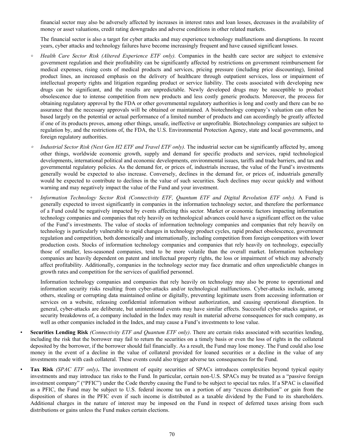financial sector may also be adversely affected by increases in interest rates and loan losses, decreases in the availability of money or asset valuations, credit rating downgrades and adverse conditions in other related markets.

The financial sector is also a target for cyber attacks and may experience technology malfunctions and disruptions. In recent years, cyber attacks and technology failures have become increasingly frequent and have caused significant losses.

- **◦** *Health Care Sector Risk (Altered Experience ETF only).* Companies in the health care sector are subject to extensive government regulation and their profitability can be significantly affected by restrictions on government reimbursement for medical expenses, rising costs of medical products and services, pricing pressure (including price discounting), limited product lines, an increased emphasis on the delivery of healthcare through outpatient services, loss or impairment of intellectual property rights and litigation regarding product or service liability. The costs associated with developing new drugs can be significant, and the results are unpredictable. Newly developed drugs may be susceptible to product obsolescence due to intense competition from new products and less costly generic products. Moreover, the process for obtaining regulatory approval by the FDA or other governmental regulatory authorities is long and costly and there can be no assurance that the necessary approvals will be obtained or maintained. A biotechnology company's valuation can often be based largely on the potential or actual performance of a limited number of products and can accordingly be greatly affected if one of its products proves, among other things, unsafe, ineffective or unprofitable. Biotechnology companies are subject to regulation by, and the restrictions of, the FDA, the U.S. Environmental Protection Agency, state and local governments, and foreign regulatory authorities.
- *Industrial Sector Risk (Next Gen H2 ETF and Travel ETF only). The industrial sector can be significantly affected by, among* other things, worldwide economic growth, supply and demand for specific products and services, rapid technological developments, international political and economic developments, environmental issues, tariffs and trade barriers, and tax and governmental regulatory policies. As the demand for, or prices of, industrials increase, the value of the Fund's investments generally would be expected to also increase. Conversely, declines in the demand for, or prices of, industrials generally would be expected to contribute to declines in the value of such securities. Such declines may occur quickly and without warning and may negatively impact the value of the Fund and your investment.
- *◦ Information Technology Sector Risk (Connectivity ETF, Quantum ETF and Digital Revolution ETF only).* A Fund is generally expected to invest significantly in companies in the information technology sector, and therefore the performance of a Fund could be negatively impacted by events affecting this sector*.* Market or economic factors impacting information technology companies and companies that rely heavily on technological advances could have a significant effect on the value of the Fund's investments. The value of stocks of information technology companies and companies that rely heavily on technology is particularly vulnerable to rapid changes in technology product cycles, rapid product obsolescence, government regulation and competition, both domestically and internationally, including competition from foreign competitors with lower production costs. Stocks of information technology companies and companies that rely heavily on technology, especially those of smaller, less-seasoned companies, tend to be more volatile than the overall market. Information technology companies are heavily dependent on patent and intellectual property rights, the loss or impairment of which may adversely affect profitability. Additionally, companies in the technology sector may face dramatic and often unpredictable changes in growth rates and competition for the services of qualified personnel.

Information technology companies and companies that rely heavily on technology may also be prone to operational and information security risks resulting from cyber-attacks and/or technological malfunctions. Cyber-attacks include, among others, stealing or corrupting data maintained online or digitally, preventing legitimate users from accessing information or services on a website, releasing confidential information without authorization, and causing operational disruption. In general, cyber-attacks are deliberate, but unintentional events may have similar effects. Successful cyber-attacks against, or security breakdowns of, a company included in the Index may result in material adverse consequences for such company, as well as other companies included in the Index, and may cause a Fund's investments to lose value.

- *•* **Securities Lending Risk** *(Connectivity ETF and Quantum ETF only)*. There are certain risks associated with securities lending, including the risk that the borrower may fail to return the securities on a timely basis or even the loss of rights in the collateral deposited by the borrower, if the borrower should fail financially. As a result, the Fund may lose money. The Fund could also lose money in the event of a decline in the value of collateral provided for loaned securities or a decline in the value of any investments made with cash collateral. These events could also trigger adverse tax consequences for the Fund.
- *Tax Risk (SPAC ETF only)*. The investment of equity securities of SPACs introduces complexities beyond typical equity investments and may introduce tax risks to the Fund. In particular, certain non-U.S. SPACs may be treated as a "passive foreign investment company" ("PFIC") under the Code thereby causing the Fund to be subject to special tax rules. If a SPAC is classified as a PFIC, the Fund may be subject to U.S. federal income tax on a portion of any "excess distribution" or gain from the disposition of shares in the PFIC even if such income is distributed as a taxable dividend by the Fund to its shareholders. Additional charges in the nature of interest may be imposed on the Fund in respect of deferred taxes arising from such distributions or gains unless the Fund makes certain elections.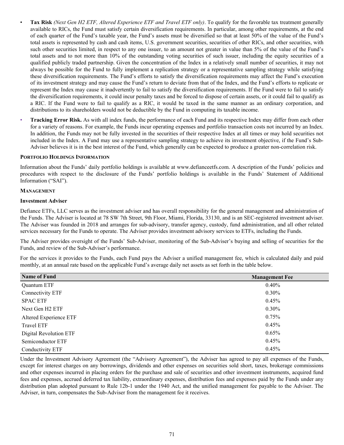- **Tax Risk** *(Next Gen H2 ETF, Altered Experience ETF and Travel ETF only)*. To qualify for the favorable tax treatment generally available to RICs, the Fund must satisfy certain diversification requirements. In particular, among other requirements, at the end of each quarter of the Fund's taxable year, the Fund's assets must be diversified so that at least 50% of the value of the Fund's total assets is represented by cash and cash items, U.S. government securities, securities of other RICs, and other securities, with such other securities limited, in respect to any one issuer, to an amount not greater in value than 5% of the value of the Fund's total assets and to not more than 10% of the outstanding voting securities of such issuer, including the equity securities of a qualified publicly traded partnership. Given the concentration of the Index in a relatively small number of securities, it may not always be possible for the Fund to fully implement a replication strategy or a representative sampling strategy while satisfying these diversification requirements. The Fund's efforts to satisfy the diversification requirements may affect the Fund's execution of its investment strategy and may cause the Fund's return to deviate from that of the Index, and the Fund's efforts to replicate or represent the Index may cause it inadvertently to fail to satisfy the diversification requirements. If the Fund were to fail to satisfy the diversification requirements, it could incur penalty taxes and be forced to dispose of certain assets, or it could fail to qualify as a RIC. If the Fund were to fail to qualify as a RIC, it would be taxed in the same manner as an ordinary corporation, and distributions to its shareholders would not be deductible by the Fund in computing its taxable income.
- **Tracking Error Risk.** As with all index funds, the performance of each Fund and its respective Index may differ from each other for a variety of reasons. For example, the Funds incur operating expenses and portfolio transaction costs not incurred by an Index. In addition, the Funds may not be fully invested in the securities of their respective Index at all times or may hold securities not included in the Index. A Fund may use a representative sampling strategy to achieve its investment objective, if the Fund's Sub-Adviser believes it is in the best interest of the Fund, which generally can be expected to produce a greater non-correlation risk.

#### **PORTFOLIO HOLDINGS INFORMATION**

Information about the Funds' daily portfolio holdings is available at www.defianceetfs.com. A description of the Funds' policies and procedures with respect to the disclosure of the Funds' portfolio holdings is available in the Funds' Statement of Additional Information ("SAI").

#### **MANAGEMENT**

### **Investment Adviser**

Defiance ETFs, LLC serves as the investment adviser and has overall responsibility for the general management and administration of the Funds. The Adviser is located at 78 SW 7th Street, 9th Floor, Miami, Florida, 33130, and is an SEC-registered investment adviser. The Adviser was founded in 2018 and arranges for sub-advisory, transfer agency, custody, fund administration, and all other related services necessary for the Funds to operate. The Adviser provides investment advisory services to ETFs, including the Funds.

The Adviser provides oversight of the Funds' Sub-Adviser, monitoring of the Sub-Adviser's buying and selling of securities for the Funds, and review of the Sub-Adviser's performance.

For the services it provides to the Funds, each Fund pays the Adviser a unified management fee, which is calculated daily and paid monthly, at an annual rate based on the applicable Fund's average daily net assets as set forth in the table below.

| <b>Name of Fund</b>    | <b>Management Fee</b> |
|------------------------|-----------------------|
| Quantum ETF            | $0.40\%$              |
| Connectivity ETF       | $0.30\%$              |
| <b>SPAC ETF</b>        | 0.45%                 |
| Next Gen H2 ETF        | $0.30\%$              |
| Altered Experience ETF | 0.75%                 |
| Travel ETF             | 0.45%                 |
| Digital Revolution ETF | 0.65%                 |
| Semiconductor ETF      | 0.45%                 |
| Conductivity ETF       | 0.45%                 |

Under the Investment Advisory Agreement (the "Advisory Agreement"), the Adviser has agreed to pay all expenses of the Funds, except for interest charges on any borrowings, dividends and other expenses on securities sold short, taxes, brokerage commissions and other expenses incurred in placing orders for the purchase and sale of securities and other investment instruments, acquired fund fees and expenses, accrued deferred tax liability, extraordinary expenses, distribution fees and expenses paid by the Funds under any distribution plan adopted pursuant to Rule 12b-1 under the 1940 Act, and the unified management fee payable to the Adviser. The Adviser, in turn, compensates the Sub-Adviser from the management fee it receives.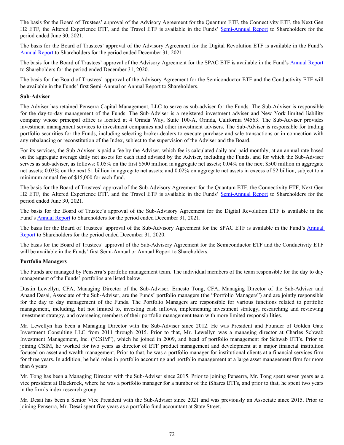The basis for the Board of Trustees' approval of the Advisory Agreement for the Quantum ETF, the Connectivity ETF, the Next Gen H2 ETF, the Altered Experience ETF*,* and the Travel ETF is available in the Funds' [Semi-Annual Report](http://www.sec.gov/Archives/edgar/data/1540305/000139834421018098/fp0068094_ncsrs.htm) to Shareholders for the period ended June 30, 2021.

The basis for the Board of Trustees' approval of the Advisory Agreement for the Digital Revolution ETF is available in the Fund's [Annual Report](http://www.sec.gov/Archives/edgar/data/1540305/000139834422005662/fp0073618_ncsr.htm) to Shareholders for the period ended December 31, 2021.

The basis for the Board of Trustees' approval of the Advisory Agreement for the SPAC ETF is available in the Fund's [Annual Report](http://www.sec.gov/Archives/edgar/data/1540305/000139834421007274/fp0063792_ncsra.htm) to Shareholders for the period ended December 31, 2020.

The basis for the Board of Trustees' approval of the Advisory Agreement for the Semiconductor ETF and the Conductivity ETF will be available in the Funds' first Semi-Annual or Annual Report to Shareholders.

#### **Sub-Adviser**

The Adviser has retained Penserra Capital Management, LLC to serve as sub-adviser for the Funds. The Sub-Adviser is responsible for the day-to-day management of the Funds. The Sub-Adviser is a registered investment adviser and New York limited liability company whose principal office is located at 4 Orinda Way, Suite 100-A, Orinda, California 94563. The Sub-Adviser provides investment management services to investment companies and other investment advisers. The Sub-Adviser is responsible for trading portfolio securities for the Funds, including selecting broker-dealers to execute purchase and sale transactions or in connection with any rebalancing or reconstitution of the Index, subject to the supervision of the Adviser and the Board.

For its services, the Sub-Adviser is paid a fee by the Adviser, which fee is calculated daily and paid monthly, at an annual rate based on the aggregate average daily net assets for each fund advised by the Adviser, including the Funds, and for which the Sub-Adviser serves as sub-adviser, as follows: 0.05% on the first \$500 million in aggregate net assets; 0.04% on the next \$500 million in aggregate net assets; 0.03% on the next \$1 billion in aggregate net assets; and 0.02% on aggregate net assets in excess of \$2 billion, subject to a minimum annual fee of \$15,000 for each fund.

The basis for the Board of Trustees' approval of the Sub-Advisory Agreement for the Quantum ETF, the Connectivity ETF, Next Gen H2 ETF, the Altered Experience ETF*,* and the Travel ETF is available in the Funds' [Semi-Annual Report](http://www.sec.gov/Archives/edgar/data/1540305/000139834421018098/fp0068094_ncsrs.htm) to Shareholders for the period ended June 30, 2021.

The basis for the Board of Trustee's approval of the Sub-Advisory Agreement for the Digital Revolution ETF is available in the Fund's [Annual Report](http://www.sec.gov/Archives/edgar/data/1540305/000139834422005662/fp0073618_ncsr.htm) to Shareholders for the period ended December 31, 2021.

The basis for the Board of Trustees' approval of the Sub-Advisory Agreement for the SPAC ETF is available in the Fund's [Annual](http://www.sec.gov/Archives/edgar/data/1540305/000139834421007274/fp0063792_ncsra.htm)  [Report](http://www.sec.gov/Archives/edgar/data/1540305/000139834421007274/fp0063792_ncsra.htm) to Shareholders for the period ended December 31, 2020.

The basis for the Board of Trustees' approval of the Sub-Advisory Agreement for the Semiconductor ETF and the Conductivity ETF will be available in the Funds' first Semi-Annual or Annual Report to Shareholders.

#### **Portfolio Managers**

The Funds are managed by Penserra's portfolio management team. The individual members of the team responsible for the day to day management of the Funds' portfolios are listed below.

Dustin Lewellyn, CFA, Managing Director of the Sub-Adviser, Ernesto Tong, CFA, Managing Director of the Sub-Adviser and Anand Desai, Associate of the Sub-Adviser, are the Funds' portfolio managers (the "Portfolio Managers") and are jointly responsible for the day to day management of the Funds. The Portfolio Managers are responsible for various functions related to portfolio management, including, but not limited to, investing cash inflows, implementing investment strategy, researching and reviewing investment strategy, and overseeing members of their portfolio management team with more limited responsibilities.

Mr. Lewellyn has been a Managing Director with the Sub-Adviser since 2012. He was President and Founder of Golden Gate Investment Consulting LLC from 2011 through 2015. Prior to that, Mr. Lewellyn was a managing director at Charles Schwab Investment Management, Inc. ("CSIM"), which he joined in 2009, and head of portfolio management for Schwab ETFs. Prior to joining CSIM, he worked for two years as director of ETF product management and development at a major financial institution focused on asset and wealth management. Prior to that, he was a portfolio manager for institutional clients at a financial services firm for three years. In addition, he held roles in portfolio accounting and portfolio management at a large asset management firm for more than 6 years.

Mr. Tong has been a Managing Director with the Sub-Adviser since 2015. Prior to joining Penserra, Mr. Tong spent seven years as a vice president at Blackrock, where he was a portfolio manager for a number of the iShares ETFs, and prior to that, he spent two years in the firm's index research group.

Mr. Desai has been a Senior Vice President with the Sub-Adviser since 2021 and was previously an Associate since 2015. Prior to joining Penserra, Mr. Desai spent five years as a portfolio fund accountant at State Street.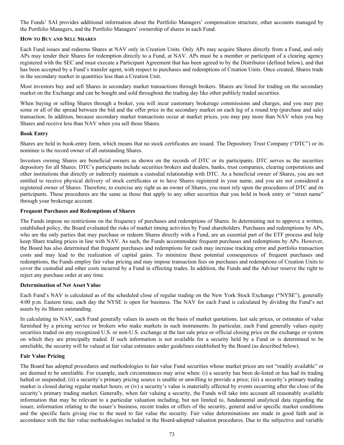The Funds' SAI provides additional information about the Portfolio Managers' compensation structure, other accounts managed by the Portfolio Managers, and the Portfolio Managers' ownership of shares in each Fund.

#### **HOW TO BUY AND SELL SHARES**

Each Fund issues and redeems Shares at NAV only in Creation Units. Only APs may acquire Shares directly from a Fund, and only APs may tender their Shares for redemption directly to a Fund, at NAV. APs must be a member or participant of a clearing agency registered with the SEC and must execute a Participant Agreement that has been agreed to by the Distributor (defined below), and that has been accepted by a Fund's transfer agent, with respect to purchases and redemptions of Creation Units. Once created, Shares trade in the secondary market in quantities less than a Creation Unit.

Most investors buy and sell Shares in secondary market transactions through brokers. Shares are listed for trading on the secondary market on the Exchange and can be bought and sold throughout the trading day like other publicly traded securities.

When buying or selling Shares through a broker, you will incur customary brokerage commissions and charges, and you may pay some or all of the spread between the bid and the offer price in the secondary market on each leg of a round trip (purchase and sale) transaction. In addition, because secondary market transactions occur at market prices, you may pay more than NAV when you buy Shares and receive less than NAV when you sell those Shares.

#### **Book Entry**

Shares are held in book-entry form, which means that no stock certificates are issued. The Depository Trust Company ("DTC") or its nominee is the record owner of all outstanding Shares.

Investors owning Shares are beneficial owners as shown on the records of DTC or its participants. DTC serves as the securities depository for all Shares. DTC's participants include securities brokers and dealers, banks, trust companies, clearing corporations and other institutions that directly or indirectly maintain a custodial relationship with DTC. As a beneficial owner of Shares, you are not entitled to receive physical delivery of stock certificates or to have Shares registered in your name, and you are not considered a registered owner of Shares. Therefore, to exercise any right as an owner of Shares, you must rely upon the procedures of DTC and its participants. These procedures are the same as those that apply to any other securities that you hold in book entry or "street name" through your brokerage account.

#### **Frequent Purchases and Redemptions of Shares**

The Funds impose no restrictions on the frequency of purchases and redemptions of Shares. In determining not to approve a written, established policy, the Board evaluated the risks of market timing activities by Fund shareholders. Purchases and redemptions by APs, who are the only parties that may purchase or redeem Shares directly with a Fund, are an essential part of the ETF process and help keep Share trading prices in line with NAV. As such, the Funds accommodate frequent purchases and redemptions by APs. However, the Board has also determined that frequent purchases and redemptions for cash may increase tracking error and portfolio transaction costs and may lead to the realization of capital gains. To minimize these potential consequences of frequent purchases and redemptions, the Funds employ fair value pricing and may impose transaction fees on purchases and redemptions of Creation Units to cover the custodial and other costs incurred by a Fund in effecting trades. In addition, the Funds and the Adviser reserve the right to reject any purchase order at any time.

#### **Determination of Net Asset Value**

Each Fund's NAV is calculated as of the scheduled close of regular trading on the New York Stock Exchange ("NYSE"), generally 4:00 p.m. Eastern time, each day the NYSE is open for business. The NAV for each Fund is calculated by dividing the Fund's net assets by its Shares outstanding.

In calculating its NAV, each Fund generally values its assets on the basis of market quotations, last sale prices, or estimates of value furnished by a pricing service or brokers who make markets in such instruments. In particular, each Fund generally values equity securities traded on any recognized U.S. or non-U.S. exchange at the last sale price or official closing price on the exchange or system on which they are principally traded. If such information is not available for a security held by a Fund or is determined to be unreliable, the security will be valued at fair value estimates under guidelines established by the Board (as described below).

#### **Fair Value Pricing**

The Board has adopted procedures and methodologies to fair value Fund securities whose market prices are not "readily available" or are deemed to be unreliable. For example, such circumstances may arise when: (i) a security has been de-listed or has had its trading halted or suspended; (ii) a security's primary pricing source is unable or unwilling to provide a price; (iii) a security's primary trading market is closed during regular market hours; or (iv) a security's value is materially affected by events occurring after the close of the security's primary trading market. Generally, when fair valuing a security, the Funds will take into account all reasonably available information that may be relevant to a particular valuation including, but not limited to, fundamental analytical data regarding the issuer, information relating to the issuer's business, recent trades or offers of the security, general and/or specific market conditions and the specific facts giving rise to the need to fair value the security. Fair value determinations are made in good faith and in accordance with the fair value methodologies included in the Board-adopted valuation procedures. Due to the subjective and variable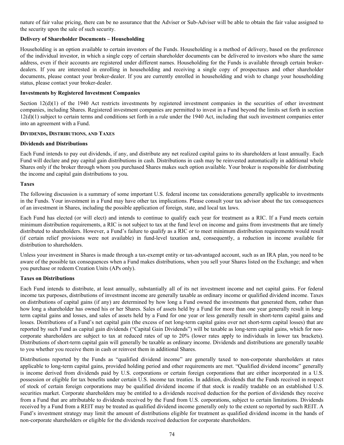nature of fair value pricing, there can be no assurance that the Adviser or Sub-Adviser will be able to obtain the fair value assigned to the security upon the sale of such security.

#### **Delivery of Shareholder Documents – Householding**

Householding is an option available to certain investors of the Funds. Householding is a method of delivery, based on the preference of the individual investor, in which a single copy of certain shareholder documents can be delivered to investors who share the same address, even if their accounts are registered under different names. Householding for the Funds is available through certain brokerdealers. If you are interested in enrolling in householding and receiving a single copy of prospectuses and other shareholder documents, please contact your broker-dealer. If you are currently enrolled in householding and wish to change your householding status, please contact your broker-dealer.

## **Investments by Registered Investment Companies**

Section  $12(d)(1)$  of the 1940 Act restricts investments by registered investment companies in the securities of other investment companies, including Shares. Registered investment companies are permitted to invest in a Fund beyond the limits set forth in section  $12(d)(1)$  subject to certain terms and conditions set forth in a rule under the 1940 Act, including that such investment companies enter into an agreement with a Fund.

#### **DIVIDENDS, DISTRIBUTIONS, AND TAXES**

#### **Dividends and Distributions**

Each Fund intends to pay out dividends, if any, and distribute any net realized capital gains to its shareholders at least annually. Each Fund will declare and pay capital gain distributions in cash. Distributions in cash may be reinvested automatically in additional whole Shares only if the broker through whom you purchased Shares makes such option available. Your broker is responsible for distributing the income and capital gain distributions to you.

## **Taxes**

The following discussion is a summary of some important U.S. federal income tax considerations generally applicable to investments in the Funds. Your investment in a Fund may have other tax implications. Please consult your tax advisor about the tax consequences of an investment in Shares, including the possible application of foreign, state, and local tax laws.

Each Fund has elected (or will elect) and intends to continue to qualify each year for treatment as a RIC. If a Fund meets certain minimum distribution requirements, a RIC is not subject to tax at the fund level on income and gains from investments that are timely distributed to shareholders. However, a Fund's failure to qualify as a RIC or to meet minimum distribution requirements would result (if certain relief provisions were not available) in fund-level taxation and, consequently, a reduction in income available for distribution to shareholders.

Unless your investment in Shares is made through a tax-exempt entity or tax-advantaged account, such as an IRA plan, you need to be aware of the possible tax consequences when a Fund makes distributions, when you sell your Shares listed on the Exchange; and when you purchase or redeem Creation Units (APs only).

#### **Taxes on Distributions**

Each Fund intends to distribute, at least annually, substantially all of its net investment income and net capital gains. For federal income tax purposes, distributions of investment income are generally taxable as ordinary income or qualified dividend income. Taxes on distributions of capital gains (if any) are determined by how long a Fund owned the investments that generated them, rather than how long a shareholder has owned his or her Shares. Sales of assets held by a Fund for more than one year generally result in longterm capital gains and losses, and sales of assets held by a Fund for one year or less generally result in short-term capital gains and losses. Distributions of a Fund's net capital gain (the excess of net long-term capital gains over net short-term capital losses) that are reported by such Fund as capital gain dividends ("Capital Gain Dividends") will be taxable as long-term capital gains, which for noncorporate shareholders are subject to tax at reduced rates of up to 20% (lower rates apply to individuals in lower tax brackets). Distributions of short-term capital gain will generally be taxable as ordinary income. Dividends and distributions are generally taxable to you whether you receive them in cash or reinvest them in additional Shares.

Distributions reported by the Funds as "qualified dividend income" are generally taxed to non-corporate shareholders at rates applicable to long-term capital gains, provided holding period and other requirements are met. "Qualified dividend income" generally is income derived from dividends paid by U.S. corporations or certain foreign corporations that are either incorporated in a U.S. possession or eligible for tax benefits under certain U.S. income tax treaties. In addition, dividends that the Funds received in respect of stock of certain foreign corporations may be qualified dividend income if that stock is readily tradable on an established U.S. securities market. Corporate shareholders may be entitled to a dividends received deduction for the portion of dividends they receive from a Fund that are attributable to dividends received by the Fund from U.S. corporations, subject to certain limitations. Dividends received by a Fund from a REIT may be treated as qualified dividend income generally only to the extent so reported by such REIT. A Fund's investment strategy may limit the amount of distributions eligible for treatment as qualified dividend income in the hands of non-corporate shareholders or eligible for the dividends received deduction for corporate shareholders.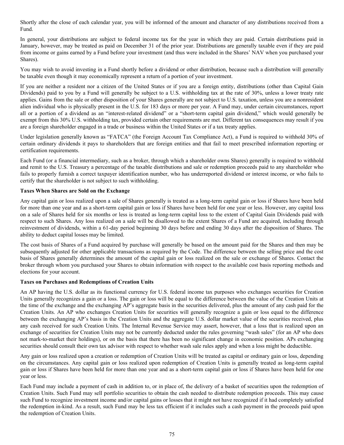Shortly after the close of each calendar year, you will be informed of the amount and character of any distributions received from a Fund.

In general, your distributions are subject to federal income tax for the year in which they are paid. Certain distributions paid in January, however, may be treated as paid on December 31 of the prior year. Distributions are generally taxable even if they are paid from income or gains earned by a Fund before your investment (and thus were included in the Shares' NAV when you purchased your Shares).

You may wish to avoid investing in a Fund shortly before a dividend or other distribution, because such a distribution will generally be taxable even though it may economically represent a return of a portion of your investment.

If you are neither a resident nor a citizen of the United States or if you are a foreign entity, distributions (other than Capital Gain Dividends) paid to you by a Fund will generally be subject to a U.S. withholding tax at the rate of 30%, unless a lower treaty rate applies. Gains from the sale or other disposition of your Shares generally are not subject to U.S. taxation, unless you are a nonresident alien individual who is physically present in the U.S. for 183 days or more per year. A Fund may, under certain circumstances, report all or a portion of a dividend as an "interest-related dividend" or a "short-term capital gain dividend," which would generally be exempt from this 30% U.S. withholding tax, provided certain other requirements are met. Different tax consequences may result if you are a foreign shareholder engaged in a trade or business within the United States or if a tax treaty applies.

Under legislation generally known as "FATCA" (the Foreign Account Tax Compliance Act), a Fund is required to withhold 30% of certain ordinary dividends it pays to shareholders that are foreign entities and that fail to meet prescribed information reporting or certification requirements.

Each Fund (or a financial intermediary, such as a broker, through which a shareholder owns Shares) generally is required to withhold and remit to the U.S. Treasury a percentage of the taxable distributions and sale or redemption proceeds paid to any shareholder who fails to properly furnish a correct taxpayer identification number, who has underreported dividend or interest income, or who fails to certify that the shareholder is not subject to such withholding.

#### **Taxes When Shares are Sold on the Exchange**

Any capital gain or loss realized upon a sale of Shares generally is treated as a long-term capital gain or loss if Shares have been held for more than one year and as a short-term capital gain or loss if Shares have been held for one year or less. However, any capital loss on a sale of Shares held for six months or less is treated as long-term capital loss to the extent of Capital Gain Dividends paid with respect to such Shares. Any loss realized on a sale will be disallowed to the extent Shares of a Fund are acquired, including through reinvestment of dividends, within a 61-day period beginning 30 days before and ending 30 days after the disposition of Shares. The ability to deduct capital losses may be limited.

The cost basis of Shares of a Fund acquired by purchase will generally be based on the amount paid for the Shares and then may be subsequently adjusted for other applicable transactions as required by the Code. The difference between the selling price and the cost basis of Shares generally determines the amount of the capital gain or loss realized on the sale or exchange of Shares. Contact the broker through whom you purchased your Shares to obtain information with respect to the available cost basis reporting methods and elections for your account.

#### **Taxes on Purchases and Redemptions of Creation Units**

An AP having the U.S. dollar as its functional currency for U.S. federal income tax purposes who exchanges securities for Creation Units generally recognizes a gain or a loss. The gain or loss will be equal to the difference between the value of the Creation Units at the time of the exchange and the exchanging AP's aggregate basis in the securities delivered, plus the amount of any cash paid for the Creation Units. An AP who exchanges Creation Units for securities will generally recognize a gain or loss equal to the difference between the exchanging AP's basis in the Creation Units and the aggregate U.S. dollar market value of the securities received, plus any cash received for such Creation Units. The Internal Revenue Service may assert, however, that a loss that is realized upon an exchange of securities for Creation Units may not be currently deducted under the rules governing "wash sales" (for an AP who does not mark-to-market their holdings), or on the basis that there has been no significant change in economic position. APs exchanging securities should consult their own tax advisor with respect to whether wash sale rules apply and when a loss might be deductible.

Any gain or loss realized upon a creation or redemption of Creation Units will be treated as capital or ordinary gain or loss, depending on the circumstances. Any capital gain or loss realized upon redemption of Creation Units is generally treated as long-term capital gain or loss if Shares have been held for more than one year and as a short-term capital gain or loss if Shares have been held for one year or less.

Each Fund may include a payment of cash in addition to, or in place of, the delivery of a basket of securities upon the redemption of Creation Units. Such Fund may sell portfolio securities to obtain the cash needed to distribute redemption proceeds. This may cause such Fund to recognize investment income and/or capital gains or losses that it might not have recognized if it had completely satisfied the redemption in-kind. As a result, such Fund may be less tax efficient if it includes such a cash payment in the proceeds paid upon the redemption of Creation Units.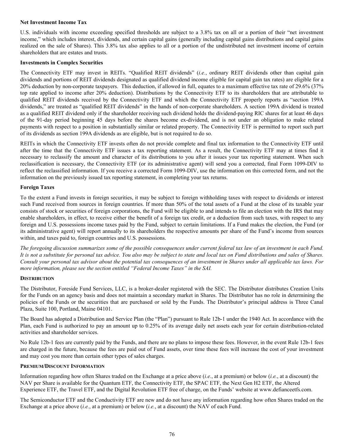#### **Net Investment Income Tax**

U.S. individuals with income exceeding specified thresholds are subject to a 3.8% tax on all or a portion of their "net investment income," which includes interest, dividends, and certain capital gains (generally including capital gains distributions and capital gains realized on the sale of Shares). This 3.8% tax also applies to all or a portion of the undistributed net investment income of certain shareholders that are estates and trusts.

#### **Investments in Complex Securities**

The Connectivity ETF may invest in REITs. "Qualified REIT dividends" (*i.e.*, ordinary REIT dividends other than capital gain dividends and portions of REIT dividends designated as qualified dividend income eligible for capital gain tax rates) are eligible for a 20% deduction by non-corporate taxpayers. This deduction, if allowed in full, equates to a maximum effective tax rate of 29.6% (37% top rate applied to income after 20% deduction). Distributions by the Connectivity ETF to its shareholders that are attributable to qualified REIT dividends received by the Connectivity ETF and which the Connectivity ETF properly reports as "section 199A dividends," are treated as "qualified REIT dividends" in the hands of non-corporate shareholders. A section 199A dividend is treated as a qualified REIT dividend only if the shareholder receiving such dividend holds the dividend-paying RIC shares for at least 46 days of the 91-day period beginning 45 days before the shares become ex-dividend, and is not under an obligation to make related payments with respect to a position in substantially similar or related property. The Connectivity ETF is permitted to report such part of its dividends as section 199A dividends as are eligible, but is not required to do so.

REITs in which the Connectivity ETF invests often do not provide complete and final tax information to the Connectivity ETF until after the time that the Connectivity ETF issues a tax reporting statement. As a result, the Connectivity ETF may at times find it necessary to reclassify the amount and character of its distributions to you after it issues your tax reporting statement. When such reclassification is necessary, the Connectivity ETF (or its administrative agent) will send you a corrected, final Form 1099-DIV to reflect the reclassified information. If you receive a corrected Form 1099-DIV, use the information on this corrected form, and not the information on the previously issued tax reporting statement, in completing your tax returns.

#### **Foreign Taxes**

To the extent a Fund invests in foreign securities, it may be subject to foreign withholding taxes with respect to dividends or interest such Fund received from sources in foreign countries. If more than 50% of the total assets of a Fund at the close of its taxable year consists of stock or securities of foreign corporations, the Fund will be eligible to and intends to file an election with the IRS that may enable shareholders, in effect, to receive either the benefit of a foreign tax credit, or a deduction from such taxes, with respect to any foreign and U.S. possessions income taxes paid by the Fund, subject to certain limitations. If a Fund makes the election, the Fund (or its administrative agent) will report annually to its shareholders the respective amounts per share of the Fund's income from sources within, and taxes paid to, foreign countries and U.S. possessions.

*The foregoing discussion summarizes some of the possible consequences under current federal tax law of an investment in each Fund. It is not a substitute for personal tax advice. You also may be subject to state and local tax on Fund distributions and sales of Shares. Consult your personal tax advisor about the potential tax consequences of an investment in Shares under all applicable tax laws. For more information, please see the section entitled "Federal Income Taxes" in the SAI.*

#### **DISTRIBUTION**

The Distributor, Foreside Fund Services, LLC, is a broker-dealer registered with the SEC. The Distributor distributes Creation Units for the Funds on an agency basis and does not maintain a secondary market in Shares. The Distributor has no role in determining the policies of the Funds or the securities that are purchased or sold by the Funds. The Distributor's principal address is Three Canal Plaza, Suite 100, Portland, Maine 04101.

The Board has adopted a Distribution and Service Plan (the "Plan") pursuant to Rule 12b-1 under the 1940 Act. In accordance with the Plan, each Fund is authorized to pay an amount up to 0.25% of its average daily net assets each year for certain distribution-related activities and shareholder services.

No Rule 12b-1 fees are currently paid by the Funds, and there are no plans to impose these fees. However, in the event Rule 12b-1 fees are charged in the future, because the fees are paid out of Fund assets, over time these fees will increase the cost of your investment and may cost you more than certain other types of sales charges.

#### **PREMIUM/DISCOUNT INFORMATION**

Information regarding how often Shares traded on the Exchange at a price above (*i.e.*, at a premium) or below (*i.e.*, at a discount) the NAV per Share is available for the Quantum ETF, the Connectivity ETF, the SPAC ETF, the Next Gen H2 ETF, the Altered Experience ETF, the Travel ETF, and the Digital Revolution ETF free of charge, on the Funds' website at www.defianceetfs.com.

The Semiconductor ETF and the Conductivity ETF are new and do not have any information regarding how often Shares traded on the Exchange at a price above (*i.e.*, at a premium) or below (*i.e.*, at a discount) the NAV of each Fund.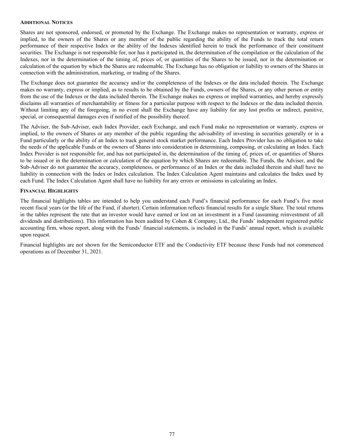#### **ADDITIONAL NOTICES**

Shares are not sponsored, endorsed, or promoted by the Exchange. The Exchange makes no representation or warranty, express or implied, to the owners of the Shares or any member of the public regarding the ability of the Funds to track the total return performance of their respective Index or the ability of the Indexes identified herein to track the performance of their constituent securities. The Exchange is not responsible for, nor has it participated in, the determination of the compilation or the calculation of the Indexes, nor in the determination of the timing of, prices of, or quantities of the Shares to be issued, nor in the determination or calculation of the equation by which the Shares are redeemable. The Exchange has no obligation or liability to owners of the Shares in connection with the administration, marketing, or trading of the Shares.

The Exchange does not guarantee the accuracy and/or the completeness of the Indexes or the data included therein. The Exchange makes no warranty, express or implied, as to results to be obtained by the Funds, owners of the Shares, or any other person or entity from the use of the Indexes or the data included therein. The Exchange makes no express or implied warranties, and hereby expressly disclaims all warranties of merchantability or fitness for a particular purpose with respect to the Indexes or the data included therein. Without limiting any of the foregoing, in no event shall the Exchange have any liability for any lost profits or indirect, punitive, special, or consequential damages even if notified of the possibility thereof.

The Adviser, the Sub-Adviser, each Index Provider, each Exchange, and each Fund make no representation or warranty, express or implied, to the owners of Shares or any member of the public regarding the advisability of investing in securities generally or in a Fund particularly or the ability of an Index to track general stock market performance. Each Index Provider has no obligation to take the needs of the applicable Funds or the owners of Shares into consideration in determining, composing, or calculating an Index. Each Index Provider is not responsible for, and has not participated in, the determination of the timing of, prices of, or quantities of Shares to be issued or in the determination or calculation of the equation by which Shares are redeemable. The Funds, the Adviser, and the Sub-Adviser do not guarantee the accuracy, completeness, or performance of an Index or the data included therein and shall have no liability in connection with the Index or Index calculation. The Index Calculation Agent maintains and calculates the Index used by each Fund. The Index Calculation Agent shall have no liability for any errors or omissions in calculating an Index.

#### **FINANCIAL HIGHLIGHTS**

The financial highlights tables are intended to help you understand each Fund's financial performance for each Fund's five most recent fiscal years (or the life of the Fund, if shorter). Certain information reflects financial results for a single Share. The total returns in the tables represent the rate that an investor would have earned or lost on an investment in a Fund (assuming reinvestment of all dividends and distributions). This information has been audited by Cohen & Company, Ltd., the Funds' independent registered public accounting firm, whose report, along with the Funds' financial statements, is included in the Funds' annual report, which is available upon request.

Financial highlights are not shown for the Semiconductor ETF and the Conductivity ETF because these Funds had not commenced operations as of December 31, 2021.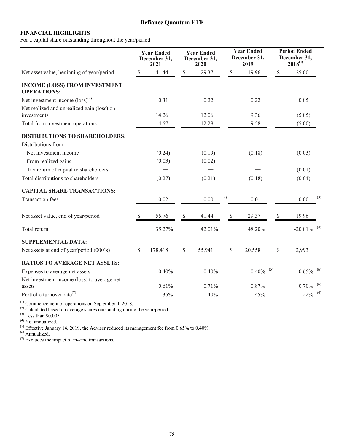## **Defiance Quantum ETF**

## **FINANCIAL HIGHLIGHTS**

For a capital share outstanding throughout the year/period

|                                                            |               | <b>Year Ended</b><br>December 31,<br>2021 |               | <b>Year Ended</b><br>December 31,<br>2020 |               | <b>Year Ended</b><br>December 31,<br>2019 |               | <b>Period Ended</b><br>December 31,<br>$2018^{(1)}$ |     |
|------------------------------------------------------------|---------------|-------------------------------------------|---------------|-------------------------------------------|---------------|-------------------------------------------|---------------|-----------------------------------------------------|-----|
| Net asset value, beginning of year/period                  | <sup>\$</sup> | 41.44                                     | \$            | 29.37                                     | $\mathbb{S}$  | 19.96                                     | $\mathbb S$   | 25.00                                               |     |
| <b>INCOME (LOSS) FROM INVESTMENT</b><br><b>OPERATIONS:</b> |               |                                           |               |                                           |               |                                           |               |                                                     |     |
| Net investment income $(\text{loss})^{(2)}$                |               | 0.31                                      |               | 0.22                                      |               | 0.22                                      |               | 0.05                                                |     |
| Net realized and unrealized gain (loss) on                 |               |                                           |               |                                           |               |                                           |               |                                                     |     |
| investments                                                |               | 14.26                                     |               | 12.06                                     |               | 9.36                                      |               | (5.05)                                              |     |
| Total from investment operations                           |               | 14.57                                     |               | 12.28                                     |               | 9.58                                      |               | (5.00)                                              |     |
| <b>DISTRIBUTIONS TO SHAREHOLDERS:</b>                      |               |                                           |               |                                           |               |                                           |               |                                                     |     |
| Distributions from:                                        |               |                                           |               |                                           |               |                                           |               |                                                     |     |
| Net investment income                                      |               | (0.24)                                    |               | (0.19)                                    |               | (0.18)                                    |               | (0.03)                                              |     |
| From realized gains                                        |               | (0.03)                                    |               | (0.02)                                    |               |                                           |               |                                                     |     |
| Tax return of capital to shareholders                      |               |                                           |               |                                           |               |                                           |               | (0.01)                                              |     |
| Total distributions to shareholders                        |               | (0.27)                                    |               | (0.21)                                    |               | (0.18)                                    |               | (0.04)                                              |     |
| <b>CAPITAL SHARE TRANSACTIONS:</b>                         |               |                                           |               |                                           |               |                                           |               |                                                     |     |
| <b>Transaction</b> fees                                    |               | 0.02                                      |               | 0.00                                      | (3)           | 0.01                                      |               | 0.00                                                | (3) |
| Net asset value, end of year/period                        | <sup>8</sup>  | 55.76                                     | <sup>\$</sup> | 41.44                                     | $\mathcal{S}$ | 29.37                                     | <sup>\$</sup> | 19.96                                               |     |
| Total return                                               |               | 35.27%                                    |               | 42.01%                                    |               | 48.20%                                    |               | $-20.01\%$ <sup>(4)</sup>                           |     |
| <b>SUPPLEMENTAL DATA:</b>                                  |               |                                           |               |                                           |               |                                           |               |                                                     |     |
| Net assets at end of year/period (000's)                   | $\mathbb{S}$  | 178,418                                   | $\mathbb{S}$  | 55,941                                    | \$            | 20,558                                    | \$            | 2,993                                               |     |
| <b>RATIOS TO AVERAGE NET ASSETS:</b>                       |               |                                           |               |                                           |               |                                           |               |                                                     |     |
| Expenses to average net assets                             |               | 0.40%                                     |               | 0.40%                                     |               | $0.40\%$ <sup>(5)</sup>                   |               | $0.65\%$ <sup>(6)</sup>                             |     |
| Net investment income (loss) to average net                |               |                                           |               |                                           |               |                                           |               |                                                     |     |
| assets                                                     |               | 0.61%                                     |               | 0.71%                                     |               | 0.87%                                     |               | $0.70\%$ <sup>(6)</sup>                             |     |
| Portfolio turnover rate <sup>(7)</sup>                     |               | 35%                                       |               | 40%                                       |               | 45%                                       |               | $22\%$ <sup>(4)</sup>                               |     |

 $<sup>(1)</sup>$  Commencement of operations on September 4, 2018.</sup>

 $^{(2)}$  Calculated based on average shares outstanding during the year/period.

 $^{(3)}$  Less than \$0.005.

(4) Not annualized.

<sup>(5)</sup> Effective January 14, 2019, the Adviser reduced its management fee from 0.65% to 0.40%.

 $<sup>(6)</sup>$  Annualized.</sup>

 $(7)$  Excludes the impact of in-kind transactions.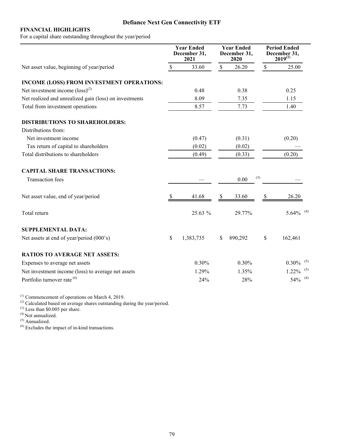# **Defiance Next Gen Connectivity ETF**

## **FINANCIAL HIGHLIGHTS**

For a capital share outstanding throughout the year/period

| \$<br>33.60<br>$\mathbb S$<br>26.20<br>$\mathbb S$<br>25.00<br>Net asset value, beginning of year/period<br>INCOME (LOSS) FROM INVESTMENT OPERATIONS:<br>Net investment income $(logs)^{(2)}$<br>0.48<br>0.38<br>0.25<br>Net realized and unrealized gain (loss) on investments<br>8.09<br>7.35<br>1.15<br>Total from investment operations<br>8.57<br>7.73<br>1.40<br><b>DISTRIBUTIONS TO SHAREHOLDERS:</b><br>Distributions from:<br>Net investment income<br>(0.47)<br>(0.31)<br>(0.20)<br>Tax return of capital to shareholders<br>(0.02)<br>(0.02)<br>Total distributions to shareholders<br>(0.49)<br>(0.33)<br>(0.20)<br><b>CAPITAL SHARE TRANSACTIONS:</b><br>(3)<br>0.00<br><b>Transaction</b> fees<br>Net asset value, end of year/period<br>33.60<br>41.68<br>26.20<br><b>S</b><br><sup>8</sup><br>25.63 %<br>Total return<br>29.77% | <b>Period Ended</b><br>December 31,<br>$2019^{(1)}$ | <b>Year Ended</b><br>December 31,<br>2020 | <b>Year Ended</b><br>December 31,<br>2021 |  |
|-------------------------------------------------------------------------------------------------------------------------------------------------------------------------------------------------------------------------------------------------------------------------------------------------------------------------------------------------------------------------------------------------------------------------------------------------------------------------------------------------------------------------------------------------------------------------------------------------------------------------------------------------------------------------------------------------------------------------------------------------------------------------------------------------------------------------------------------------|-----------------------------------------------------|-------------------------------------------|-------------------------------------------|--|
|                                                                                                                                                                                                                                                                                                                                                                                                                                                                                                                                                                                                                                                                                                                                                                                                                                                 |                                                     |                                           |                                           |  |
|                                                                                                                                                                                                                                                                                                                                                                                                                                                                                                                                                                                                                                                                                                                                                                                                                                                 |                                                     |                                           |                                           |  |
|                                                                                                                                                                                                                                                                                                                                                                                                                                                                                                                                                                                                                                                                                                                                                                                                                                                 |                                                     |                                           |                                           |  |
|                                                                                                                                                                                                                                                                                                                                                                                                                                                                                                                                                                                                                                                                                                                                                                                                                                                 |                                                     |                                           |                                           |  |
|                                                                                                                                                                                                                                                                                                                                                                                                                                                                                                                                                                                                                                                                                                                                                                                                                                                 |                                                     |                                           |                                           |  |
|                                                                                                                                                                                                                                                                                                                                                                                                                                                                                                                                                                                                                                                                                                                                                                                                                                                 |                                                     |                                           |                                           |  |
|                                                                                                                                                                                                                                                                                                                                                                                                                                                                                                                                                                                                                                                                                                                                                                                                                                                 |                                                     |                                           |                                           |  |
|                                                                                                                                                                                                                                                                                                                                                                                                                                                                                                                                                                                                                                                                                                                                                                                                                                                 |                                                     |                                           |                                           |  |
|                                                                                                                                                                                                                                                                                                                                                                                                                                                                                                                                                                                                                                                                                                                                                                                                                                                 |                                                     |                                           |                                           |  |
|                                                                                                                                                                                                                                                                                                                                                                                                                                                                                                                                                                                                                                                                                                                                                                                                                                                 |                                                     |                                           |                                           |  |
|                                                                                                                                                                                                                                                                                                                                                                                                                                                                                                                                                                                                                                                                                                                                                                                                                                                 |                                                     |                                           |                                           |  |
|                                                                                                                                                                                                                                                                                                                                                                                                                                                                                                                                                                                                                                                                                                                                                                                                                                                 |                                                     |                                           |                                           |  |
|                                                                                                                                                                                                                                                                                                                                                                                                                                                                                                                                                                                                                                                                                                                                                                                                                                                 |                                                     |                                           |                                           |  |
|                                                                                                                                                                                                                                                                                                                                                                                                                                                                                                                                                                                                                                                                                                                                                                                                                                                 | $5.64\%$ <sup>(4)</sup>                             |                                           |                                           |  |
| <b>SUPPLEMENTAL DATA:</b>                                                                                                                                                                                                                                                                                                                                                                                                                                                                                                                                                                                                                                                                                                                                                                                                                       |                                                     |                                           |                                           |  |
| \$<br>\$<br>\$<br>162,461<br>Net assets at end of year/period (000's)<br>1,383,735<br>890,292                                                                                                                                                                                                                                                                                                                                                                                                                                                                                                                                                                                                                                                                                                                                                   |                                                     |                                           |                                           |  |
| <b>RATIOS TO AVERAGE NET ASSETS:</b>                                                                                                                                                                                                                                                                                                                                                                                                                                                                                                                                                                                                                                                                                                                                                                                                            |                                                     |                                           |                                           |  |
| 0.30%<br>0.30%<br>0.30%<br>Expenses to average net assets                                                                                                                                                                                                                                                                                                                                                                                                                                                                                                                                                                                                                                                                                                                                                                                       | (5)                                                 |                                           |                                           |  |
| Net investment income (loss) to average net assets<br>1.29%<br>1.22%<br>1.35%                                                                                                                                                                                                                                                                                                                                                                                                                                                                                                                                                                                                                                                                                                                                                                   | (5)                                                 |                                           |                                           |  |
| Portfolio turnover rate <sup>(6)</sup><br>54%<br>24%<br>28%                                                                                                                                                                                                                                                                                                                                                                                                                                                                                                                                                                                                                                                                                                                                                                                     | (4)                                                 |                                           |                                           |  |

 $<sup>(1)</sup>$  Commencement of operations on March 4, 2019.</sup>

 $^{(2)}$  Calculated based on average shares outstanding during the year/period.

 $^{(3)}$  Less than \$0.005 per share.

(4) Not annualized.

(5) Annualized.

(6) Excludes the impact of in-kind transactions.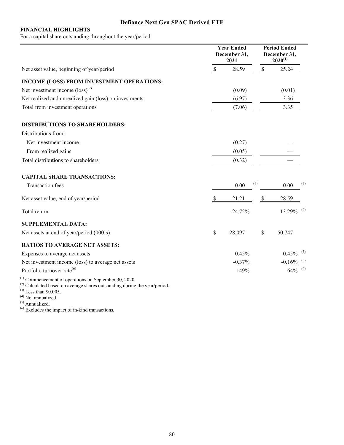# **Defiance Next Gen SPAC Derived ETF**

## **FINANCIAL HIGHLIGHTS**

For a capital share outstanding throughout the year/period

|                                                            | <b>Year Ended</b><br>December 31,<br>2021 |           |               | <b>Period Ended</b><br>December 31,<br>$2020^{(1)}$ |     |
|------------------------------------------------------------|-------------------------------------------|-----------|---------------|-----------------------------------------------------|-----|
| Net asset value, beginning of year/period                  | \$                                        | 28.59     | $\mathcal{S}$ | 25.24                                               |     |
| INCOME (LOSS) FROM INVESTMENT OPERATIONS:                  |                                           |           |               |                                                     |     |
| Net investment income $(loss)^{(2)}$                       |                                           | (0.09)    |               | (0.01)                                              |     |
| Net realized and unrealized gain (loss) on investments     |                                           | (6.97)    |               | 3.36                                                |     |
| Total from investment operations                           |                                           | (7.06)    |               | 3.35                                                |     |
| <b>DISTRIBUTIONS TO SHAREHOLDERS:</b>                      |                                           |           |               |                                                     |     |
| Distributions from:                                        |                                           |           |               |                                                     |     |
| Net investment income                                      |                                           | (0.27)    |               |                                                     |     |
| From realized gains                                        |                                           | (0.05)    |               |                                                     |     |
| Total distributions to shareholders                        |                                           | (0.32)    |               |                                                     |     |
| <b>CAPITAL SHARE TRANSACTIONS:</b>                         |                                           |           |               |                                                     |     |
| <b>Transaction</b> fees                                    |                                           | 0.00      | (3)           | 0.00                                                | (3) |
| Net asset value, end of year/period                        | S                                         | 21.21     | S             | 28.59                                               |     |
| Total return                                               |                                           | $-24.72%$ |               | $13.29\%$ <sup>(4)</sup>                            |     |
| <b>SUPPLEMENTAL DATA:</b>                                  |                                           |           |               |                                                     |     |
| Net assets at end of year/period (000's)                   | \$                                        | 28,097    | \$            | 50,747                                              |     |
| <b>RATIOS TO AVERAGE NET ASSETS:</b>                       |                                           |           |               |                                                     |     |
| Expenses to average net assets                             |                                           | 0.45%     |               | $0.45\%$ <sup>(5)</sup>                             |     |
| Net investment income (loss) to average net assets         |                                           | $-0.37%$  |               | $-0.16\%$ <sup>(5)</sup>                            |     |
| Portfolio turnover rate <sup>(6)</sup>                     |                                           | 149%      |               | $64\%$ <sup>(4)</sup>                               |     |
| $^{(1)}$ Commencement of operations on September 30, 2020. |                                           |           |               |                                                     |     |

 $^{(2)}$  Calculated based on average shares outstanding during the year/period.

 $^{(3)}$  Less than \$0.005.

(4) Not annualized.

(5) Annualized.

(6) Excludes the impact of in-kind transactions.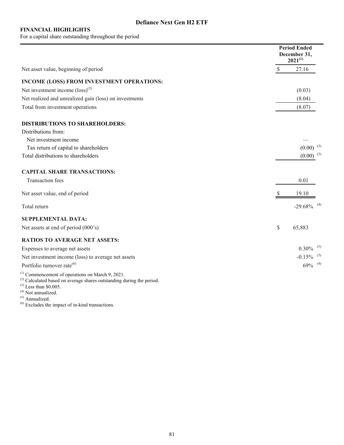For a capital share outstanding throughout the period

|                                                                                                                                     |               | <b>Period Ended</b><br>December 31,<br>$2021^{(1)}$ |  |
|-------------------------------------------------------------------------------------------------------------------------------------|---------------|-----------------------------------------------------|--|
| Net asset value, beginning of period                                                                                                | $\mathcal{S}$ | 27.16                                               |  |
| INCOME (LOSS) FROM INVESTMENT OPERATIONS:                                                                                           |               |                                                     |  |
| Net investment income $(logs)^{(2)}$                                                                                                |               | (0.03)                                              |  |
| Net realized and unrealized gain (loss) on investments                                                                              |               | (8.04)                                              |  |
| Total from investment operations                                                                                                    |               | (8.07)                                              |  |
| <b>DISTRIBUTIONS TO SHAREHOLDERS:</b>                                                                                               |               |                                                     |  |
| Distributions from:                                                                                                                 |               |                                                     |  |
| Net investment income                                                                                                               |               |                                                     |  |
| Tax return of capital to shareholders                                                                                               |               | $(0.00)$ <sup>(3)</sup>                             |  |
| Total distributions to shareholders                                                                                                 |               | $(0.00)^{(3)}$                                      |  |
| <b>CAPITAL SHARE TRANSACTIONS:</b>                                                                                                  |               |                                                     |  |
| <b>Transaction</b> fees                                                                                                             |               | 0.01                                                |  |
| Net asset value, end of period                                                                                                      |               | 19.10                                               |  |
| Total return                                                                                                                        |               | $-29.68\%$ <sup>(4)</sup>                           |  |
| <b>SUPPLEMENTAL DATA:</b>                                                                                                           |               |                                                     |  |
| Net assets at end of period (000's)                                                                                                 | $\mathbb{S}$  | 65,883                                              |  |
| <b>RATIOS TO AVERAGE NET ASSETS:</b>                                                                                                |               |                                                     |  |
| Expenses to average net assets                                                                                                      |               | $0.30\%$ <sup>(5)</sup>                             |  |
| Net investment income (loss) to average net assets                                                                                  |               | $-0.15\%$ <sup>(5)</sup>                            |  |
| Portfolio turnover rate <sup>(6)</sup>                                                                                              |               | $69\%$ <sup>(4)</sup>                               |  |
| $^{(1)}$ Commencement of operations on March 9, 2021.<br>$^{(2)}$ Calculated based on average shares outstanding during the period. |               |                                                     |  |

 $^{(3)}$  Less than \$0.005.

(4) Not annualized.

(5) Annualized.

 $<sup>(6)</sup>$  Excludes the impact of in-kind transactions.</sup>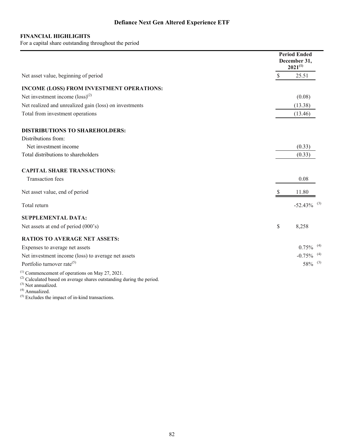For a capital share outstanding throughout the period

|                                                                                                                                    |               | <b>Period Ended</b><br>December 31,<br>$2021^{(1)}$ |  |
|------------------------------------------------------------------------------------------------------------------------------------|---------------|-----------------------------------------------------|--|
| Net asset value, beginning of period                                                                                               | $\mathcal{S}$ | 25.51                                               |  |
| INCOME (LOSS) FROM INVESTMENT OPERATIONS:                                                                                          |               |                                                     |  |
| Net investment income $(logs)^{(2)}$                                                                                               |               | (0.08)                                              |  |
| Net realized and unrealized gain (loss) on investments                                                                             |               | (13.38)                                             |  |
| Total from investment operations                                                                                                   |               | (13.46)                                             |  |
| <b>DISTRIBUTIONS TO SHAREHOLDERS:</b>                                                                                              |               |                                                     |  |
| Distributions from:                                                                                                                |               |                                                     |  |
| Net investment income                                                                                                              |               | (0.33)                                              |  |
| Total distributions to shareholders                                                                                                |               | (0.33)                                              |  |
| <b>CAPITAL SHARE TRANSACTIONS:</b>                                                                                                 |               |                                                     |  |
| <b>Transaction</b> fees                                                                                                            |               | 0.08                                                |  |
| Net asset value, end of period                                                                                                     |               | 11.80                                               |  |
| Total return                                                                                                                       |               | $-52.43\%$ <sup>(3)</sup>                           |  |
| <b>SUPPLEMENTAL DATA:</b>                                                                                                          |               |                                                     |  |
| Net assets at end of period (000's)                                                                                                | \$            | 8,258                                               |  |
| <b>RATIOS TO AVERAGE NET ASSETS:</b>                                                                                               |               |                                                     |  |
| Expenses to average net assets                                                                                                     |               | $0.75\%$ <sup>(4)</sup>                             |  |
| Net investment income (loss) to average net assets                                                                                 |               | $-0.75\%$ <sup>(4)</sup>                            |  |
| Portfolio turnover rate <sup>(5)</sup>                                                                                             |               | $58\%$ <sup>(3)</sup>                               |  |
| $^{(1)}$ Commencement of operations on May 27, 2021.<br>$^{(2)}$ Calculated based on average shares outstanding during the period. |               |                                                     |  |

 $^{(3)}$  Not annualized.

(4) Annualized.

 $<sup>(5)</sup>$  Excludes the impact of in-kind transactions.</sup>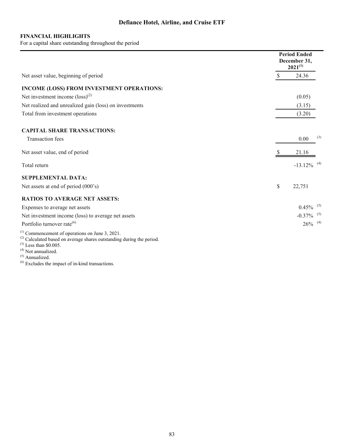For a capital share outstanding throughout the period

|                                                                                                                                                                                            |              | <b>Period Ended</b><br>December 31,<br>$2021^{(1)}$ |
|--------------------------------------------------------------------------------------------------------------------------------------------------------------------------------------------|--------------|-----------------------------------------------------|
| Net asset value, beginning of period                                                                                                                                                       | $\mathbb{S}$ | 24.36                                               |
| INCOME (LOSS) FROM INVESTMENT OPERATIONS:                                                                                                                                                  |              |                                                     |
| Net investment income $(logs)^{(2)}$                                                                                                                                                       |              | (0.05)                                              |
| Net realized and unrealized gain (loss) on investments                                                                                                                                     |              | (3.15)                                              |
| Total from investment operations                                                                                                                                                           |              | (3.20)                                              |
| <b>CAPITAL SHARE TRANSACTIONS:</b>                                                                                                                                                         |              |                                                     |
| <b>Transaction</b> fees                                                                                                                                                                    |              | (3)<br>0.00                                         |
| Net asset value, end of period                                                                                                                                                             |              | 21.16                                               |
| Total return                                                                                                                                                                               |              | $-13.12\%$ <sup>(4)</sup>                           |
| <b>SUPPLEMENTAL DATA:</b>                                                                                                                                                                  |              |                                                     |
| Net assets at end of period (000's)                                                                                                                                                        | \$           | 22,751                                              |
| <b>RATIOS TO AVERAGE NET ASSETS:</b>                                                                                                                                                       |              |                                                     |
| Expenses to average net assets                                                                                                                                                             |              | $0.45\%$ <sup>(5)</sup>                             |
| Net investment income (loss) to average net assets                                                                                                                                         |              | $-0.37\%$ <sup>(5)</sup>                            |
| Portfolio turnover rate <sup>(6)</sup>                                                                                                                                                     |              | $26\%$ <sup>(4)</sup>                               |
| $^{(1)}$ Commencement of operations on June 3, 2021.<br>$^{(2)}$ Calculated based on average shares outstanding during the period.<br>$^{(3)}$ Less than \$0.005.<br>$(4)$ Not annualized. |              |                                                     |

(5) Annualized.

 $<sup>(6)</sup>$  Excludes the impact of in-kind transactions.</sup>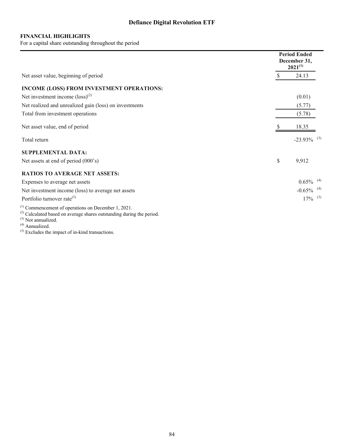For a capital share outstanding throughout the period

|                                                                                                                                        |               | <b>Period Ended</b><br>December 31,<br>$2021^{(1)}$ |
|----------------------------------------------------------------------------------------------------------------------------------------|---------------|-----------------------------------------------------|
| Net asset value, beginning of period                                                                                                   | <sup>\$</sup> | 24.13                                               |
| INCOME (LOSS) FROM INVESTMENT OPERATIONS:                                                                                              |               |                                                     |
| Net investment income $(\text{loss})^{(2)}$                                                                                            |               | (0.01)                                              |
| Net realized and unrealized gain (loss) on investments                                                                                 |               | (5.77)                                              |
| Total from investment operations                                                                                                       |               | (5.78)                                              |
| Net asset value, end of period                                                                                                         |               | 18.35                                               |
| Total return                                                                                                                           |               | $-23.93\%$ <sup>(3)</sup>                           |
| <b>SUPPLEMENTAL DATA:</b>                                                                                                              |               |                                                     |
| Net assets at end of period (000's)                                                                                                    | \$            | 9,912                                               |
| <b>RATIOS TO AVERAGE NET ASSETS:</b>                                                                                                   |               |                                                     |
| Expenses to average net assets                                                                                                         |               | $0.65\%$ <sup>(4)</sup>                             |
| Net investment income (loss) to average net assets                                                                                     |               | $-0.65\%$ <sup>(4)</sup>                            |
| Portfolio turnover rate <sup>(5)</sup>                                                                                                 |               | $17\%$ <sup>(3)</sup>                               |
| $^{(1)}$ Commencement of operations on December 1, 2021.<br>$^{(2)}$ Calculated based on average shares outstanding during the period. |               |                                                     |

 $^{(3)}$  Not annualized.

(4) Annualized.

 $<sup>(5)</sup>$  Excludes the impact of in-kind transactions.</sup>